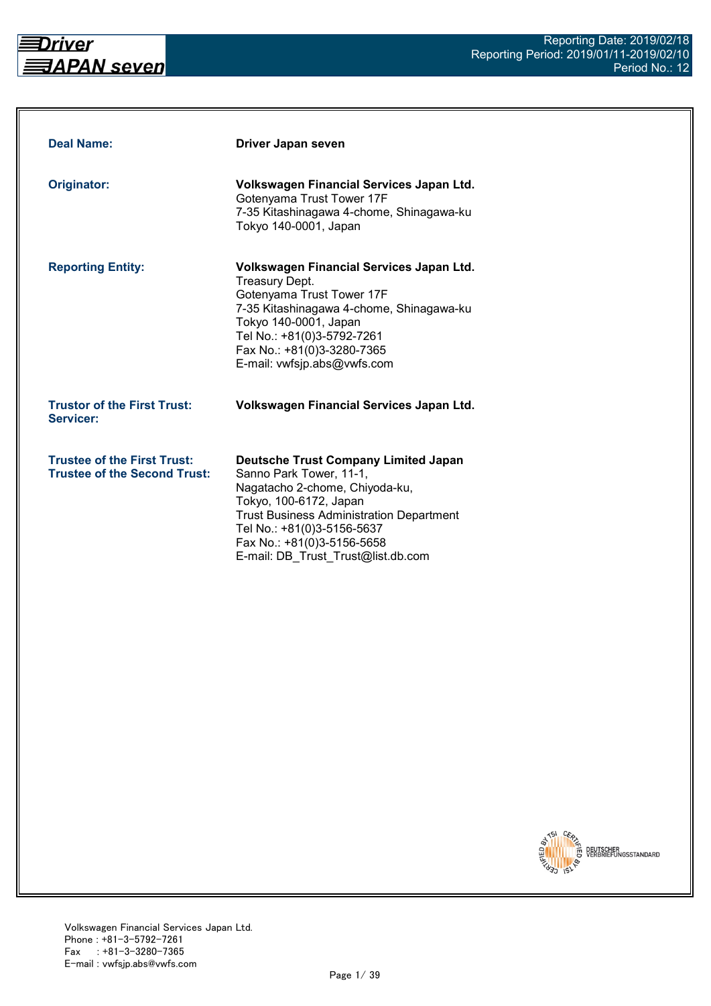

| <b>Deal Name:</b>                                                         | Driver Japan seven                                                                                                                                                                                                                                                                      |
|---------------------------------------------------------------------------|-----------------------------------------------------------------------------------------------------------------------------------------------------------------------------------------------------------------------------------------------------------------------------------------|
| Originator:                                                               | Volkswagen Financial Services Japan Ltd.<br>Gotenyama Trust Tower 17F<br>7-35 Kitashinagawa 4-chome, Shinagawa-ku<br>Tokyo 140-0001, Japan                                                                                                                                              |
| <b>Reporting Entity:</b>                                                  | Volkswagen Financial Services Japan Ltd.<br><b>Treasury Dept.</b><br>Gotenyama Trust Tower 17F<br>7-35 Kitashinagawa 4-chome, Shinagawa-ku<br>Tokyo 140-0001, Japan<br>Tel No.: +81(0)3-5792-7261<br>Fax No.: +81(0)3-3280-7365<br>E-mail: vwfsjp.abs@vwfs.com                          |
| <b>Trustor of the First Trust:</b><br>Servicer:                           | Volkswagen Financial Services Japan Ltd.                                                                                                                                                                                                                                                |
| <b>Trustee of the First Trust:</b><br><b>Trustee of the Second Trust:</b> | <b>Deutsche Trust Company Limited Japan</b><br>Sanno Park Tower, 11-1,<br>Nagatacho 2-chome, Chiyoda-ku,<br>Tokyo, 100-6172, Japan<br><b>Trust Business Administration Department</b><br>Tel No.: +81(0)3-5156-5637<br>Fax No.: +81(0)3-5156-5658<br>E-mail: DB Trust Trust@list.db.com |

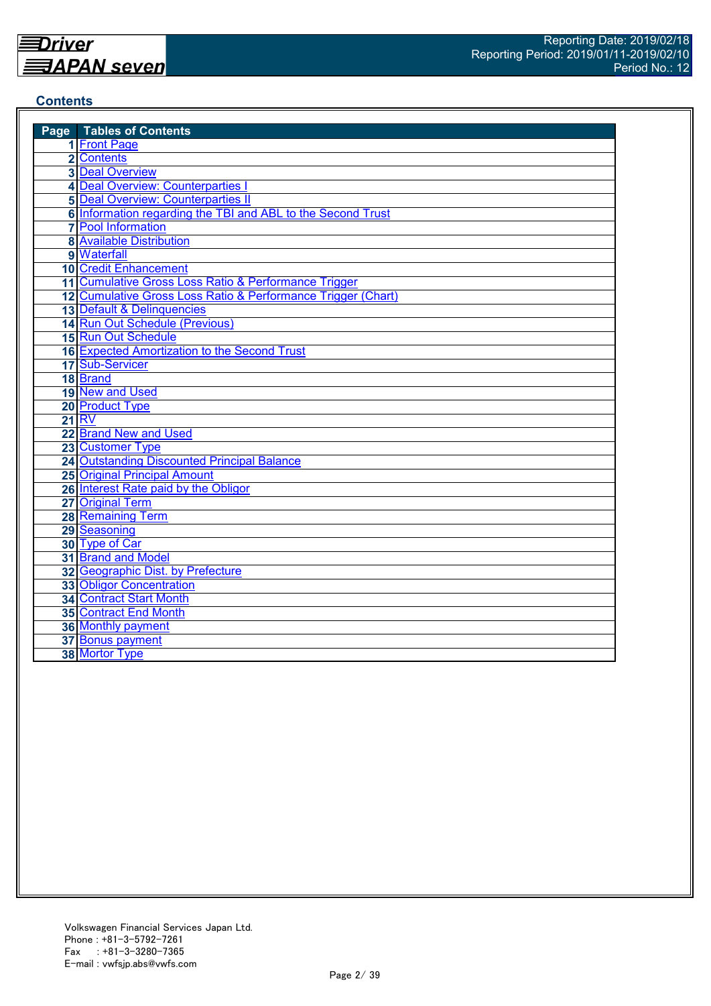## **Contents**

| <b>Page</b> Tables of Contents                               |
|--------------------------------------------------------------|
| 1 Front Page                                                 |
| 2 Contents                                                   |
| <b>3 Deal Overview</b>                                       |
| 4 Deal Overview: Counterparties I                            |
| <b>5 Deal Overview: Counterparties II</b>                    |
| 6 Information regarding the TBI and ABL to the Second Trust  |
| <b>7</b> Pool Information                                    |
| <b>8 Available Distribution</b>                              |
| 9 Waterfall                                                  |
| <b>10 Credit Enhancement</b>                                 |
| 11 Cumulative Gross Loss Ratio & Performance Trigger         |
| 12 Cumulative Gross Loss Ratio & Performance Trigger (Chart) |
| 13 Default & Delinquencies                                   |
| 14 Run Out Schedule (Previous)                               |
| 15 Run Out Schedule                                          |
| 16 Expected Amortization to the Second Trust                 |
| 17 Sub-Servicer                                              |
| 18 Brand                                                     |
| 19 New and Used                                              |
| 20 Product Type                                              |
| <b>21 RV</b>                                                 |
| 22 Brand New and Used                                        |
| 23 Customer Type                                             |
| 24 Outstanding Discounted Principal Balance                  |
| <b>25 Original Principal Amount</b>                          |
| 26 Interest Rate paid by the Obligor                         |
| 27 Original Term                                             |
| <b>28 Remaining Term</b>                                     |
| 29 Seasoning                                                 |
| 30 Type of Car                                               |
| 31 Brand and Model                                           |
| 32 Geographic Dist. by Prefecture                            |
| <b>33 Obligor Concentration</b>                              |
| <b>34 Contract Start Month</b>                               |
| 35 Contract End Month                                        |
| 36 Monthly payment                                           |
| 37 Bonus payment                                             |
| 38 Mortor Type                                               |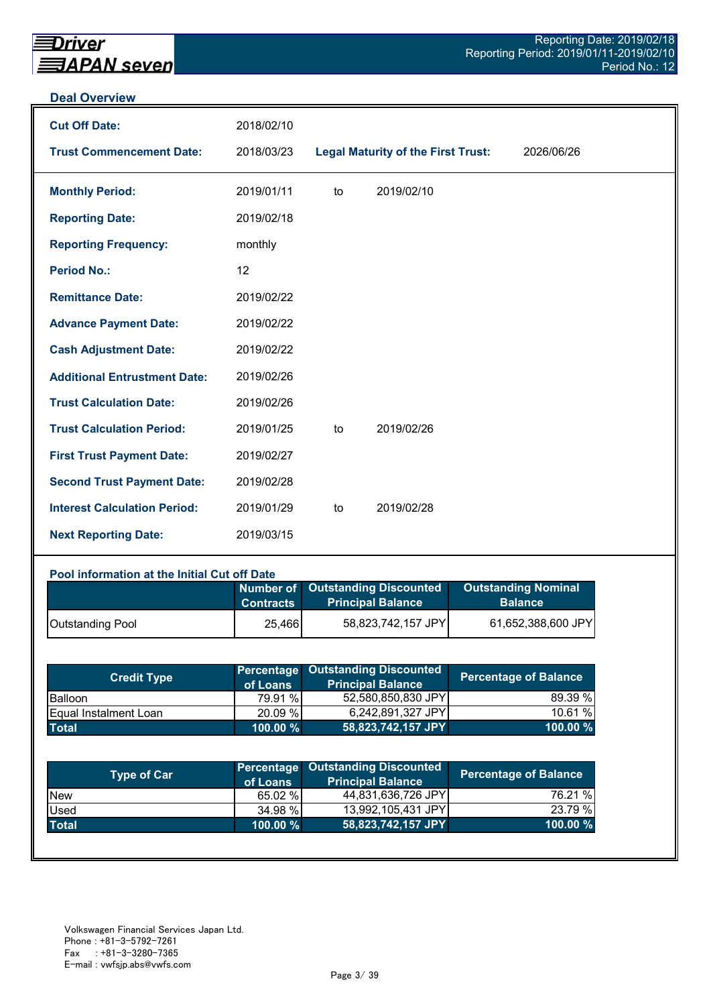#### **Deal Overview**

| <b>Cut Off Date:</b>                | 2018/02/10 |    |                                           |            |
|-------------------------------------|------------|----|-------------------------------------------|------------|
| <b>Trust Commencement Date:</b>     | 2018/03/23 |    | <b>Legal Maturity of the First Trust:</b> | 2026/06/26 |
| <b>Monthly Period:</b>              | 2019/01/11 | to | 2019/02/10                                |            |
| <b>Reporting Date:</b>              | 2019/02/18 |    |                                           |            |
| <b>Reporting Frequency:</b>         | monthly    |    |                                           |            |
| <b>Period No.:</b>                  | 12         |    |                                           |            |
| <b>Remittance Date:</b>             | 2019/02/22 |    |                                           |            |
| <b>Advance Payment Date:</b>        | 2019/02/22 |    |                                           |            |
| <b>Cash Adjustment Date:</b>        | 2019/02/22 |    |                                           |            |
| <b>Additional Entrustment Date:</b> | 2019/02/26 |    |                                           |            |
| <b>Trust Calculation Date:</b>      | 2019/02/26 |    |                                           |            |
| <b>Trust Calculation Period:</b>    | 2019/01/25 | to | 2019/02/26                                |            |
| <b>First Trust Payment Date:</b>    | 2019/02/27 |    |                                           |            |
| <b>Second Trust Payment Date:</b>   | 2019/02/28 |    |                                           |            |
| <b>Interest Calculation Period:</b> | 2019/01/29 | to | 2019/02/28                                |            |
| <b>Next Reporting Date:</b>         | 2019/03/15 |    |                                           |            |

## **Pool information at the Initial Cut off Date**

|                         | <b>Contracts</b> | Number of Outstanding Discounted<br><b>Principal Balance</b> | <b>Outstanding Nominal</b><br><b>Balance</b> |
|-------------------------|------------------|--------------------------------------------------------------|----------------------------------------------|
| <b>Outstanding Pool</b> | 25,466           | 58,823,742,157 JPY                                           | 61,652,388,600 JPY                           |

| <b>Credit Type</b>            | of Loans    | <b>Percentage Outstanding Discounted</b><br><b>Principal Balance</b> | <b>Percentage of Balance</b> |
|-------------------------------|-------------|----------------------------------------------------------------------|------------------------------|
| <b>Balloon</b>                | 79.91 %     | 52,580,850,830 JPY                                                   | 89.39 %                      |
| <b>IEqual Instalment Loan</b> | 20.09 %     | 6,242,891,327 JPY                                                    | 10.61%                       |
| <b>Total</b>                  | $100.00 \%$ | 58,823,742,157 JPY                                                   | 100.00 $%$                   |

| <b>Type of Car</b> | of Loans    | Percentage Outstanding Discounted<br><b>Principal Balance</b> | <b>Percentage of Balance</b> |
|--------------------|-------------|---------------------------------------------------------------|------------------------------|
| <b>New</b>         | 65.02 %     | 44,831,636,726 JPY                                            | 76.21 %                      |
| Used               | 34.98 %     | 13,992,105,431 JPY                                            | 23.79 %                      |
| <b>Total</b>       | $100.00 \%$ | 58,823,742,157 JPY                                            | 100.00 %                     |
|                    |             |                                                               |                              |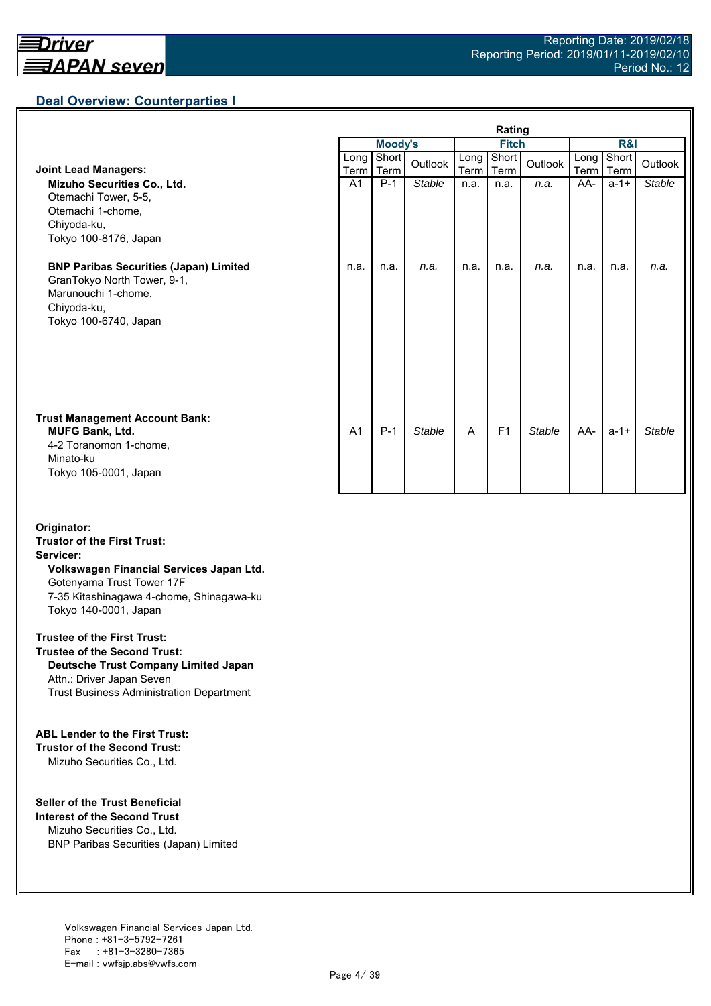## **Deal Overview: Counterparties I**

|                                                                                                                                             | Rating         |                |               |              |                |               |                     |               |               |
|---------------------------------------------------------------------------------------------------------------------------------------------|----------------|----------------|---------------|--------------|----------------|---------------|---------------------|---------------|---------------|
|                                                                                                                                             |                | <b>Moody's</b> |               | <b>Fitch</b> |                |               | R&I                 |               |               |
| <b>Joint Lead Managers:</b>                                                                                                                 | Long<br>Term   | Short<br>Term  | Outlook       | Long<br>Term | Short<br>Term  | Outlook       | Long<br><b>Term</b> | Short<br>Term | Outlook       |
| Mizuho Securities Co., Ltd.<br>Otemachi Tower, 5-5,<br>Otemachi 1-chome,<br>Chiyoda-ku,<br>Tokyo 100-8176, Japan                            | A <sub>1</sub> | $P-1$          | <b>Stable</b> | n.a.         | n.a.           | n.a.          | AA-                 | $a - 1 +$     | <b>Stable</b> |
| <b>BNP Paribas Securities (Japan) Limited</b><br>GranTokyo North Tower, 9-1,<br>Marunouchi 1-chome,<br>Chiyoda-ku,<br>Tokyo 100-6740, Japan | n.a.           | n.a.           | n.a.          | n.a.         | n.a.           | n.a.          | n.a.                | n.a.          | n.a.          |
| <b>Trust Management Account Bank:</b><br><b>MUFG Bank, Ltd.</b><br>4-2 Toranomon 1-chome,<br>Minato-ku<br>Tokyo 105-0001, Japan             | A <sub>1</sub> | $P-1$          | <b>Stable</b> | A            | F <sub>1</sub> | <b>Stable</b> | AA-                 | $a - 1 +$     | Stable        |

#### **Originator: Trustor of the First Trust: Servicer: Volkswagen Financial Services Japan Ltd.** Gotenyama Trust Tower 17F 7-35 Kitashinagawa 4-chome, Shinagawa-ku Tokyo 140-0001, Japan

#### **Trustee of the First Trust:**

**Trustee of the Second Trust: Deutsche Trust Company Limited Japan** Attn.: Driver Japan Seven Trust Business Administration Department

#### **ABL Lender to the First Trust:**

**Trustor of the Second Trust:** Mizuho Securities Co., Ltd.

#### **Seller of the Trust Beneficial**

**Interest of the Second Trust** Mizuho Securities Co., Ltd. BNP Paribas Securities (Japan) Limited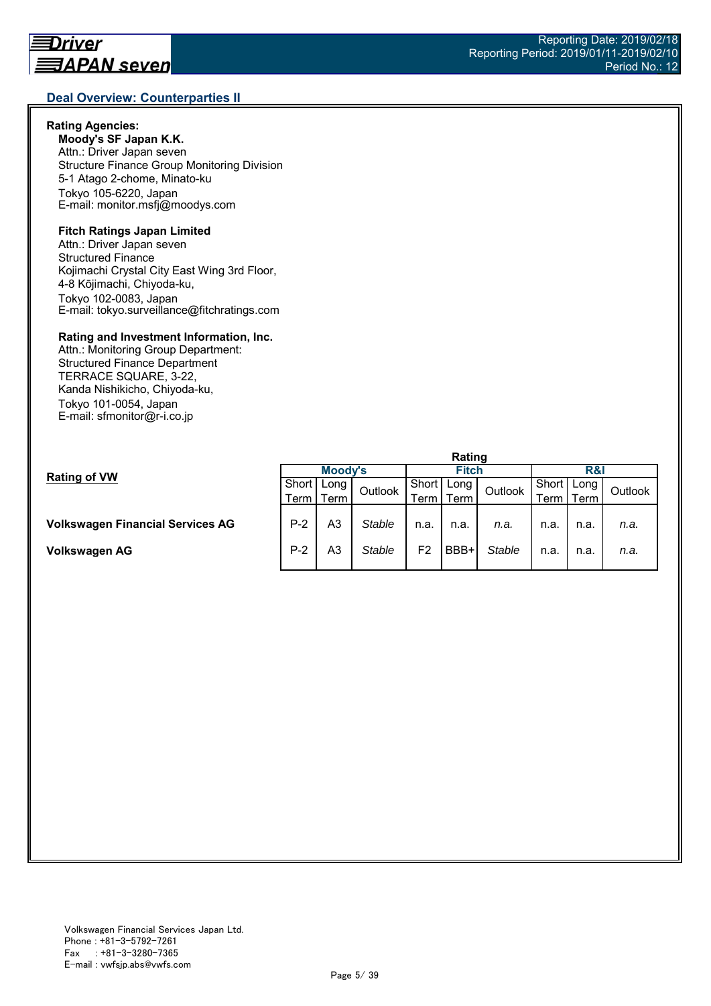## **Rating Agencies:**

**Moody's SF Japan K.K.** Attn.: Driver Japan seven Structure Finance Group Monitoring Division 5-1 Atago 2-chome, Minato-ku Tokyo 105-6220, Japan E-mail: monitor.msfj@moodys.com

## **Fitch Ratings Japan Limited**

Attn.: Driver Japan seven Structured Finance Kojimachi Crystal City East Wing 3rd Floor, 4-8 Kōjimachi, Chiyoda-ku, Tokyo 102-0083, Japan E-mail: tokyo.surveillance@fitchratings.com

#### **Rating and Investment Information, Inc.**

Attn.: Monitoring Group Department: Structured Finance Department TERRACE SQUARE, 3-22, Kanda Nishikicho, Chiyoda-ku, Tokyo 101-0054, Japan E-mail: sfmonitor@r-i.co.jp

|                                         | Rating  |             |         |              |      |               |                |      |         |  |
|-----------------------------------------|---------|-------------|---------|--------------|------|---------------|----------------|------|---------|--|
| <b>Rating of VW</b>                     | Moody's |             |         | <b>Fitch</b> |      |               | <b>R&amp;I</b> |      |         |  |
|                                         | Short I | Long        | Outlook | Short        | Long | Outlook       | Short          | Long | Outlook |  |
|                                         |         | Term I Term |         | Term .       | Term |               | Term           | Геrm |         |  |
|                                         |         |             |         |              |      |               |                |      |         |  |
| <b>Volkswagen Financial Services AG</b> | $P-2$   | A3          | Stable  | n.a.         | n.a. | n.a.          | n.a.           | n.a. | n.a.    |  |
|                                         |         |             |         |              |      |               |                |      |         |  |
| Volkswagen AG                           | $P-2$   | A3          | Stable  | F2           | BBB+ | <b>Stable</b> | n.a.           | n.a. | n.a.    |  |
|                                         |         |             |         |              |      |               |                |      |         |  |

#### Reporting Date: 2019/02/18 Reporting Period: 2019/01/11-2019/02/10 Period No.: 12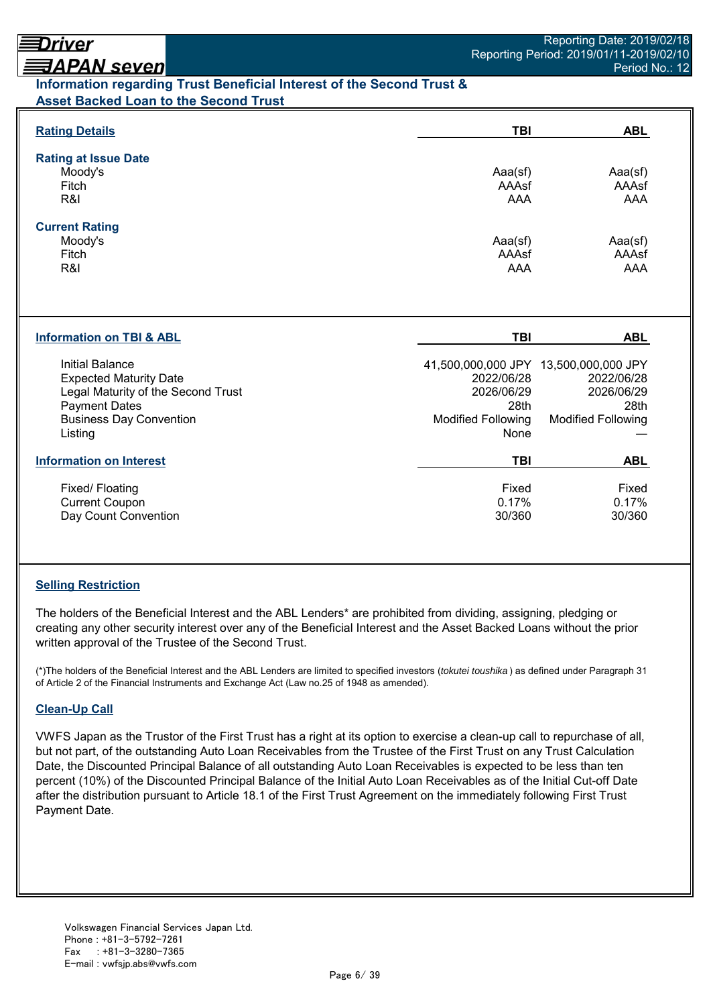# <u> ヨAPAN seven</u> **Information regarding Trust Beneficial Interest of the Second Trust & Asset Backed Loan to the Second Trust**

| <b>Rating Details</b>                                                                                                                                       | <b>TBI</b>                                                            | <b>ABL</b>                                                                                             |
|-------------------------------------------------------------------------------------------------------------------------------------------------------------|-----------------------------------------------------------------------|--------------------------------------------------------------------------------------------------------|
| <b>Rating at Issue Date</b><br>Moody's<br>Fitch<br>R&I                                                                                                      | Aaa(sf)<br>AAAsf<br><b>AAA</b>                                        | Aaa(sf)<br>AAAsf<br>AAA                                                                                |
| <b>Current Rating</b><br>Moody's<br>Fitch<br>R&I                                                                                                            | Aaa(sf)<br>AAAsf<br><b>AAA</b>                                        | Aaa(sf)<br>AAAsf<br><b>AAA</b>                                                                         |
| <b>Information on TBI &amp; ABL</b>                                                                                                                         | TBI                                                                   | <b>ABL</b>                                                                                             |
| Initial Balance<br><b>Expected Maturity Date</b><br>Legal Maturity of the Second Trust<br><b>Payment Dates</b><br><b>Business Day Convention</b><br>Listing | 2022/06/28<br>2026/06/29<br>28th<br><b>Modified Following</b><br>None | 41,500,000,000 JPY 13,500,000,000 JPY<br>2022/06/28<br>2026/06/29<br>28th<br><b>Modified Following</b> |
| <b>Information on Interest</b>                                                                                                                              | <b>TBI</b>                                                            | <b>ABL</b>                                                                                             |
| Fixed/ Floating<br><b>Current Coupon</b><br>Day Count Convention                                                                                            | Fixed<br>0.17%<br>30/360                                              | Fixed<br>0.17%<br>30/360                                                                               |

# **Selling Restriction**

The holders of the Beneficial Interest and the ABL Lenders\* are prohibited from dividing, assigning, pledging or creating any other security interest over any of the Beneficial Interest and the Asset Backed Loans without the prior written approval of the Trustee of the Second Trust.

(\*)The holders of the Beneficial Interest and the ABL Lenders are limited to specified investors (*tokutei toushika* ) as defined under Paragraph 31 of Article 2 of the Financial Instruments and Exchange Act (Law no.25 of 1948 as amended).

# **Clean-Up Call**

VWFS Japan as the Trustor of the First Trust has a right at its option to exercise a clean-up call to repurchase of all, but not part, of the outstanding Auto Loan Receivables from the Trustee of the First Trust on any Trust Calculation Date, the Discounted Principal Balance of all outstanding Auto Loan Receivables is expected to be less than ten percent (10%) of the Discounted Principal Balance of the Initial Auto Loan Receivables as of the Initial Cut-off Date after the distribution pursuant to Article 18.1 of the First Trust Agreement on the immediately following First Trust Payment Date.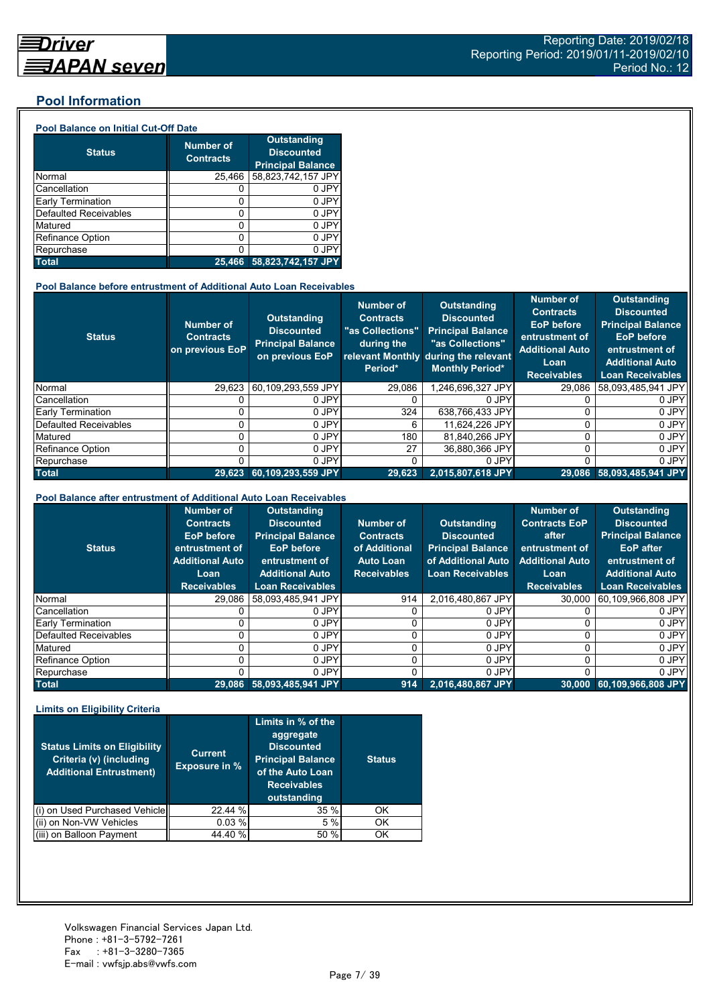## **Pool Information**

#### **Pool Balance on Initial Cut-Off Date**

| <b>Status</b>                | <b>Number of</b><br><b>Contracts</b> | <b>Outstanding</b><br><b>Discounted</b><br><b>Principal Balance</b> |
|------------------------------|--------------------------------------|---------------------------------------------------------------------|
| Normal                       | 25,466                               | 58,823,742,157 JPY                                                  |
| Cancellation                 |                                      | 0 JPY                                                               |
| Early Termination            | 0                                    | 0 JPY                                                               |
| <b>Defaulted Receivables</b> | 0                                    | 0 JPY                                                               |
| Matured                      | ი                                    | 0 JPY                                                               |
| <b>Refinance Option</b>      | 0                                    | 0 JPY                                                               |
| Repurchase                   |                                      | 0 JPY                                                               |
| <b>Total</b>                 | 25.466                               | 58,823,742,157 JPY                                                  |

#### **Pool Balance before entrustment of Additional Auto Loan Receivables**

| <b>Status</b>            | <b>Number of</b><br><b>Contracts</b><br>on previous EoP | <b>Outstanding</b><br><b>Discounted</b><br><b>Principal Balance</b><br>on previous EoP | <b>Number of</b><br><b>Contracts</b><br>"as Collections"<br>during the<br>Period* | Outstanding<br><b>Discounted</b><br><b>Principal Balance</b><br>"as Collections"<br>relevant Monthly during the relevant<br><b>Monthly Period*</b> | <b>Number of</b><br><b>Contracts</b><br><b>EoP</b> before<br>entrustment of<br><b>Additional Auto</b><br>Loan<br><b>Receivables</b> | <b>Outstanding</b><br><b>Discounted</b><br><b>Principal Balance</b><br><b>EoP</b> before<br>entrustment of<br><b>Additional Auto</b><br><b>Loan Receivables</b> |
|--------------------------|---------------------------------------------------------|----------------------------------------------------------------------------------------|-----------------------------------------------------------------------------------|----------------------------------------------------------------------------------------------------------------------------------------------------|-------------------------------------------------------------------------------------------------------------------------------------|-----------------------------------------------------------------------------------------------------------------------------------------------------------------|
| Normal                   | 29,623                                                  | 60,109,293,559 JPY                                                                     | 29,086                                                                            | ,246,696,327 JPY                                                                                                                                   | 29,086                                                                                                                              | 58,093,485,941 JPY                                                                                                                                              |
| Cancellation             |                                                         | 0 JPY                                                                                  |                                                                                   | 0 JPY                                                                                                                                              |                                                                                                                                     | 0 JPY                                                                                                                                                           |
| <b>Early Termination</b> |                                                         | 0 JPY                                                                                  | 324                                                                               | 638,766,433 JPY                                                                                                                                    |                                                                                                                                     | 0 JPY                                                                                                                                                           |
| Defaulted Receivables    |                                                         | 0 JPY                                                                                  | 6                                                                                 | 11.624.226 JPY                                                                                                                                     | 0                                                                                                                                   | 0 JPY                                                                                                                                                           |
| Matured                  |                                                         | 0 JPY                                                                                  | 180                                                                               | 81,840,266 JPY                                                                                                                                     | 0                                                                                                                                   | 0 JPY                                                                                                                                                           |
| <b>Refinance Option</b>  |                                                         | 0 JPY                                                                                  | 27                                                                                | 36,880,366 JPY                                                                                                                                     | 0                                                                                                                                   | 0 JPY                                                                                                                                                           |
| Repurchase               |                                                         | 0 JPY                                                                                  |                                                                                   | 0 JPY                                                                                                                                              | 0                                                                                                                                   | 0 JPY                                                                                                                                                           |
| <b>Total</b>             | 29.623                                                  | 60,109,293,559 JPY                                                                     | 29.623                                                                            | 2.015.807.618 JPY                                                                                                                                  |                                                                                                                                     | 29,086 58,093,485,941 JPY                                                                                                                                       |

#### **Pool Balance after entrustment of Additional Auto Loan Receivables**

| <b>Status</b>            | <b>Number of</b><br><b>Contracts</b><br>EoP before<br>entrustment of<br><b>Additional Auto</b><br>Loan<br><b>Receivables</b> | <b>Outstanding</b><br><b>Discounted</b><br><b>Principal Balance</b><br><b>EoP</b> before<br>entrustment of<br><b>Additional Auto</b><br><b>Loan Receivables</b> | Number of<br><b>Contracts</b><br>of Additional<br><b>Auto Loan</b><br><b>Receivables</b> | Outstanding<br><b>Discounted</b><br><b>Principal Balance</b><br>of Additional Auto<br><b>Loan Receivables</b> | <b>Number of</b><br><b>Contracts EoP</b><br>after<br>entrustment of<br><b>Additional Auto</b><br>Loan<br><b>Receivables</b> | <b>Outstanding</b><br><b>Discounted</b><br><b>Principal Balance</b><br>EoP after<br>entrustment of<br><b>Additional Auto</b><br><b>Loan Receivables</b> |
|--------------------------|------------------------------------------------------------------------------------------------------------------------------|-----------------------------------------------------------------------------------------------------------------------------------------------------------------|------------------------------------------------------------------------------------------|---------------------------------------------------------------------------------------------------------------|-----------------------------------------------------------------------------------------------------------------------------|---------------------------------------------------------------------------------------------------------------------------------------------------------|
| Normal                   | 29.086                                                                                                                       | 58.093.485.941 JPY                                                                                                                                              | 914                                                                                      | 2.016.480.867 JPY                                                                                             | 30,000                                                                                                                      | 60,109,966,808 JPY                                                                                                                                      |
| Cancellation             |                                                                                                                              | 0 JPY                                                                                                                                                           |                                                                                          | 0 JPY                                                                                                         |                                                                                                                             | 0 JPY                                                                                                                                                   |
| <b>Early Termination</b> |                                                                                                                              | 0 JPY                                                                                                                                                           |                                                                                          | 0 JPY                                                                                                         |                                                                                                                             | 0 JPY                                                                                                                                                   |
| Defaulted Receivables    |                                                                                                                              | 0 JPY                                                                                                                                                           |                                                                                          | 0 JPY                                                                                                         |                                                                                                                             | 0 JPY                                                                                                                                                   |
| Matured                  |                                                                                                                              | 0 JPY                                                                                                                                                           |                                                                                          | 0 JPY                                                                                                         |                                                                                                                             | 0 JPY                                                                                                                                                   |
| Refinance Option         |                                                                                                                              | 0 JPY                                                                                                                                                           |                                                                                          | 0 JPY                                                                                                         |                                                                                                                             | 0 JPY                                                                                                                                                   |
| Repurchase               |                                                                                                                              | 0 JPY                                                                                                                                                           |                                                                                          | 0 JPY                                                                                                         |                                                                                                                             | 0 JPY                                                                                                                                                   |
| <b>Total</b>             | 29.086                                                                                                                       | 58,093,485,941 JPY                                                                                                                                              | 914                                                                                      | 2,016,480,867 JPY                                                                                             | 30.000                                                                                                                      | 60,109,966,808 JPY                                                                                                                                      |

#### **Limits on Eligibility Criteria**

| <b>Status Limits on Eligibility</b><br>Criteria (v) (including<br><b>Additional Entrustment)</b> | <b>Current</b><br><b>Exposure in %</b> | Limits in % of the<br>aggregate<br><b>Discounted</b><br><b>Principal Balance</b><br>of the Auto Loan<br><b>Receivables</b><br>outstanding | <b>Status</b> |
|--------------------------------------------------------------------------------------------------|----------------------------------------|-------------------------------------------------------------------------------------------------------------------------------------------|---------------|
| on Used Purchased Vehicle                                                                        | 22.44 %                                | 35%                                                                                                                                       | OK            |
| (ii) on Non-VW Vehicles                                                                          | 0.03%                                  | 5%                                                                                                                                        | OK            |
| on Balloon Payment                                                                               | 44.40 %                                | 50 %                                                                                                                                      | ΟK            |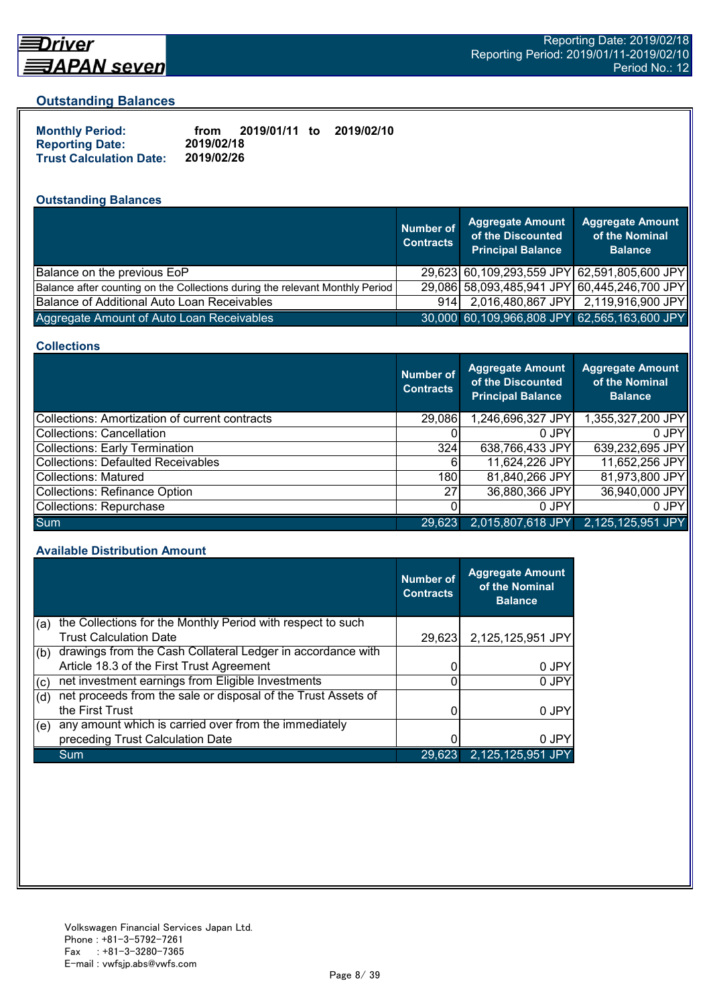

# Driver <u> ヨAPAN seven</u>

#### **Outstanding Balances**

| <b>Monthly Period:</b>         | from       | 2019/01/11 to | 2019/02/10 |
|--------------------------------|------------|---------------|------------|
| <b>Reporting Date:</b>         | 2019/02/18 |               |            |
| <b>Trust Calculation Date:</b> | 2019/02/26 |               |            |

# **Outstanding Balances**

|                                                                              | <b>Number of</b><br><b>Contracts</b> | <b>Aggregate Amount</b><br>of the Discounted<br><b>Principal Balance</b> | <b>Aggregate Amount</b><br>of the Nominal<br><b>Balance</b> |
|------------------------------------------------------------------------------|--------------------------------------|--------------------------------------------------------------------------|-------------------------------------------------------------|
| Balance on the previous EoP                                                  |                                      |                                                                          | 29,623 60,109,293,559 JPY 62,591,805,600 JPY                |
| Balance after counting on the Collections during the relevant Monthly Period |                                      |                                                                          | 29,086 58,093,485,941 JPY 60,445,246,700 JPY                |
| Balance of Additional Auto Loan Receivables                                  | 914                                  |                                                                          | 2,016,480,867 JPY 2,119,916,900 JPY                         |
| Aggregate Amount of Auto Loan Receivables                                    |                                      |                                                                          | 30,000 60,109,966,808 JPY 62,565,163,600 JPY                |

#### **Collections**

|                                                | <b>Number of</b><br><b>Contracts</b> | <b>Aggregate Amount</b><br>of the Discounted<br><b>Principal Balance</b> | <b>Aggregate Amount</b><br>of the Nominal<br><b>Balance</b> |
|------------------------------------------------|--------------------------------------|--------------------------------------------------------------------------|-------------------------------------------------------------|
| Collections: Amortization of current contracts | 29,086                               | 1,246,696,327 JPY                                                        | 1,355,327,200 JPY                                           |
| Collections: Cancellation                      |                                      | 0 JPY                                                                    | 0 JPY                                                       |
| Collections: Early Termination                 | 324                                  | 638,766,433 JPY                                                          | 639,232,695 JPY                                             |
| Collections: Defaulted Receivables             | 61                                   | 11,624,226 JPY                                                           | 11,652,256 JPY                                              |
| Collections: Matured                           | 180I                                 | 81,840,266 JPY                                                           | 81,973,800 JPY                                              |
| Collections: Refinance Option                  | 27 <sup>1</sup>                      | 36,880,366 JPY                                                           | 36,940,000 JPY                                              |
| Collections: Repurchase                        |                                      | 0 JPY                                                                    | 0 JPY                                                       |
| Sum                                            | 29,623                               | 2,015,807,618 JPY                                                        | 2,125,125,951 JPY                                           |

#### **Available Distribution Amount**

|     |                                                               | <b>Number of</b><br><b>Contracts</b> | <b>Aggregate Amount</b><br>of the Nominal<br><b>Balance</b> |
|-----|---------------------------------------------------------------|--------------------------------------|-------------------------------------------------------------|
| (a) | the Collections for the Monthly Period with respect to such   |                                      |                                                             |
|     | <b>Trust Calculation Date</b>                                 | 29,623                               | 2,125,125,951 JPY                                           |
| (b) | drawings from the Cash Collateral Ledger in accordance with   |                                      |                                                             |
|     | Article 18.3 of the First Trust Agreement                     |                                      | 0 JPY                                                       |
| (c) | net investment earnings from Eligible Investments             | ი                                    | 0 JPY                                                       |
| (d) | net proceeds from the sale or disposal of the Trust Assets of |                                      |                                                             |
|     | the First Trust                                               |                                      | 0 JPY                                                       |
| (e) | any amount which is carried over from the immediately         |                                      |                                                             |
|     | preceding Trust Calculation Date                              |                                      | 0 JPY                                                       |
|     | Sum                                                           | 29,623                               | 2,125,125,951 JPY                                           |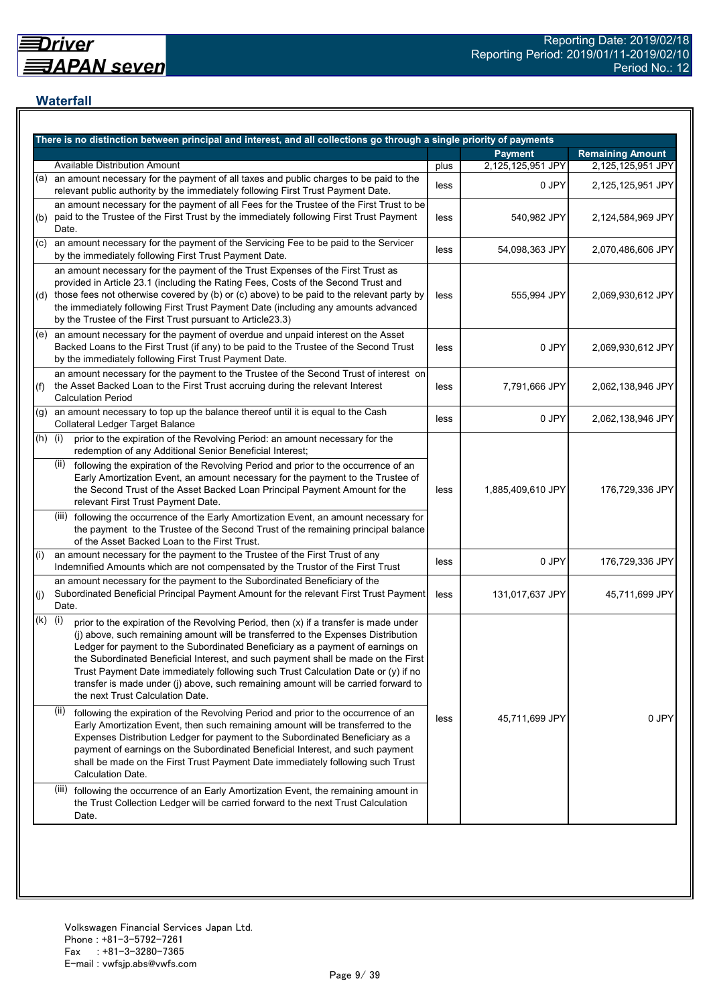## **Waterfall**

|           | There is no distinction between principal and interest, and all collections go through a single priority of payments                                                                                                                                                                                                                                                                                                                                                                                                                                                    |      |                   |                         |
|-----------|-------------------------------------------------------------------------------------------------------------------------------------------------------------------------------------------------------------------------------------------------------------------------------------------------------------------------------------------------------------------------------------------------------------------------------------------------------------------------------------------------------------------------------------------------------------------------|------|-------------------|-------------------------|
|           |                                                                                                                                                                                                                                                                                                                                                                                                                                                                                                                                                                         |      | <b>Payment</b>    | <b>Remaining Amount</b> |
|           | <b>Available Distribution Amount</b>                                                                                                                                                                                                                                                                                                                                                                                                                                                                                                                                    | plus | 2,125,125,951 JPY | 2,125,125,951 JPY       |
| (a)       | an amount necessary for the payment of all taxes and public charges to be paid to the<br>relevant public authority by the immediately following First Trust Payment Date.                                                                                                                                                                                                                                                                                                                                                                                               | less | 0 JPY             | 2,125,125,951 JPY       |
| (b)       | an amount necessary for the payment of all Fees for the Trustee of the First Trust to be<br>paid to the Trustee of the First Trust by the immediately following First Trust Payment<br>Date.                                                                                                                                                                                                                                                                                                                                                                            | less | 540,982 JPY       | 2,124,584,969 JPY       |
| (C)       | an amount necessary for the payment of the Servicing Fee to be paid to the Servicer<br>by the immediately following First Trust Payment Date.                                                                                                                                                                                                                                                                                                                                                                                                                           | less | 54,098,363 JPY    | 2,070,486,606 JPY       |
|           | an amount necessary for the payment of the Trust Expenses of the First Trust as<br>provided in Article 23.1 (including the Rating Fees, Costs of the Second Trust and<br>(d) those fees not otherwise covered by (b) or (c) above) to be paid to the relevant party by<br>the immediately following First Trust Payment Date (including any amounts advanced<br>by the Trustee of the First Trust pursuant to Article23.3)                                                                                                                                              | less | 555,994 JPY       | 2,069,930,612 JPY       |
|           | $(e)$ an amount necessary for the payment of overdue and unpaid interest on the Asset<br>Backed Loans to the First Trust (if any) to be paid to the Trustee of the Second Trust<br>by the immediately following First Trust Payment Date.                                                                                                                                                                                                                                                                                                                               | less | 0 JPY             | 2,069,930,612 JPY       |
| (f)       | an amount necessary for the payment to the Trustee of the Second Trust of interest on<br>the Asset Backed Loan to the First Trust accruing during the relevant Interest<br><b>Calculation Period</b>                                                                                                                                                                                                                                                                                                                                                                    | less | 7,791,666 JPY     | 2,062,138,946 JPY       |
| (g)       | an amount necessary to top up the balance thereof until it is equal to the Cash<br>Collateral Ledger Target Balance                                                                                                                                                                                                                                                                                                                                                                                                                                                     | less | 0 JPY             | 2,062,138,946 JPY       |
| $(h)$ (i) | prior to the expiration of the Revolving Period: an amount necessary for the<br>redemption of any Additional Senior Beneficial Interest;                                                                                                                                                                                                                                                                                                                                                                                                                                |      |                   |                         |
|           | following the expiration of the Revolving Period and prior to the occurrence of an<br>(ii)<br>Early Amortization Event, an amount necessary for the payment to the Trustee of<br>the Second Trust of the Asset Backed Loan Principal Payment Amount for the<br>relevant First Trust Payment Date.                                                                                                                                                                                                                                                                       | less | 1,885,409,610 JPY | 176,729,336 JPY         |
|           | (iii) following the occurrence of the Early Amortization Event, an amount necessary for<br>the payment to the Trustee of the Second Trust of the remaining principal balance<br>of the Asset Backed Loan to the First Trust.                                                                                                                                                                                                                                                                                                                                            |      |                   |                         |
| (i)       | an amount necessary for the payment to the Trustee of the First Trust of any<br>Indemnified Amounts which are not compensated by the Trustor of the First Trust                                                                                                                                                                                                                                                                                                                                                                                                         | less | 0 JPY             | 176,729,336 JPY         |
| (j)       | an amount necessary for the payment to the Subordinated Beneficiary of the<br>Subordinated Beneficial Principal Payment Amount for the relevant First Trust Payment<br>Date.                                                                                                                                                                                                                                                                                                                                                                                            | less | 131,017,637 JPY   | 45,711,699 JPY          |
| (k)       | (i)<br>prior to the expiration of the Revolving Period, then (x) if a transfer is made under<br>(j) above, such remaining amount will be transferred to the Expenses Distribution<br>Ledger for payment to the Subordinated Beneficiary as a payment of earnings on<br>the Subordinated Beneficial Interest, and such payment shall be made on the First<br>Trust Payment Date immediately following such Trust Calculation Date or (y) if no<br>transfer is made under (j) above, such remaining amount will be carried forward to<br>the next Trust Calculation Date. |      |                   |                         |
|           | (ii)<br>following the expiration of the Revolving Period and prior to the occurrence of an<br>Early Amortization Event, then such remaining amount will be transferred to the<br>Expenses Distribution Ledger for payment to the Subordinated Beneficiary as a<br>payment of earnings on the Subordinated Beneficial Interest, and such payment<br>shall be made on the First Trust Payment Date immediately following such Trust<br>Calculation Date.                                                                                                                  | less | 45,711,699 JPY    | 0 JPY                   |
|           | (iii) following the occurrence of an Early Amortization Event, the remaining amount in<br>the Trust Collection Ledger will be carried forward to the next Trust Calculation<br>Date.                                                                                                                                                                                                                                                                                                                                                                                    |      |                   |                         |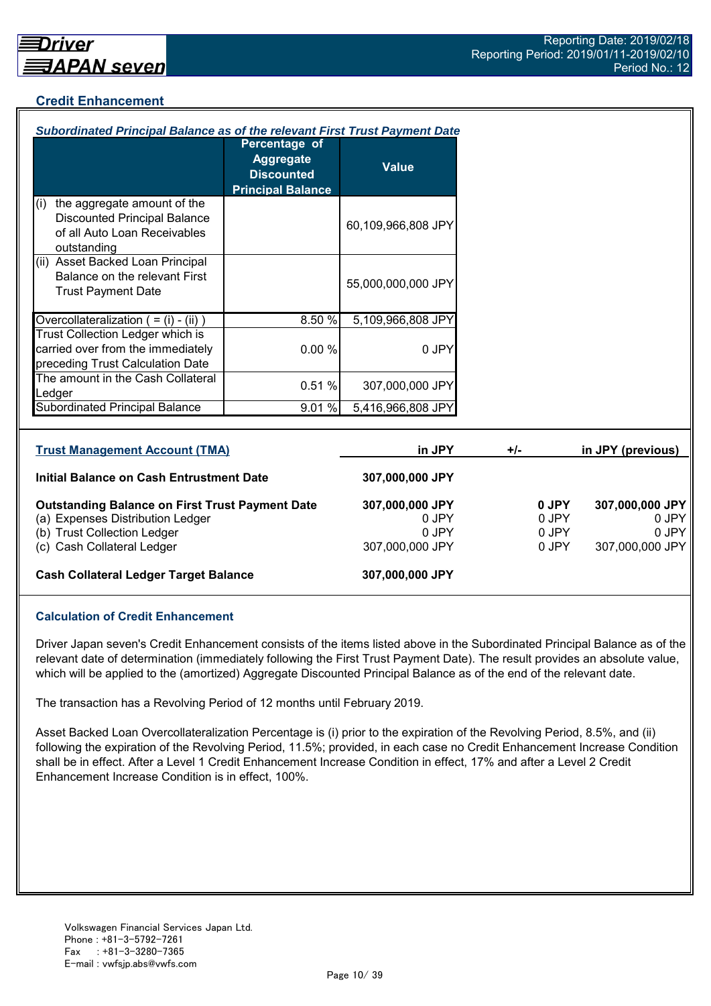## **Credit Enhancement**

| Subordinated Principal Balance as of the relevant First Trust Payment Date                                                |                                                                                    |                                   |       |                         |                                   |
|---------------------------------------------------------------------------------------------------------------------------|------------------------------------------------------------------------------------|-----------------------------------|-------|-------------------------|-----------------------------------|
|                                                                                                                           | Percentage of<br><b>Aggregate</b><br><b>Discounted</b><br><b>Principal Balance</b> | <b>Value</b>                      |       |                         |                                   |
| the aggregate amount of the<br>(i)<br><b>Discounted Principal Balance</b><br>of all Auto Loan Receivables<br>outstanding  |                                                                                    | 60,109,966,808 JPY                |       |                         |                                   |
| (ii) Asset Backed Loan Principal<br>Balance on the relevant First<br><b>Trust Payment Date</b>                            |                                                                                    | 55,000,000,000 JPY                |       |                         |                                   |
| Overcollateralization $( = (i) - (ii))$                                                                                   | 8.50%                                                                              | 5,109,966,808 JPY                 |       |                         |                                   |
| Trust Collection Ledger which is<br>carried over from the immediately<br>preceding Trust Calculation Date                 | 0.00%                                                                              | 0 JPY                             |       |                         |                                   |
| The amount in the Cash Collateral<br>Ledger                                                                               | 0.51%                                                                              | 307,000,000 JPY                   |       |                         |                                   |
| <b>Subordinated Principal Balance</b>                                                                                     | 9.01 %                                                                             | 5,416,966,808 JPY                 |       |                         |                                   |
|                                                                                                                           |                                                                                    |                                   |       |                         |                                   |
| <b>Trust Management Account (TMA)</b>                                                                                     |                                                                                    | in JPY                            | $+/-$ |                         | in JPY (previous)                 |
| <b>Initial Balance on Cash Entrustment Date</b>                                                                           |                                                                                    | 307,000,000 JPY                   |       |                         |                                   |
| <b>Outstanding Balance on First Trust Payment Date</b><br>(a) Expenses Distribution Ledger<br>(b) Trust Collection Ledger |                                                                                    | 307,000,000 JPY<br>0 JPY<br>0 JPY |       | 0 JPY<br>0 JPY<br>0 JPY | 307,000,000 JPY<br>0 JPY<br>0 JPY |

(c) Cash Collateral Ledger 307,000,000 JPY 307,000,000 JPY 307,000,000 JPY

#### **Cash Collateral Ledger Target Balance 307,000,000 JPY**

#### **Calculation of Credit Enhancement**

Driver Japan seven's Credit Enhancement consists of the items listed above in the Subordinated Principal Balance as of the relevant date of determination (immediately following the First Trust Payment Date). The result provides an absolute value, which will be applied to the (amortized) Aggregate Discounted Principal Balance as of the end of the relevant date.

The transaction has a Revolving Period of 12 months until February 2019.

Asset Backed Loan Overcollateralization Percentage is (i) prior to the expiration of the Revolving Period, 8.5%, and (ii) following the expiration of the Revolving Period, 11.5%; provided, in each case no Credit Enhancement Increase Condition shall be in effect. After a Level 1 Credit Enhancement Increase Condition in effect, 17% and after a Level 2 Credit Enhancement Increase Condition is in effect, 100%.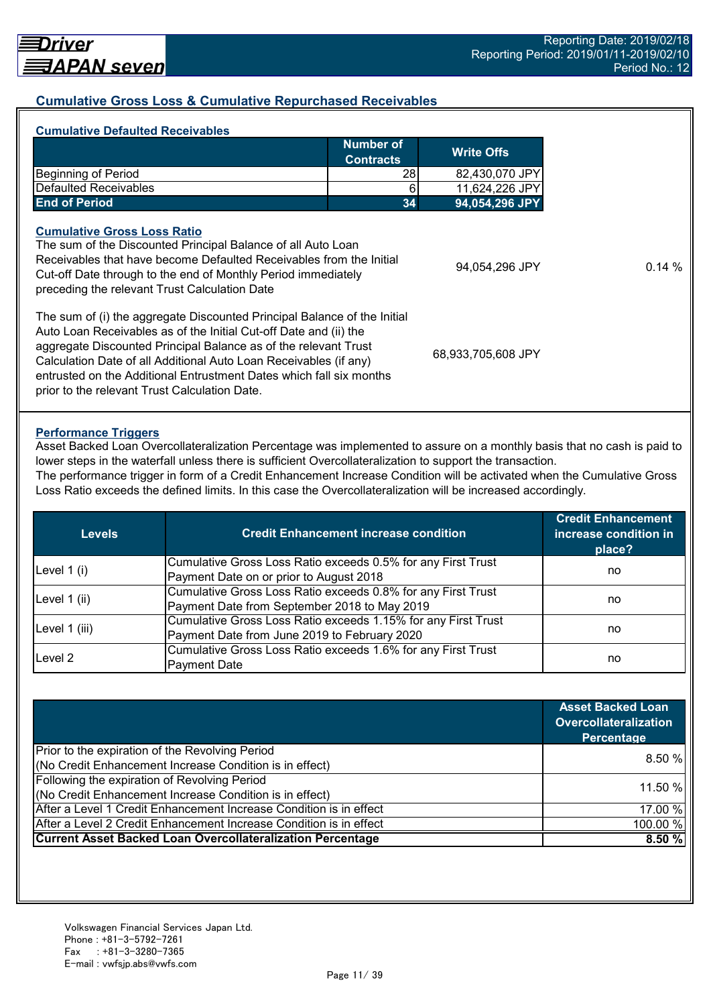## **Cumulative Gross Loss & Cumulative Repurchased Receivables**

| <b>Cumulative Defaulted Receivables</b>                                                                                                                                                                                                                                                                                                                      |                               |                    |
|--------------------------------------------------------------------------------------------------------------------------------------------------------------------------------------------------------------------------------------------------------------------------------------------------------------------------------------------------------------|-------------------------------|--------------------|
|                                                                                                                                                                                                                                                                                                                                                              | Number of<br><b>Contracts</b> | <b>Write Offs</b>  |
| <b>Beginning of Period</b>                                                                                                                                                                                                                                                                                                                                   | 28                            | 82,430,070 JPY     |
| Defaulted Receivables                                                                                                                                                                                                                                                                                                                                        | 6                             | 11,624,226 JPY     |
| <b>End of Period</b>                                                                                                                                                                                                                                                                                                                                         | 34                            | 94,054,296 JPY     |
| <b>Cumulative Gross Loss Ratio</b><br>The sum of the Discounted Principal Balance of all Auto Loan<br>Receivables that have become Defaulted Receivables from the Initial<br>Cut-off Date through to the end of Monthly Period immediately<br>preceding the relevant Trust Calculation Date                                                                  |                               | 94.054.296 JPY     |
| The sum of (i) the aggregate Discounted Principal Balance of the Initial<br>Auto Loan Receivables as of the Initial Cut-off Date and (ii) the<br>aggregate Discounted Principal Balance as of the relevant Trust<br>Calculation Date of all Additional Auto Loan Receivables (if any)<br>entrusted on the Additional Entrustment Dates which fall six months |                               | 68,933,705,608 JPY |

#### **Performance Triggers**

Asset Backed Loan Overcollateralization Percentage was implemented to assure on a monthly basis that no cash is paid to lower steps in the waterfall unless there is sufficient Overcollateralization to support the transaction.

The performance trigger in form of a Credit Enhancement Increase Condition will be activated when the Cumulative Gross Loss Ratio exceeds the defined limits. In this case the Overcollateralization will be increased accordingly.

| <b>Levels</b> | <b>Credit Enhancement increase condition</b>                  | <b>Credit Enhancement</b><br>increase condition in<br>place? |  |
|---------------|---------------------------------------------------------------|--------------------------------------------------------------|--|
| Level $1(i)$  | Cumulative Gross Loss Ratio exceeds 0.5% for any First Trust  |                                                              |  |
|               | Payment Date on or prior to August 2018                       | no                                                           |  |
|               | Cumulative Gross Loss Ratio exceeds 0.8% for any First Trust  |                                                              |  |
| Level 1 (ii)  | Payment Date from September 2018 to May 2019                  | no                                                           |  |
|               | Cumulative Gross Loss Ratio exceeds 1.15% for any First Trust |                                                              |  |
| Level 1 (iii) | Payment Date from June 2019 to February 2020                  | no                                                           |  |
| Level 2       | Cumulative Gross Loss Ratio exceeds 1.6% for any First Trust  |                                                              |  |
|               | <b>Payment Date</b>                                           | no                                                           |  |

|                                                                    | <b>Asset Backed Loan</b><br><b>Overcollateralization</b><br>Percentage |
|--------------------------------------------------------------------|------------------------------------------------------------------------|
| Prior to the expiration of the Revolving Period                    |                                                                        |
| (No Credit Enhancement Increase Condition is in effect)            | 8.50%                                                                  |
| Following the expiration of Revolving Period                       | 11.50 %                                                                |
| (No Credit Enhancement Increase Condition is in effect)            |                                                                        |
| After a Level 1 Credit Enhancement Increase Condition is in effect | 17.00 %                                                                |
| After a Level 2 Credit Enhancement Increase Condition is in effect | 100.00 %                                                               |
| <b>Current Asset Backed Loan Overcollateralization Percentage</b>  | 8.50%                                                                  |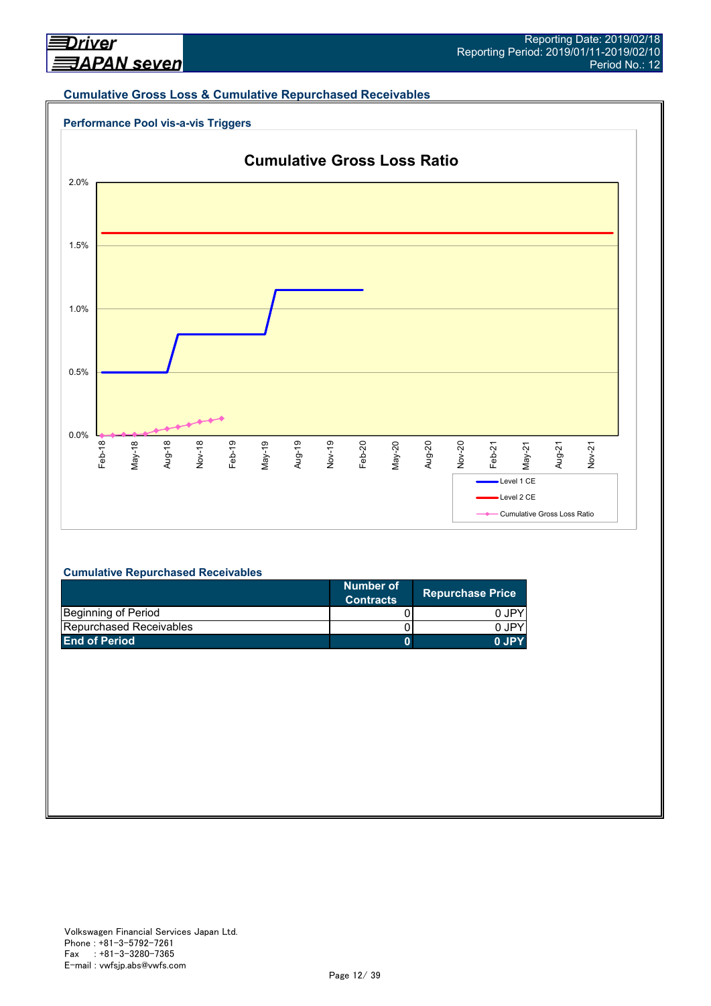#### **Cumulative Gross Loss & Cumulative Repurchased Receivables**





#### **Cumulative Repurchased Receivables**

|                                | Number of<br><b>Contracts</b> | <b>Repurchase Price</b> |
|--------------------------------|-------------------------------|-------------------------|
| Beginning of Period            |                               | 0 JPY                   |
| <b>Repurchased Receivables</b> |                               | 0 JPY                   |
| <b>End of Period</b>           |                               | 0.IPY                   |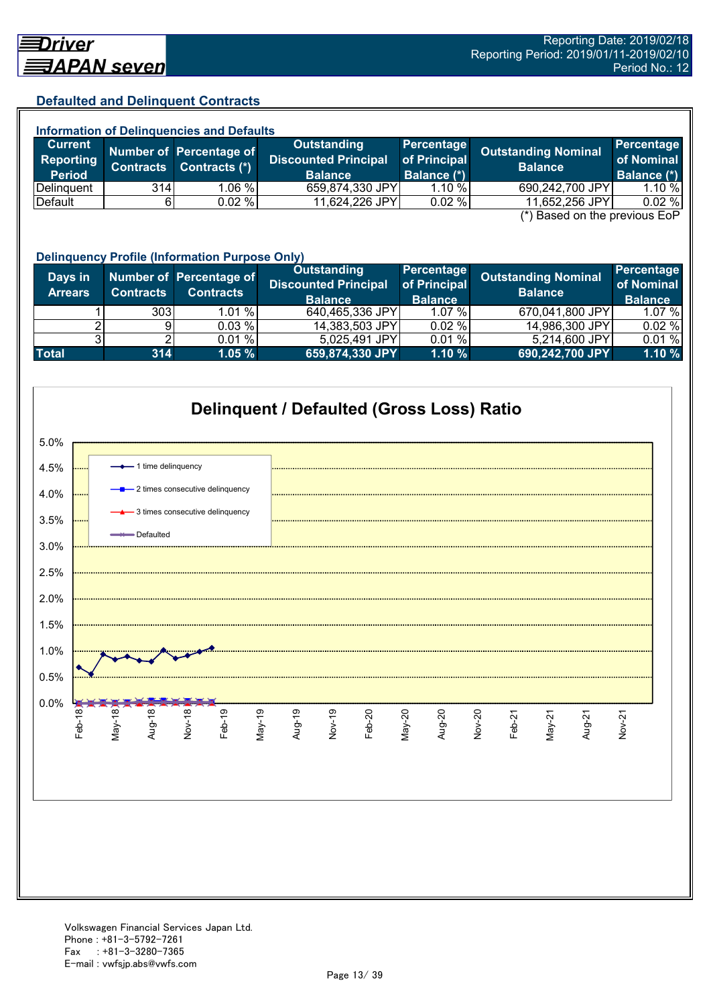## **Defaulted and Delinquent Contracts**

| <b>Information of Delinquencies and Defaults</b> |                  |                                          |                                            |                            |                                              |                                 |  |
|--------------------------------------------------|------------------|------------------------------------------|--------------------------------------------|----------------------------|----------------------------------------------|---------------------------------|--|
| <b>Current</b><br>Reporting                      | <b>Contracts</b> | Number of Percentage of<br>Contracts (*) | Outstanding<br><b>Discounted Principal</b> | Percentage<br>of Principal | <b>Outstanding Nominal</b><br><b>Balance</b> | <b>Percentage</b><br>of Nominal |  |
| <b>Period</b>                                    |                  |                                          | <b>Balance</b>                             | <b>Balance (*)</b>         |                                              | Balance (*)                     |  |
| Delinguent                                       | 314 <sub>l</sub> | 1.06 %                                   | 659,874,330 JPY                            | 1.10%                      | 690,242,700 JPY                              | 1.10%                           |  |
| Default                                          |                  | $0.02 \%$                                | 11,624,226 JPY                             | $0.02 \%$                  | 11,652,256 JPY                               | 0.02%                           |  |
| $(*)$ Rosed on the previous $F \circ P$          |                  |                                          |                                            |                            |                                              |                                 |  |

 $(*)$  Based on the previous E

|                           | <b>Delinquency Profile (Information Purpose Only)</b> |                                             |                                                              |                                              |                                              |                                            |  |  |  |
|---------------------------|-------------------------------------------------------|---------------------------------------------|--------------------------------------------------------------|----------------------------------------------|----------------------------------------------|--------------------------------------------|--|--|--|
| Days in<br><b>Arrears</b> | <b>Contracts</b>                                      | Number of Percentage of<br><b>Contracts</b> | Outstanding<br><b>Discounted Principal</b><br><b>Balance</b> | Percentage<br>of Principal<br><b>Balance</b> | <b>Outstanding Nominal</b><br><b>Balance</b> | Percentage<br>of Nominal<br><b>Balance</b> |  |  |  |
|                           | 3031                                                  | 1.01%                                       | 640,465,336 JPY                                              | $1.07\%$                                     | 670,041,800 JPY                              | 1.07%                                      |  |  |  |
|                           | 91                                                    | 0.03 %                                      | 14,383,503 JPY                                               | 0.02%                                        | 14,986,300 JPY                               | 0.02%                                      |  |  |  |
|                           |                                                       | 0.01%                                       | 5,025,491 JPY                                                | 0.01%                                        | 5,214,600 JPY                                | 0.01%                                      |  |  |  |
| <b>Total</b>              | 314                                                   | 1.05%                                       | 659,874,330 JPY                                              | 1.10%                                        | 690,242,700 JPY                              | 1.10 %                                     |  |  |  |

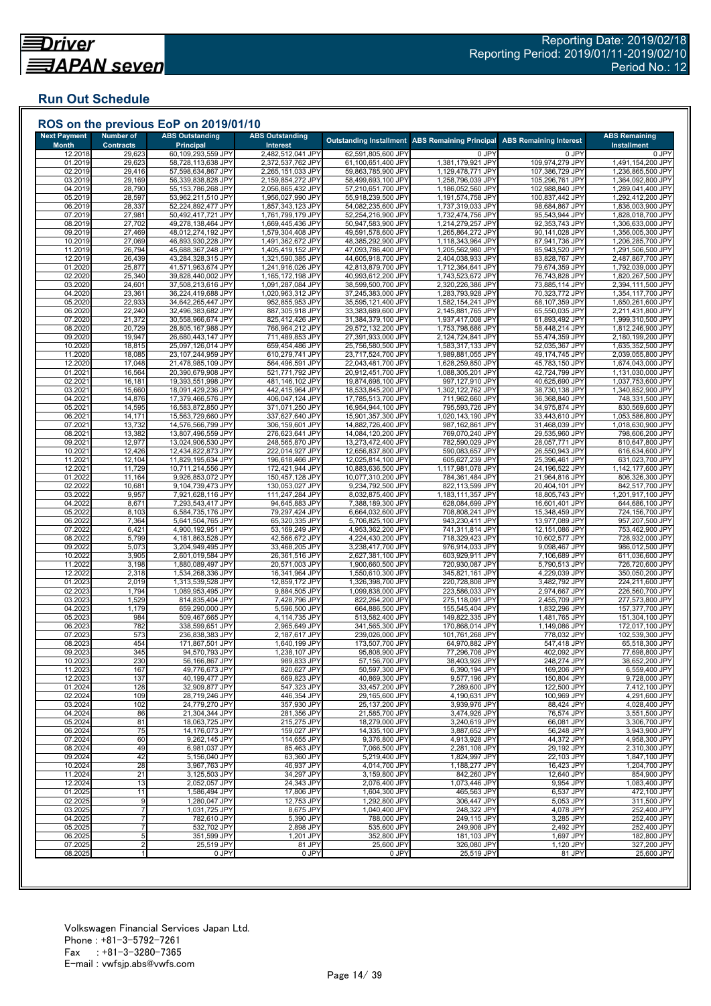## **Run Out Schedule**

| <b>Next Payment</b><br><b>Month</b> | <b>Number of</b><br><b>Contracts</b> | <b>ABS Outstanding</b><br><b>Principal</b> | <b>ABS Outstanding</b><br><b>Interest</b> |                                          | <b>Outstanding Installment ABS Remaining Principal</b> | <b>ABS Remaining Interest</b>      | <b>ABS Remaining</b><br><b>Installment</b> |
|-------------------------------------|--------------------------------------|--------------------------------------------|-------------------------------------------|------------------------------------------|--------------------------------------------------------|------------------------------------|--------------------------------------------|
| 12.2018                             | 29,623                               | 60,109,293,559 JPY                         | 2,482,512,041 JPY                         | 62,591,805,600 JPY                       | 0 JPY                                                  | 0 JPY                              | 0 JPY                                      |
| 01.2019                             | 29,623                               | 58,728,113,638 JPY                         | 2,372,537,762 JPY                         | 61,100,651,400 JPY                       | 1,381,179,921 JPY                                      | 109,974,279 JPY                    | 1,491,154,200 JPY                          |
| 02.2019<br>03.2019                  | 29,416<br>29,169                     | 57,598,634,867 JPY<br>56,339,838,828 JPY   | 2,265,151,033 JPY<br>2,159,854,272 JPY    | 59,863,785,900 JPY<br>58,499,693,100 JPY | 1,129,478,771 JPY<br>1,258,796,039 JPY                 | 107,386,729 JPY<br>105,296,761 JPY | 1,236,865,500 JPY<br>1,364,092,800 JPY     |
| 04.2019                             | 28,790                               | 55, 153, 786, 268 JPY                      | 2,056,865,432 JPY                         | 57,210,651,700 JPY                       | 1,186,052,560 JPY                                      | 102,988,840 JPY                    | 1,289,041,400 JPY                          |
| 05.2019                             | 28,597                               | 53,962,211,510 JPY                         | 1,956,027,990 JPY                         | 55,918,239,500 JPY                       | 1,191,574,758 JPY                                      | 100,837,442 JPY                    | 1,292,412,200 JPY                          |
| 06.2019                             | 28,337                               | 52,224,892,477 JPY                         | 1,857,343,123 JPY                         | 54,082,235,600 JPY                       | 1,737,319,033 JPY                                      | 98,684,867 JPY                     | 1,836,003,900 JPY                          |
| 07.2019<br>08.2019                  | 27,981<br>27,702                     | 50,492,417,721 JPY<br>49,278,138,464 JPY   | 1,761,799,179 JPY<br>1,669,445,436 JPY    | 52,254,216,900 JPY<br>50,947,583,900 JPY | 1,732,474,756 JPY<br>1,214,279,257 JPY                 | 95,543,944 JPY<br>92,353,743 JPY   | 1,828,018,700 JPY<br>1,306,633,000 JPY     |
| 09.2019                             | 27,469                               | 48,012,274,192 JPY                         | 1,579,304,408 JPY                         | 49,591,578,600 JPY                       | 1,265,864,272 JPY                                      | 90,141,028 JPY                     | 1,356,005,300 JPY                          |
| 10.2019                             | 27,069                               | 46,893,930,228 JPY                         | 1,491,362,672 JPY                         | 48,385,292,900 JPY                       | 1,118,343,964 JPY                                      | 87,941,736 JPY                     | 1,206,285,700 JPY                          |
| 11.2019<br>12.2019                  | 26,794<br>26,439                     | 45,688,367,248 JPY<br>43,284,328,315 JPY   | 1,405,419,152 JPY<br>1,321,590,385 JPY    | 47,093,786,400 JPY<br>44,605,918,700 JPY | 1,205,562,980 JPY<br>2,404,038,933 JPY                 | 85,943,520 JPY<br>83,828,767 JPY   | 1,291,506,500 JPY<br>2,487,867,700 JPY     |
| 01.2020                             | 25,877                               | 41,571,963,674 JPY                         | 1,241,916,026 JPY                         | 42,813,879,700 JPY                       | 1,712,364,641 JPY                                      | 79,674,359 JPY                     | 1,792,039,000 JPY                          |
| 02.2020                             | 25,340                               | 39,828,440,002 JPY                         | 1,165,172,198 JPY                         | 40,993,612,200 JPY                       | 1,743,523,672 JPY                                      | 76,743,828 JPY                     | 1,820,267,500 JPY                          |
| 03.2020                             | 24,601                               | 37,508,213,616 JPY                         | 1,091,287,084 JPY                         | 38,599,500,700 JPY                       | 2,320,226,386 JPY                                      | 73,885,114 JPY                     | 2,394,111,500 JPY                          |
| 04.2020<br>05.2020                  | 23,361<br>22,933                     | 36,224,419,688 JPY<br>34,642,265,447 JPY   | 1,020,963,312 JPY<br>952,855,953 JPY      | 37,245,383,000 JPY<br>35,595,121,400 JPY | 1,283,793,928 JPY<br>1,582,154,241 JPY                 | 70,323,772 JPY<br>68,107,359 JPY   | 1,354,117,700 JPY<br>1,650,261,600 JPY     |
| 06.2020                             | 22,240                               | 32,496,383,682 JPY                         | 887,305,918 JPY                           | 33,383,689,600 JPY                       | 2,145,881,765 JPY                                      | 65,550,035 JPY                     | 2,211,431,800 JPY                          |
| 07.2020                             | 21,372                               | 30,558,966,674 JPY                         | 825,412,426 JPY                           | 31,384,379,100 JPY                       | 1,937,417,008 JPY                                      | 61,893,492 JPY                     | 1,999,310,500 JPY                          |
| 08.2020                             | 20,729                               | 28,805,167,988 JPY                         | 766,964,212 JPY                           | 29,572,132,200 JPY                       | 1,753,798,686 JPY                                      | 58,448,214 JPY                     | 1,812,246,900 JPY                          |
| 09.2020<br>10.2020                  | 19,947<br>18,815                     | 26,680,443,147 JPY<br>25,097,126,014 JPY   | 711,489,853 JPY<br>659,454,486 JPY        | 27,391,933,000 JPY<br>25,756,580,500 JPY | 2,124,724,841 JPY<br>1,583,317,133 JPY                 | 55,474,359 JPY<br>52,035,367 JPY   | 2,180,199,200 JPY<br>1,635,352,500 JPY     |
| 11.2020                             | 18,085                               | 23,107,244,959 JPY                         | 610,279,741 JPY                           | 23,717,524,700 JPY                       | 1,989,881,055 JPY                                      | 49,174,745 JPY                     | 2,039,055,800 JPY                          |
| 12.2020                             | 17,048                               | 21,478,985,109 JPY                         | 564,496,591 JPY                           | 22,043,481,700 JPY                       | 1,628,259,850 JPY                                      | 45,783,150 JPY                     | 1,674,043,000 JPY                          |
| 01.2021<br>02.202'                  | 16,564                               | 20,390,679,908 JPY<br>19,393,551,998 JPY   | 521,771,792 JPY                           | 20,912,451,700 JPY<br>19,874,698,100 JPY | 1,088,305,201 JPY                                      | 42,724,799 JPY<br>40,625,690 JPY   | 1,131,030,000 JPY<br>1,037,753,600 JPY     |
| 03.2021                             | 16,181<br>15,660                     | 18,091,429,236 JPY                         | 481,146,102 JPY<br>442,415,964 JPY        | 18,533,845,200 JPY                       | 997,127,910 JPY<br>1,302,122,762 JPY                   | 38,730,138 JPY                     | 1,340,852,900 JPY                          |
| 04.202'                             | 14,876                               | 17,379,466,576 JPY                         | 406,047,124 JPY                           | 17,785,513,700 JPY                       | 711,962,660 JPY                                        | 36,368,840 JPY                     | 748,331,500 JPY                            |
| 05.202                              | 14,595                               | 16,583,872,850 JPY                         | 371,071,250 JPY                           | 16,954,944,100 JPY                       | 795,593,726 JPY                                        | 34,975,874 JPY                     | 830,569,600 JPY                            |
| 06.202<br>07.202                    | 14,171<br>13,732                     | 15,563,729,660 JPY<br>14,576,566,799 JPY   | 337,627,640 JPY<br>306,159,601 JPY        | 15,901,357,300 JPY<br>14,882,726,400 JPY | 1,020,143,190 JPY<br>987,162,861 JPY                   | 33,443,610 JPY<br>31,468,039 JPY   | 1,053,586,800 JPY<br>1,018,630,900 JPY     |
| 08.2021                             | 13,382                               | 13,807,496,559 JPY                         | 276,623,641 JPY                           | 14,084,120,200 JPY                       | 769,070,240 JPY                                        | 29,535,960 JPY                     | 798,606,200 JPY                            |
| 09.202                              | 12,977                               | 13,024,906,530 JPY                         | 248,565,870 JPY                           | 13,273,472,400 JPY                       | 782,590,029 JPY                                        | 28,057,771 JPY                     | 810,647,800 JPY                            |
| 10.202                              | 12,426                               | 12,434,822,873 JPY                         | 222,014,927 JPY                           | 12,656,837,800 JPY                       | 590,083,657 JPY                                        | 26,550,943 JPY                     | 616,634,600 JPY                            |
| 11.202<br>12.2021                   | 12,104<br>11,729                     | 11,829,195,634 JPY<br>10,711,214,556 JPY   | 196,618,466 JPY<br>172,421,944 JPY        | 12,025,814,100 JPY<br>10,883,636,500 JPY | 605,627,239 JPY<br>1,117,981,078 JPY                   | 25,396,461 JPY<br>24,196,522 JPY   | 631,023,700 JPY<br>1,142,177,600 JPY       |
| 01.2022                             | 11,164                               | 9,926,853,072 JPY                          | 150,457,128 JPY                           | 10,077,310,200 JPY                       | 784,361,484 JPY                                        | 21,964,816 JPY                     | 806,326,300 JPY                            |
| 02.202                              | 10,681                               | 9,104,739,473 JPY                          | 130,053,027 JPY                           | 9,234,792,500 JPY                        | 822,113,599 JPY                                        | 20,404,101 JPY                     | 842,517,700 JPY                            |
| 03.2022<br>04.2022                  | 9,957<br>8,671                       | 7,921,628,116 JPY                          | 111,247,284 JPY<br>94,645,883 JPY         | 8,032,875,400 JPY                        | 1,183,111,357 JPY                                      | 18,805,743 JPY                     | 1,201,917,100 JPY<br>644,686,100 JPY       |
| 05.2022                             | 8,103                                | 7,293,543,417 JPY<br>6,584,735,176 JPY     | 79,297,424 JPY                            | 7,388,189,300 JPY<br>6,664,032,600 JPY   | 628,084,699 JPY<br>708,808,241 JPY                     | 16,601,401 JPY<br>15,348,459 JPY   | 724,156,700 JPY                            |
| 06.202                              | 7,364                                | 5,641,504,765 JPY                          | 65,320,335 JPY                            | 5,706,825,100 JPY                        | 943,230,411 JPY                                        | 13,977,089 JPY                     | 957,207,500 JPY                            |
| 07.202                              | 6,421                                | 4,900,192,951 JPY                          | 53,169,249 JPY                            | 4,953,362,200 JPY                        | 741,311,814 JPY                                        | 12,151,086 JPY                     | 753,462,900 JPY                            |
| 08.202<br>09.2022                   | 5,799<br>5,073                       | 4,181,863,528 JPY<br>3,204,949,495 JPY     | 42,566,672 JPY<br>33,468,205 JPY          | 4,224,430,200 JPY<br>3,238,417,700 JPY   | 718,329,423 JPY<br>976,914,033 JPY                     | 10,602,577 JPY<br>9,098,467 JPY    | 728,932,000 JPY<br>986,012,500 JPY         |
| 10.2022                             | 3,905                                | 2,601,019,584 JPY                          | 26,361,516 JPY                            | 2,627,381,100 JPY                        | 603,929,911 JPY                                        | 7,106,689 JPY                      | 611,036,600 JPY                            |
| 11.202                              | 3,198                                | 1,880,089,497 JPY                          | 20,571,003 JPY                            | 1,900,660,500 JPY                        | 720,930,087 JPY                                        | 5,790,513 JPY                      | 726,720,600 JPY                            |
| 12.202                              | 2,318                                | 1,534,268,336 JPY                          | 16,341,964 JPY                            | 1,550,610,300 JPY                        | 345,821,161 JPY                                        | 4,229,039 JPY                      | 350,050,200 JPY                            |
| 01.2023<br>02.2023                  | 2,019<br>1,794                       | 1,313,539,528 JPY<br>1,089,953,495 JPY     | 12,859,172 JPY<br>9,884,505 JPY           | 1,326,398,700 JPY<br>1,099,838,000 JPY   | 220,728,808 JPY<br>223,586,033 JPY                     | 3,482,792 JPY<br>2,974,667 JPY     | 224,211,600 JPY<br>226,560,700 JPY         |
| 03.2023                             | 1,529                                | 814,835,404 JPY                            | 7,428,796 JPY                             | 822,264,200 JPY                          | 275,118,091 JPY                                        | 2,455,709 JPY                      | 277,573,800 JPY                            |
| 04.202                              | 1,179                                | 659,290,000 JPY                            | 5,596,500 JPY                             | 664,886,500 JPY                          | 155,545,404 JPY                                        | 1,832,296 JPY                      | 157,377,700 JPY                            |
| 05.2023<br>06.2023                  | 984<br>782                           | 509,467,665 JPY<br>338,599,651 JPY         | 4,114,735 JPY<br>2,965,649 JPY            | 513,582,400 JPY<br>341,565,300 JPY       | 149,822,335 JPY<br>170,868,014 JPY                     | 1,481,765 JPY<br>1,149,086 JPY     | 151,304,100 JPY<br>172,017,100 JPY         |
| 07.2023                             | 573                                  | 236,838,383 JPY                            | 2,187,617 JPY                             | 239,026,000 JPY                          | 101,761,268 JPY                                        | 778,032 JPY                        | 102,539,300 JPY                            |
| 08.2023                             | 454                                  | 171,867,501 JPY                            | 1,640,199 JPY                             | 173,507,700 JPY                          | 64,970,882 JPY                                         | 547,418 JPY                        | 65,518,300 JPY                             |
| 09.2023                             | 345                                  | 94,570,793 JPY                             | 1,238,107 JPY                             | 95,808,900 JPY                           | 77,296,708 JPY                                         | 402,092 JPY                        | 77,698,800 JPY                             |
| 10.2023<br>11.2023                  | 230<br>167                           | 56,166,867 JPY<br>49,776,673 JPY           | 989,833 JPY<br>820,627 JPY                | 57,156,700 JPY<br>50,597,300 JPY         | 38,403,926 JPY<br>6,390,194 JPY                        | 248,274 JPY<br>169,206 JPY         | 38,652,200 JPY<br>6,559,400 JPY            |
| 12.2023                             | 137                                  | 40,199,477 JPY                             | 669,823 JPY                               | 40,869,300 JPY                           | 9,577,196 JPY                                          | 150,804 JPY                        | 9,728,000 JPY                              |
| 01.2024                             | 128                                  | 32,909,877 JPY                             | 547,323 JPY                               | 33,457,200 JPY                           | 7,289,600 JPY                                          | 122,500 JPY                        | 7,412,100 JPY                              |
| 02.2024                             | 109                                  | 28,719,246 JPY                             | 446,354 JPY                               | 29.165.600 JPY                           | 4,190,631 JPY                                          | 100,969 JPY                        | 4,291,600 JPY                              |
| 03.2024<br>04.2024                  | 102<br>86                            | 24,779,270 JPY<br>21,304,344 JPY           | 357,930 JPY<br>281,356 JPY                | 25,137,200 JPY<br>21,585,700 JPY         | 3,939,976 JPY<br>3,474,926 JPY                         | 88,424 JPY<br>76,574 JPY           | 4,028,400 JPY<br>3,551,500 JPY             |
| 05.2024                             | 81                                   | 18,063,725 JPY                             | 215,275 JPY                               | 18,279,000 JPY                           | 3,240,619 JPY                                          | 66,081 JPY                         | 3,306,700 JPY                              |
| 06.2024                             | 75                                   | 14,176,073 JPY                             | 159,027 JPY                               | 14,335,100 JPY                           | 3,887,652 JPY                                          | 56,248 JPY                         | 3,943,900 JPY                              |
| 07.2024                             | 60                                   | 9,262,145 JPY                              | 114,655 JPY                               | 9,376,800 JPY                            | 4,913,928 JPY                                          | 44,372 JPY                         | 4,958,300 JPY<br>2,310,300 JPY             |
| 08.2024<br>09.2024                  | 49<br>42                             | 6,981,037 JPY<br>5,156,040 JPY             | 85,463 JPY<br>63,360 JPY                  | 7,066,500 JPY<br>5,219,400 JPY           | 2,281,108 JPY<br>1,824,997 JPY                         | 29,192 JPY<br>22,103 JPY           | 1,847,100 JPY                              |
| 10.2024                             | 28                                   | 3,967,763 JPY                              | 46,937 JPY                                | 4,014,700 JPY                            | 1,188,277 JPY                                          | 16,423 JPY                         | 1,204,700 JPY                              |
| 11.2024                             | 21                                   | 3,125,503 JPY                              | 34,297 JPY                                | 3,159,800 JPY                            | 842,260 JPY                                            | 12,640 JPY                         | 854,900 JPY                                |
| 12.2024<br>01.2025                  | 13<br>11                             | 2,052,057 JPY                              | 24,343 JPY<br>17,806 JPY                  | 2,076,400 JPY                            | 1,073,446 JPY                                          | 9,954 JPY<br>6,537 JPY             | 1,083,400 JPY<br>472,100 JPY               |
| 02.2025                             | 9                                    | 1,586,494 JPY<br>1,280,047 JPY             | 12,753 JPY                                | 1,604,300 JPY<br>1.292.800 JPY           | 465,563 JPY<br>306,447 JPY                             | 5,053 JPY                          | 311,500 JPY                                |
| 03.2025                             |                                      | 1,031,725 JPY                              | 8,675 JPY                                 | 1,040,400 JPY                            | 248,322 JPY                                            | 4,078 JPY                          | 252,400 JPY                                |
| 04.2025                             |                                      | 782,610 JPY                                | 5,390 JPY                                 | 788,000 JPY                              | 249,115 JPY                                            | 3,285 JPY                          | 252,400 JPY                                |
| 05.2025<br>06.2025                  | $\overline{7}$<br>5                  | 532,702 JPY<br>351,599 JPY                 | 2,898 JPY<br>1,201 JPY                    | 535,600 JPY<br>352,800 JPY               | 249,908 JPY<br>181,103 JPY                             | 2,492 JPY<br>1,697 JPY             | 252,400 JPY<br>182,800 JPY                 |
| 07.2025                             | $\overline{2}$                       | 25,519 JPY                                 | 81 JPY                                    | 25,600 JPY                               | 326,080 JPY                                            | 1,120 JPY                          | 327,200 JPY                                |
| 08.2025                             |                                      | 0 JPY                                      | 0 JPY                                     | 0 JPY                                    | 25,519 JPY                                             | 81 JPY                             | 25,600 JPY                                 |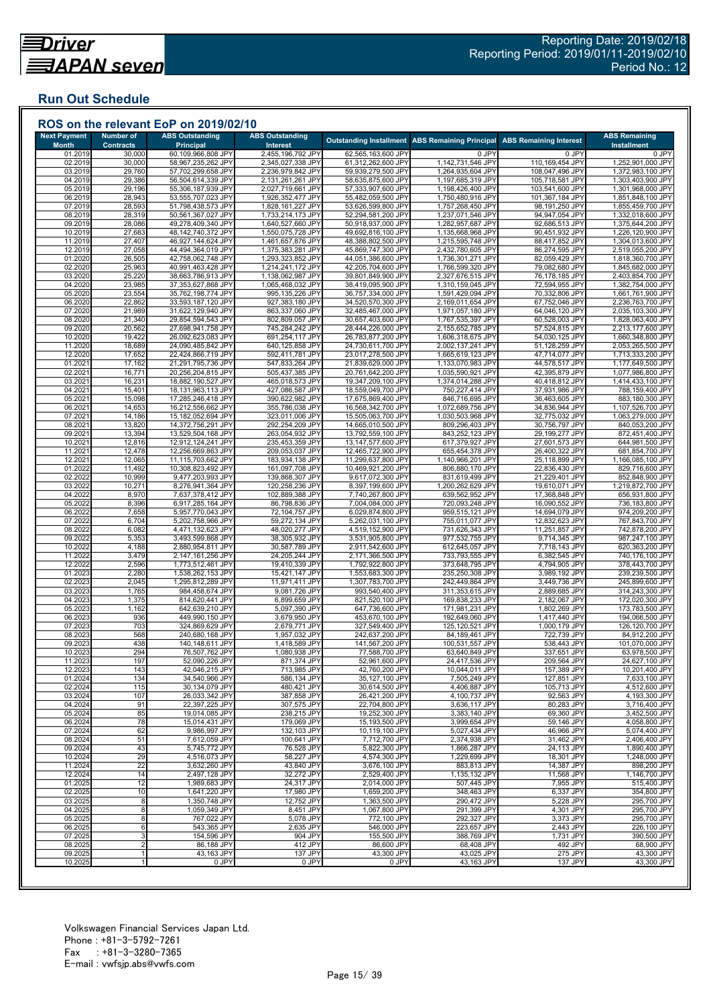## **Run Out Schedule**

| <b>Next Payment</b>     | <b>Number of</b>           | <b>ABS Outstanding</b>                   | <b>ABS Outstanding</b>                 |                                          | Outstanding Installment ABS Remaining Principal | <b>ABS Remaining Interest</b>      | <b>ABS Remaining</b>                   |
|-------------------------|----------------------------|------------------------------------------|----------------------------------------|------------------------------------------|-------------------------------------------------|------------------------------------|----------------------------------------|
| <b>Month</b><br>01.2019 | <b>Contracts</b><br>30,000 | <b>Principal</b><br>60,109,966,808 JPY   | Interest<br>2,455,196,792 JPY          | 62,565,163,600 JPY                       | 0 JPY                                           | 0 JPY                              | <b>Installment</b><br>0 JPY            |
| 02.2019                 | 30,000                     | 58,967,235,262 JPY                       | 2,345,027,338 JPY                      | 61,312,262,600 JPY                       | 1,142,731,546 JPY                               | 110,169,454 JPY                    | 1,252,901,000 JPY                      |
| 03.2019                 | 29,760                     | 57,702,299,658 JPY                       | 2,236,979,842 JPY                      | 59,939,279,500 JPY                       | 1,264,935,604 JPY                               | 108,047,496 JPY                    | 1,372,983,100 JPY                      |
| 04.2019                 | 29,386                     | 56,504,614,339 JPY                       | 2,131,261,261 JPY                      | 58,635,875,600 JPY<br>57,333,907,600 JPY | 1,197,685,319 JPY                               | 105,718,581 JPY                    | 1,303,403,900 JPY<br>1,301,968,000 JPY |
| 05.2019<br>06.2019      | 29,196<br>28,943           | 55,306,187,939 JPY<br>53,555,707,023 JPY | 2,027,719,661 JPY<br>1,926,352,477 JPY | 55,482,059,500 JPY                       | 1,198,426,400 JPY<br>1,750,480,916 JPY          | 103,541,600 JPY<br>101,367,184 JPY | 1,851,848,100 JPY                      |
| 07.2019                 | 28,593                     | 51,798,438,573 JPY                       | 1,828,161,227 JPY                      | 53,626,599,800 JPY                       | 1,757,268,450 JPY                               | 98,191,250 JPY                     | 1,855,459,700 JPY                      |
| 08.2019                 | 28,319                     | 50,561,367,027 JPY                       | 1,733,214,173 JPY                      | 52,294,581,200 JPY                       | 1,237,071,546 JPY                               | 94,947,054 JPY                     | 1,332,018,600 JPY                      |
| 09.2019                 | 28,086                     | 49,278,409,340 JPY                       | 1,640,527,660 JPY                      | 50,918,937,000 JPY                       | 1,282,957,687 JPY                               | 92,686,513 JPY                     | 1,375,644,200 JPY                      |
| 10.2019                 | 27,683                     | 48,142,740,372 JPY                       | 1,550,075,728 JPY                      | 49,692,816,100 JPY                       | 1,135,668,968 JPY                               | 90,451,932 JPY<br>88,417,852 JPY   | 1,226,120,900 JPY                      |
| 11.2019<br>12.2019      | 27,407<br>27,058           | 46,927,144,624 JPY<br>44,494,364,019 JPY | 1,461,657,876 JPY<br>1,375,383,281 JPY | 48,388,802,500 JPY<br>45,869,747,300 JPY | 1,215,595,748 JPY<br>2,432,780,605 JPY          | 86,274,595 JPY                     | 1,304,013,600 JPY<br>2,519,055,200 JPY |
| 01.2020                 | 26,505                     | 42,758,062,748 JPY                       | 1,293,323,852 JPY                      | 44,051,386,600 JPY                       | 1,736,301,271 JPY                               | 82,059,429 JPY                     | 1,818,360,700 JPY                      |
| 02.2020                 | 25,963                     | 40,991,463,428 JPY                       | 1,214,241,172 JPY                      | 42,205,704,600 JPY                       | 1,766,599,320 JPY                               | 79,082,680 JPY                     | 1,845,682,000 JPY                      |
| 03.2020                 | 25,220                     | 38,663,786,913 JPY                       | 1,138,062,987 JPY                      | 39,801,849,900 JPY                       | 2,327,676,515 JPY                               | 76,178,185 JPY                     | 2,403,854,700 JPY                      |
| 04.2020<br>05.2020      | 23,985<br>23,554           | 37,353,627,868 JPY<br>35,762,198,774 JPY | 1,065,468,032 JPY<br>995,135,226 JPY   | 38,419,095,900 JPY<br>36,757,334,000 JPY | 1,310,159,045 JPY<br>1,591,429,094 JPY          | 72,594,955 JPY<br>70,332,806 JPY   | 1,382,754,000 JPY<br>1,661,761,900 JPY |
| 06.2020                 | 22,862                     | 33,593,187,120 JPY                       | 927,383,180 JPY                        | 34,520,570,300 JPY                       | 2,169,011,654 JPY                               | 67,752,046 JPY                     | 2,236,763,700 JPY                      |
| 07.2020                 | 21,989                     | 31,622,129,940 JPY                       | 863,337,060 JPY                        | 32,485,467,000 JPY                       | 1,971,057,180 JPY                               | 64,046,120 JPY                     | 2,035,103,300 JPY                      |
| 08.2020                 | 21,340                     | 29,854,594,543 JPY                       | 802,809,057 JPY                        | 30,657,403,600 JPY                       | 1,767,535,397 JPY                               | 60,528,003 JPY                     | 1,828,063,400 JPY                      |
| 09.2020                 | 20,562                     | 27,698,941,758 JPY                       | 745,284,242 JPY                        | 28,444,226,000 JPY                       | 2,155,652,785 JPY                               | 57,524,815 JPY                     | 2,213,177,600 JPY                      |
| 10.2020<br>11.2020      | 19,422<br>18,689           | 26,092,623,083 JPY<br>24,090,485,842 JPY | 691,254,117 JPY<br>640,125,858 JPY     | 26,783,877,200 JPY<br>24,730,611,700 JPY | 1,606,318,675 JPY<br>2,002,137,241 JPY          | 54,030,125 JPY<br>51,128,259 JPY   | 1,660,348,800 JPY<br>2,053,265,500 JPY |
| 12.2020                 | 17,652                     | 22,424,866,719 JPY                       | 592,411,781 JPY                        | 23,017,278,500 JPY                       | 1,665,619,123 JPY                               | 47,714,077 JPY                     | 1,713,333,200 JPY                      |
| 01.202                  | 17,162                     | 21,291,795,736 JPY                       | 547,833,264 JPY                        | 21,839,629,000 JPY                       | 1,133,070,983 JPY                               | 44,578,517 JPY                     | 1,177,649,500 JPY                      |
| 02.2021                 | 16,771                     | 20,256,204,815 JPY                       | 505,437,385 JPY                        | 20,761,642,200 JPY                       | 1,035,590,921 JPY                               | 42,395,879 JPY                     | 1,077,986,800 JPY                      |
| 03.202                  | 16,231                     | 18,882,190,527 JPY                       | 465,018,573 JPY                        | 19,347,209,100 JPY                       | 1,374,014,288 JPY                               | 40,418,812 JPY                     | 1,414,433,100 JPY                      |
| 04.2021                 | 15,401                     | 18,131,963,113 JPY<br>17,285,246,418 JPY | 427,086,587 JPY<br>390,622,982 JPY     | 18,559,049,700 JPY<br>17,675,869,400 JPY | 750,227,414 JPY<br>846,716,695 JPY              | 37,931,986 JPY                     | 788,159,400 JPY                        |
| 05.202<br>06.2021       | 15,098<br>14,653           | 16,212,556,662 JPY                       | 355,786,038 JPY                        | 16,568,342,700 JPY                       | 1,072,689,756 JPY                               | 36,463,605 JPY<br>34,836,944 JPY   | 883,180,300 JPY<br>1,107,526,700 JPY   |
| 07.2021                 | 14,186                     | 15,182,052,694 JPY                       | 323,011,006 JPY                        | 15,505,063,700 JPY                       | 1,030,503,968 JPY                               | 32,775,032 JPY                     | 1,063,279,000 JPY                      |
| 08.202                  | 13,820                     | 14,372,756,291 JPY                       | 292,254,209 JPY                        | 14,665,010,500 JPY                       | 809,296,403 JPY                                 | 30,756,797 JPY                     | 840,053,200 JPY                        |
| 09.2021                 | 13,394                     | 13,529,504,168 JPY                       | 263,054,932 JPY                        | 13,792,559,100 JPY                       | 843,252,123 JPY                                 | 29,199,277 JPY                     | 872,451,400 JPY                        |
| 10.202                  | 12,816                     | 12,912,124,241 JPY<br>12,256,669,863 JPY | 235,453,359 JPY                        | 13,147,577,600 JPY                       | 617,379,927 JPY                                 | 27,601,573 JPY                     | 644,981,500 JPY                        |
| 11.202<br>12.202        | 12,478<br>12,065           | 11,115,703,662 JPY                       | 209,053,037 JPY<br>183,934,138 JPY     | 12,465,722,900 JPY<br>11,299,637,800 JPY | 655,454,378 JPY<br>1,140,966,201 JPY            | 26,400,322 JPY<br>25,118,899 JPY   | 681,854,700 JPY<br>1,166,085,100 JPY   |
| 01.2022                 | 11,492                     | 10,308,823,492 JPY                       | 161,097,708 JPY                        | 10,469,921,200 JPY                       | 806,880,170 JPY                                 | 22,836,430 JPY                     | 829,716,600 JPY                        |
| 02.2022                 | 10,999                     | 9,477,203,993 JPY                        | 139,868,307 JPY                        | 9,617,072,300 JPY                        | 831,619,499 JPY                                 | 21,229,401 JPY                     | 852,848,900 JPY                        |
| 03.2022                 | 10,271                     | 8,276,941,364 JPY                        | 120,258,236 JPY                        | 8,397,199,600 JPY                        | 1,200,262,629 JPY                               | 19,610,071 JPY                     | 1,219,872,700 JPY                      |
| 04.2022                 | 8,970                      | 7,637,378,412 JPY                        | 102,889,388 JPY                        | 7,740,267,800 JPY                        | 639,562,952 JPY                                 | 17,368,848 JPY                     | 656,931,800 JPY                        |
| 05.2022<br>06.2022      | 8,396<br>7,658             | 6,917,285,164 JPY<br>5,957,770,043 JPY   | 86,798,836 JPY<br>72,104,757 JPY       | 7,004,084,000 JPY<br>6,029,874,800 JPY   | 720,093,248 JPY<br>959,515,121 JPY              | 16,090,552 JPY<br>14,694,079 JPY   | 736,183,800 JPY<br>974,209,200 JPY     |
| 07.202                  | 6,704                      | 5,202,758,966 JPY                        | 59,272,134 JPY                         | 5,262,031,100 JPY                        | 755,011,077 JPY                                 | 12,832,623 JPY                     | 767,843,700 JPY                        |
| 08.202                  | 6,082                      | 4,471,132,623 JPY                        | 48,020,277 JPY                         | 4,519,152,900 JPY                        | 731,626,343 JPY                                 | 11,251,857 JPY                     | 742,878,200 JPY                        |
| 09.2022                 | 5,353                      | 3,493,599,868 JPY                        | 38,305,932 JPY                         | 3,531,905,800 JPY                        | 977,532,755 JPY                                 | 9,714,345 JPY                      | 987,247,100 JPY                        |
| 10.2022<br>11.202       | 4,188<br>3,479             | 2,880,954,811 JPY<br>2,147,161,256 JPY   | 30,587,789 JPY<br>24,205,244 JPY       | 2,911,542,600 JPY<br>2,171,366,500 JPY   | 612,645,057 JPY<br>733,793,555 JPY              | 7,718,143 JPY<br>6,382,545 JPY     | 620,363,200 JPY<br>740,176,100 JPY     |
| 12.202                  | 2,596                      | 1,773,512,461 JPY                        | 19,410,339 JPY                         | 1,792,922,800 JPY                        | 373,648,795 JPY                                 | 4,794,905 JPY                      | 378,443,700 JPY                        |
| 01.2023                 | 2,280                      | 1,538,262,153 JPY                        | 15,421,147 JPY                         | 1,553,683,300 JPY                        | 235,250,308 JPY                                 | 3,989,192 JPY                      | 239,239,500 JPY                        |
| 02.2023                 | 2,045                      | 1,295,812,289 JPY                        | 11,971,411 JPY                         | 1,307,783,700 JPY                        | 242,449,864 JPY                                 | 3,449,736 JPY                      | 245,899,600 JPY                        |
| 03.2023                 | 1,765                      | 984,458,674 JPY                          | 9,081,726 JPY                          | 993,540,400 JPY                          | 311,353,615 JPY                                 | 2,889,685 JPY                      | 314,243,300 JPY                        |
| 04.2023                 | 1,375                      | 814,620,441 JPY                          | 6,899,659 JPY                          | 821,520,100 JPY                          | 169,838,233 JPY                                 | 2,182,067 JPY                      | 172,020,300 JPY                        |
| 05.202<br>06.2023       | 1,162<br>936               | 642,639,210 JPY<br>449,990,150 JPY       | 5,097,390 JPY<br>3,679,950 JPY         | 647,736,600 JPY<br>453,670,100 JPY       | 171,981,231 JPY<br>192,649,060 JPY              | 1,802,269 JPY<br>1,417,440 JPY     | 173,783,500 JPY<br>194,066,500 JPY     |
| 07.2023                 | 703                        | 324,869,629 JPY                          | 2,679,771 JPY                          | 327,549,400 JPY                          | 125,120,521 JPY                                 | 1,000,179 JPY                      | 126,120,700 JPY                        |
| 08.2023                 | 568                        | 240,680,168 JPY                          | 1,957,032 JPY                          | 242,637,200 JPY                          | 84,189,461 JPY                                  | 722,739 JPY                        | 84,912,200 JPY                         |
| 09.2023                 | 438                        | 140,148,611 JPY                          | 1,418,589 JPY                          | 141,567,200 JPY                          | 100,531,557 JPY                                 | 538,443 JPY                        | 101,070,000 JPY                        |
| 10.2023                 | 294                        | 76,507,762 JPY<br>52,090,226 JPY         | 1,080,938 JPY                          | 77,588,700 JPY                           | 63,640,849 JPY<br>24,417,536 JPY                | 337,651 JPY                        | 63,978,500 JPY                         |
| 11.2023<br>12.2023      | 197<br>143                 | 42,046,215 JPY                           | 871,374 JPY<br>713,985 JPY             | 52,961,600 JPY<br>42,760,200 JPY         | 10,044,011 JPY                                  | 209,564 JPY<br>157,389 JPY         | 24,627,100 JPY<br>10,201,400 JPY       |
| 01.2024                 | 134                        | 34,540,966 JPY                           | 586,134 JPY                            | 35,127,100 JPY                           | 7,505,249 JPY                                   | 127,851 JPY                        | 7,633,100 JPY                          |
| 02.2024                 | 115                        | 30,134,079 JPY                           | 480,421 JPY                            | 30,614,500 JPY                           | 4,406,887 JPY                                   | 105,713 JPY                        | 4,512,600 JPY                          |
| 03.2024                 | 107                        | 26,033,342 JPY                           | 387,858 JPY                            | 26,421,200 JPY                           | 4.100.737 JPY                                   | 92,563 JPY                         | 4,193,300 JPY                          |
| 04.2024                 | 91                         | 22,397,225 JPY                           | 307,575 JPY                            | 22,704,800 JPY                           | 3,636,117 JPY                                   | 80,283 JPY                         | 3,716,400 JPY                          |
| 05.2024<br>06.2024      | 85<br>78                   | 19,014,085 JPY<br>15,014,431 JPY         | 238,215 JPY<br>179,069 JPY             | 19,252,300 JPY<br>15,193,500 JPY         | 3,383,140 JPY<br>3,999,654 JPY                  | 69,360 JPY<br>59,146 JPY           | 3,452,500 JPY<br>4,058,800 JPY         |
| 07.2024                 | 62                         | 9,986,997 JPY                            | 132,103 JPY                            | 10,119,100 JPY                           | 5,027,434 JPY                                   | 46,966 JPY                         | 5,074,400 JPY                          |
| 08.2024                 | 51                         | 7,612,059 JPY                            | 100,641 JPY                            | 7,712,700 JPY                            | 2,374,938 JPY                                   | 31,462 JPY                         | 2,406,400 JPY                          |
| 09.2024                 | 43                         | 5,745,772 JPY                            | 76,528 JPY                             | 5,822,300 JPY                            | 1,866,287 JPY                                   | 24,113 JPY                         | 1,890,400 JPY                          |
| 10.2024                 | 29                         | 4,516,073 JPY                            | 58,227 JPY                             | 4,574,300 JPY                            | 1,229,699 JPY                                   | 18,301 JPY                         | 1,248,000 JPY                          |
| 11.2024<br>12.2024      | 22<br>14                   | 3,632,260 JPY<br>2,497,128 JPY           | 43,840 JPY<br>32,272 JPY               | 3,676,100 JPY<br>2,529,400 JPY           | 883,813 JPY<br>1,135,132 JPY                    | 14,387 JPY<br>11,568 JPY           | 898,200 JPY<br>1,146,700 JPY           |
| 01.2025                 | 12                         | 1,989,683 JPY                            | 24,317 JPY                             | 2.014.000 JPY                            | 507.445 JPY                                     | 7,955 JPY                          | 515,400 JPY                            |
| 02.2025                 | 10                         | 1,641,220 JPY                            | 17,980 JPY                             | 1,659,200 JPY                            | 348,463 JPY                                     | 6,337 JPY                          | 354,800 JPY                            |
| 03.2025                 | 8                          | 1,350,748 JPY                            | 12,752 JPY                             | 1,363,500 JPY                            | 290,472 JPY                                     | 5,228 JPY                          | 295,700 JPY                            |
| 04.2025                 | 8                          | 1,059,349 JPY                            | 8,451 JPY                              | 1,067,800 JPY                            | 291,399 JPY                                     | 4,301 JPY                          | 295,700 JPY                            |
| 05.2025                 | 8                          | 767,022 JPY                              | 5,078 JPY                              | 772,100 JPY                              | 292,327 JPY                                     | 3,373 JPY                          | 295,700 JPY                            |
| 06.2025<br>07.2025      | 6<br>3                     | 543,365 JPY<br>154,596 JPY               | 2,635 JPY<br>904 JPY                   | 546,000 JPY<br>155,500 JPY               | 223,657 JPY<br>388,769 JPY                      | 2,443 JPY<br>1,731 JPY             | 226,100 JPY<br>390,500 JPY             |
| 08.2025                 | $\overline{2}$             | 86,188 JPY                               | 412 JPY                                | 86,600 JPY                               | 68,408 JPY                                      | 492 JPY                            | 68,900 JPY                             |
| 09.2025                 |                            | 43,163 JPY                               | 137 JPY                                | 43,300 JPY                               | 43,025 JPY                                      | 275 JPY                            | 43,300 JPY                             |
|                         |                            | 0 JPY                                    | 0 JPY                                  | 0 JPY                                    | 43,163 JPY                                      | 137 JPY                            | 43,300 JPY                             |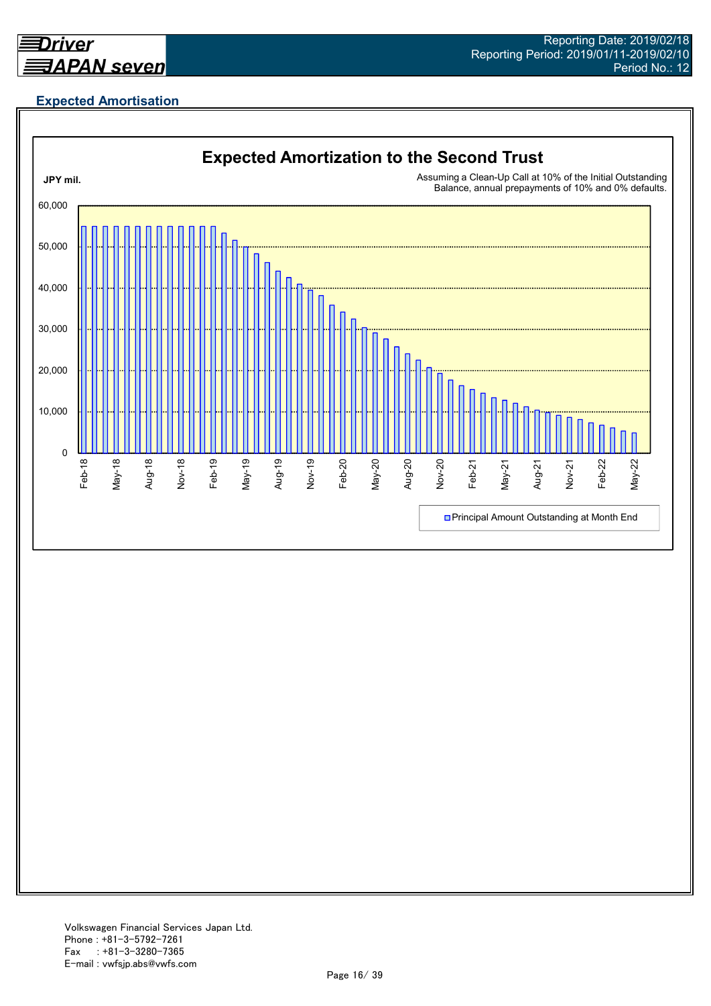

# **Expected Amortisation**

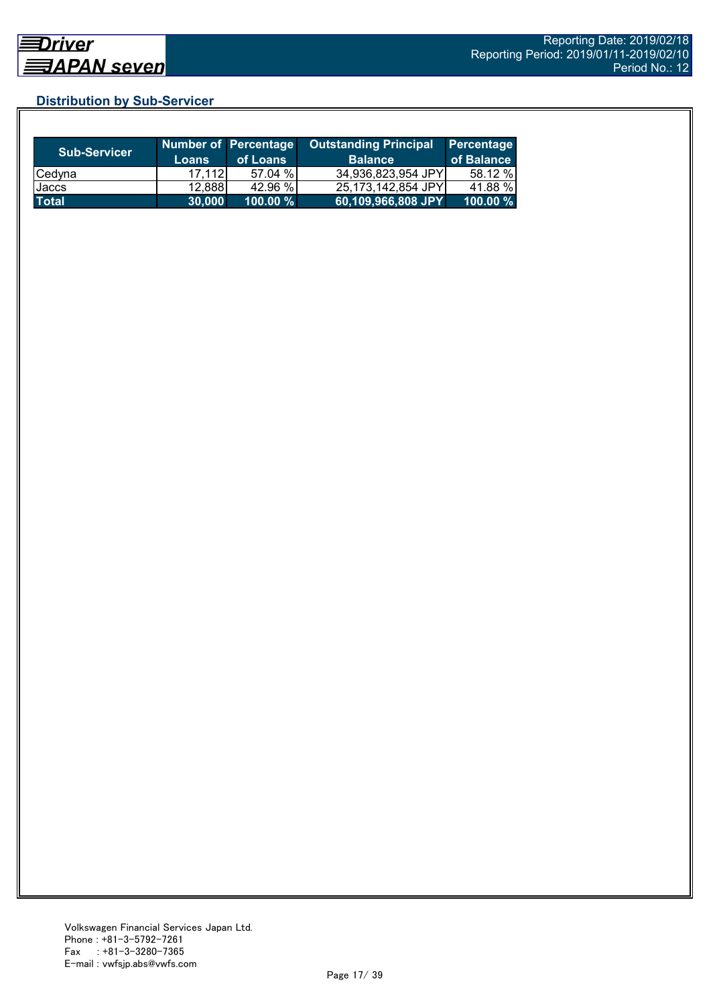## **Distribution by Sub-Servicer**

| <b>Sub-Servicer</b> | Loans  | Number of Percentage<br>of Loans | <b>Outstanding Principal</b><br><b>Balance</b> | Percentage<br>of Balance |
|---------------------|--------|----------------------------------|------------------------------------------------|--------------------------|
| Cedyna              | 17.112 | 57.04 %                          | 34,936,823,954 JPY                             | 58.12 %                  |
| Jaccs               | 12,888 | 42.96 %                          | 25,173,142,854 JPY                             | 41.88 %                  |
| <b>Total</b>        | 30.000 | $100.00 \%$                      | 60,109,966,808 JPY                             | 100.00 %                 |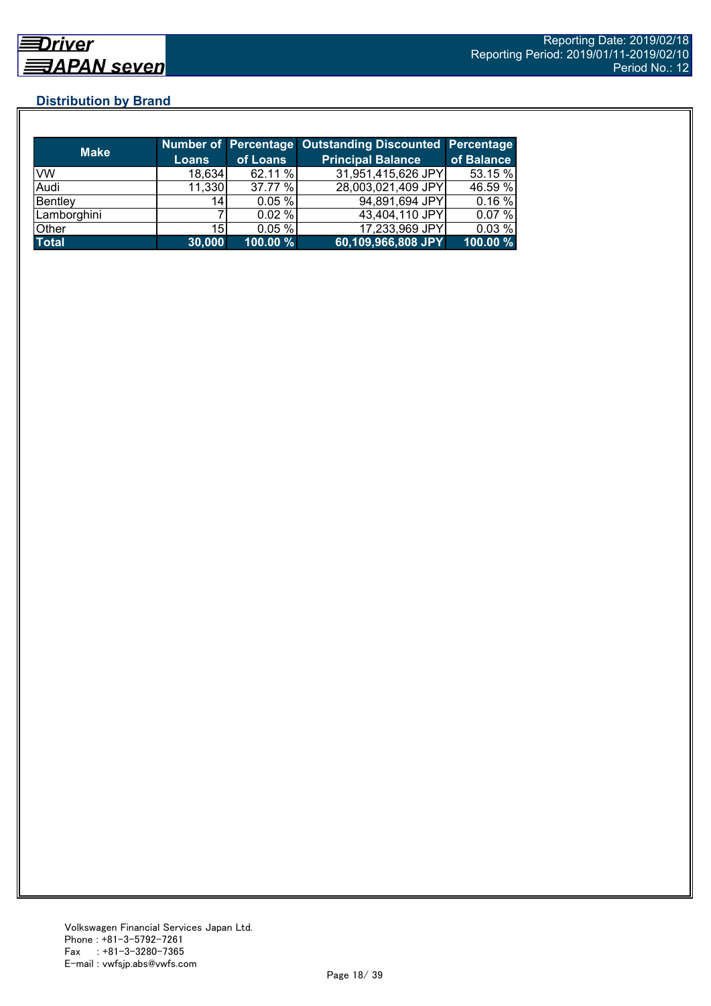## **Distribution by Brand**

| <b>Make</b>  |                 |          | Number of Percentage Outstanding Discounted Percentage |            |
|--------------|-----------------|----------|--------------------------------------------------------|------------|
|              | <b>Loans</b>    | of Loans | <b>Principal Balance</b>                               | of Balance |
| <b>VW</b>    | 18,634          | 62.11 %  | 31,951,415,626 JPY                                     | 53.15 %    |
| Audi         | 11,330          | 37.77 %  | 28,003,021,409 JPY                                     | 46.59 %    |
| Bentley      | 14              | 0.05%    | 94,891,694 JPY                                         | 0.16%      |
| Lamborghini  |                 | 0.02%    | 43,404,110 JPY                                         | 0.07%      |
| Other        | 15 <sub>l</sub> | 0.05%    | 17,233,969 JPY                                         | 0.03%      |
| <b>Total</b> | 30,000          | 100.00 % | 60,109,966,808 JPY                                     | 100.00 %   |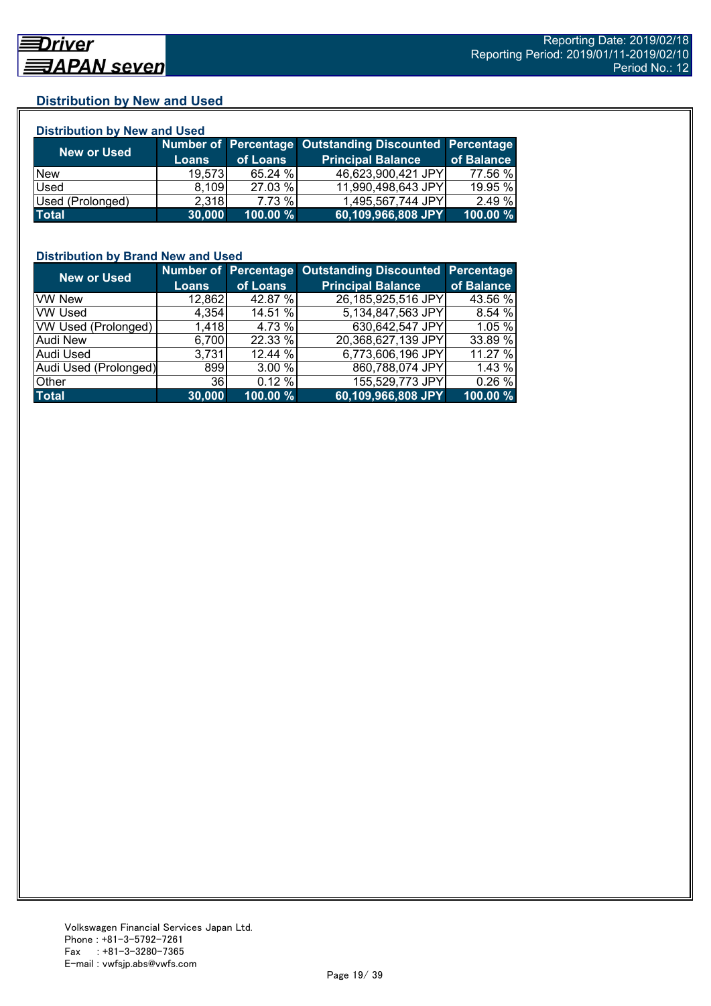## **Distribution by New and Used**

| <b>Distribution by New and Used</b> |              |          |                                                        |            |  |  |
|-------------------------------------|--------------|----------|--------------------------------------------------------|------------|--|--|
|                                     |              |          | Number of Percentage Outstanding Discounted Percentage |            |  |  |
| <b>New or Used</b>                  | <b>Loans</b> | of Loans | <b>Principal Balance</b>                               | of Balance |  |  |
| <b>New</b>                          | 19,573       | 65.24 %  | 46,623,900,421 JPY                                     | 77.56 %    |  |  |
| Used                                | 8,109        | 27.03 %  | 11,990,498,643 JPY                                     | 19.95 %    |  |  |
| Used (Prolonged)                    | 2,318        | 7.73 %   | 1,495,567,744 JPY                                      | 2.49 %     |  |  |
| <b>Total</b>                        | 30,000       | 100.00 % | 60,109,966,808 JPY                                     | 100.00 %   |  |  |

## **Distribution by Brand New and Used**

| <b>New or Used</b>    |              |          | Number of Percentage Outstanding Discounted Percentage |            |
|-----------------------|--------------|----------|--------------------------------------------------------|------------|
|                       | <b>Loans</b> | of Loans | <b>Principal Balance</b>                               | of Balance |
| <b>VW New</b>         | 12,862       | 42.87 %  | 26,185,925,516 JPY                                     | 43.56 %    |
| <b>VW Used</b>        | 4,354        | 14.51 %  | 5,134,847,563 JPY                                      | 8.54%      |
| VW Used (Prolonged)   | 1,418        | 4.73 %   | 630,642,547 JPY                                        | 1.05 %     |
| <b>Audi New</b>       | 6,700        | 22.33 %  | 20,368,627,139 JPY                                     | 33.89 %    |
| Audi Used             | 3,731        | 12.44 %  | 6,773,606,196 JPY                                      | 11.27 %    |
| Audi Used (Prolonged) | 899          | 3.00 %   | 860,788,074 JPY                                        | 1.43 %     |
| Other                 | 36           | 0.12%    | 155,529,773 JPY                                        | 0.26%      |
| <b>Total</b>          | 30,000       | 100.00 % | 60,109,966,808 JPY                                     | 100.00 %   |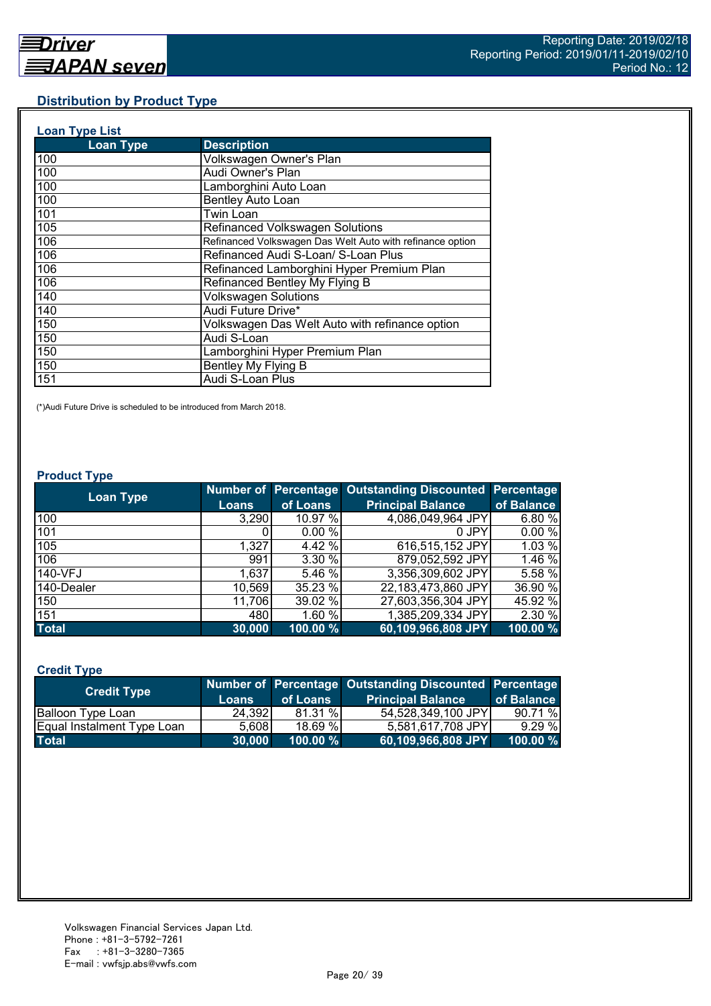## **Distribution by Product Type**

| <b>Loan Type List</b> |                                                           |
|-----------------------|-----------------------------------------------------------|
| <b>Loan Type</b>      | <b>Description</b>                                        |
| 100                   | Volkswagen Owner's Plan                                   |
| 100                   | Audi Owner's Plan                                         |
| 100                   | Lamborghini Auto Loan                                     |
| 100                   | <b>Bentley Auto Loan</b>                                  |
| 101                   | Twin Loan                                                 |
| 105                   | Refinanced Volkswagen Solutions                           |
| 106                   | Refinanced Volkswagen Das Welt Auto with refinance option |
| 106                   | Refinanced Audi S-Loan/ S-Loan Plus                       |
| 106                   | Refinanced Lamborghini Hyper Premium Plan                 |
| 106                   | Refinanced Bentley My Flying B                            |
| 140                   | <b>Volkswagen Solutions</b>                               |
| 140                   | Audi Future Drive*                                        |
| 150                   | Volkswagen Das Welt Auto with refinance option            |
| 150                   | Audi S-Loan                                               |
| 150                   | Lamborghini Hyper Premium Plan                            |
| 150                   | Bentley My Flying B                                       |
| 151                   | Audi S-Loan Plus                                          |

(\*)Audi Future Drive is scheduled to be introduced from March 2018.

#### **Product Type**

| <b>Loan Type</b> |              |          | <b>Number of Percentage Outstanding Discounted</b> | Percentage |
|------------------|--------------|----------|----------------------------------------------------|------------|
|                  | <b>Loans</b> | of Loans | <b>Principal Balance</b>                           | of Balance |
| 100              | 3,290        | 10.97 %  | 4,086,049,964 JPY                                  | 6.80 %     |
| 101              |              | 0.00%    | 0 JPY                                              | 0.00%      |
| 105              | 1,327        | 4.42 %   | 616,515,152 JPY                                    | 1.03 %     |
| 106              | 991          | 3.30 %   | 879,052,592 JPY                                    | 1.46 %     |
| 140-VFJ          | 1,637        | 5.46%    | 3,356,309,602 JPY                                  | 5.58 %     |
| 140-Dealer       | 10,569       | 35.23 %  | 22,183,473,860 JPY                                 | 36.90 %    |
| 150              | 11,706       | 39.02 %  | 27,603,356,304 JPY                                 | 45.92 %    |
| 151              | 480          | 1.60 %   | 1,385,209,334 JPY                                  | 2.30 %     |
| <b>Total</b>     | 30,000       | 100.00 % | 60,109,966,808 JPY                                 | 100.00 %   |

## **Credit Type**

| <b>Credit Type</b>         |        |             | Number of Percentage Outstanding Discounted Percentage |            |
|----------------------------|--------|-------------|--------------------------------------------------------|------------|
|                            | Loans  | of Loans    | <b>Principal Balance</b>                               | of Balance |
| Balloon Type Loan          | 24,392 | 81.31 %     | 54.528.349.100 JPYL                                    | 90.71 %    |
| Equal Instalment Type Loan | 5.608  | 18.69 %     | 5,581,617,708 JPY                                      | 9.29%      |
| <b>Total</b>               | 30.000 | $100.00 \%$ | 60,109,966,808 JPY                                     | 100.00 %   |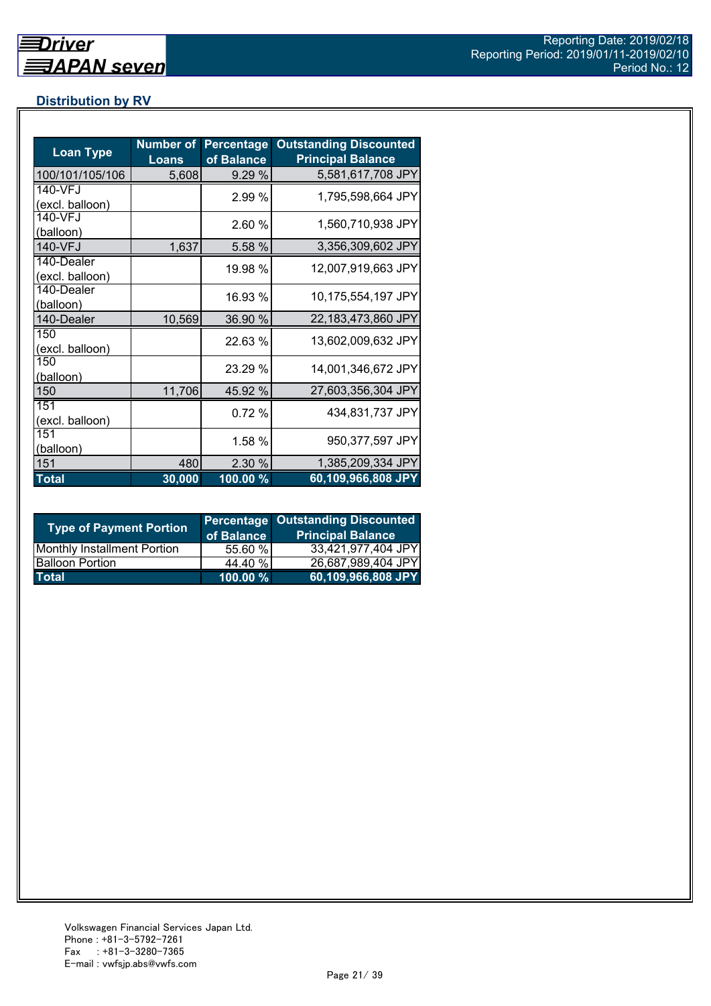# **Distribution by RV**

| <b>Loan Type</b>              | <b>Number of</b><br><b>Loans</b> | <b>Percentage</b><br>of Balance | <b>Outstanding Discounted</b><br><b>Principal Balance</b> |
|-------------------------------|----------------------------------|---------------------------------|-----------------------------------------------------------|
| 100/101/105/106               | 5,608                            | 9.29 %                          | 5,581,617,708 JPY                                         |
| 140-VFJ<br>(excl. balloon)    |                                  | 2.99 %                          | 1,795,598,664 JPY                                         |
| 140-VFJ<br>(balloon)          |                                  | 2.60 %                          | 1,560,710,938 JPY                                         |
| 140-VFJ                       | 1,637                            | 5.58 %                          | 3,356,309,602 JPY                                         |
| 140-Dealer<br>(excl. balloon) |                                  | 19.98 %                         | 12,007,919,663 JPY                                        |
| 140-Dealer<br>(balloon)       |                                  | 16.93 %                         | 10,175,554,197 JPY                                        |
| 140-Dealer                    | 10,569                           | 36.90 %                         | 22,183,473,860 JPY                                        |
| 150<br>(excl. balloon)        |                                  | 22.63 %                         | 13,602,009,632 JPY                                        |
| 150<br>(balloon)              |                                  | 23.29 %                         | 14,001,346,672 JPY                                        |
| 150                           | 11,706                           | 45.92 %                         | 27,603,356,304 JPY                                        |
| 151<br>(excl. balloon)        |                                  | 0.72%                           | 434,831,737 JPY                                           |
| 151<br>(balloon)              |                                  | 1.58 %                          | 950,377,597 JPY                                           |
| 151                           | 480                              | 2.30 %                          | 1,385,209,334 JPY                                         |
| <b>Total</b>                  | 30,000                           | $100.00\%$                      | 60,109,966,808 JPY                                        |

| <b>Type of Payment Portion</b>     | of Balance  | <b>Percentage Outstanding Discounted</b><br><b>Principal Balance</b> |
|------------------------------------|-------------|----------------------------------------------------------------------|
| <b>Monthly Installment Portion</b> | 55.60 %     | 33,421,977,404 JPY                                                   |
| <b>Balloon Portion</b>             | 44.40 %     | 26,687,989,404 JPY                                                   |
| <b>Total</b>                       | $100.00 \%$ | 60,109,966,808 JPY                                                   |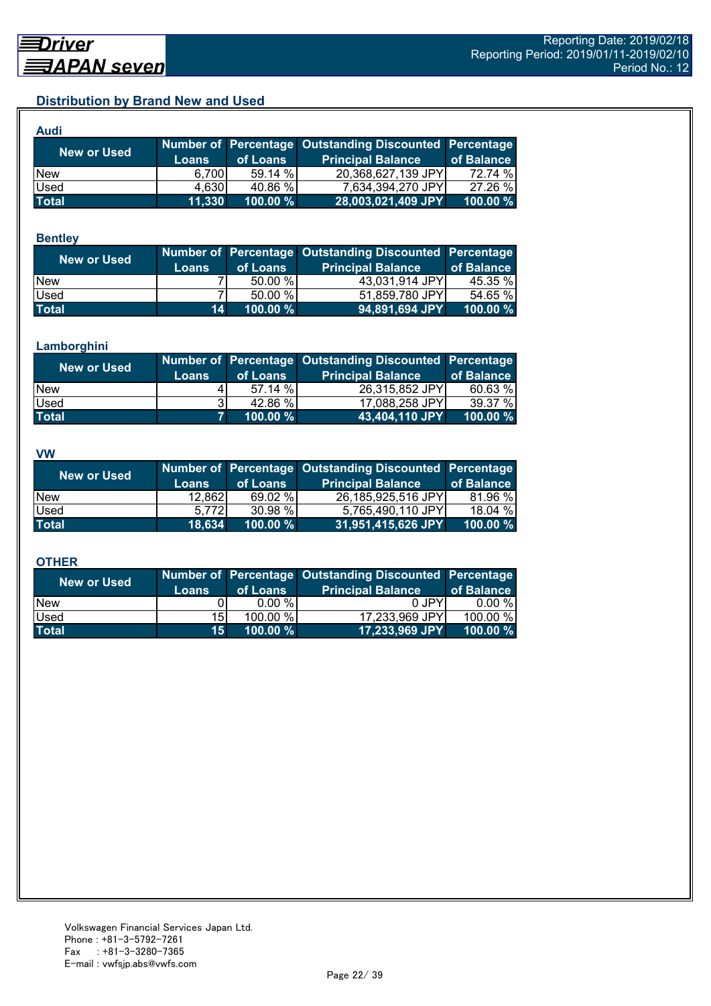# **Distribution by Brand New and Used**

| <b>Audi</b>  |              |          |                                                        |            |
|--------------|--------------|----------|--------------------------------------------------------|------------|
| New or Used  |              |          | Number of Percentage Outstanding Discounted Percentage |            |
|              | <b>Loans</b> | of Loans | <b>Principal Balance</b>                               | of Balance |
| <b>New</b>   | 6.700        | 59.14 %  | 20,368,627,139 JPY                                     | 72.74 %    |
| Used         | 4,630        | 40.86 %  | 7,634,394,270 JPY                                      | 27.26 %    |
| <b>Total</b> | 11,330       | 100.00 % | 28,003,021,409 JPY                                     | 100.00 %   |

#### **Bentley**

| New or Used  | <b>Loans</b> | of Loans    | Number of Percentage Outstanding Discounted Percentage<br><b>Principal Balance</b> | of Balance |
|--------------|--------------|-------------|------------------------------------------------------------------------------------|------------|
| <b>New</b>   |              | 50.00 %     | 43,031,914 JPY                                                                     | 45.35 %    |
| Used         |              | 50.00 %     | 51,859,780 JPY                                                                     | 54.65 %    |
| <b>Total</b> | 14           | $100.00 \%$ | 94,891,694 JPY                                                                     | 100.00 $%$ |

#### **Lamborghini**

| New or Used  | <b>Loans</b> | of Loans | Number of Percentage Outstanding Discounted Percentage<br><b>Principal Balance</b> | of Balance |
|--------------|--------------|----------|------------------------------------------------------------------------------------|------------|
| <b>New</b>   |              | 57.14 %  | 26,315,852 JPY                                                                     | 60.63%     |
| Used         | 31           | 42.86 %  | 17,088,258 JPY                                                                     | 39.37 %    |
| <b>Total</b> |              | 100.00 % | 43,404,110 JPY                                                                     | 100.00 %   |

#### **VW**

| New or Used  |              |          | Number of Percentage Outstanding Discounted Percentage |            |
|--------------|--------------|----------|--------------------------------------------------------|------------|
|              | <b>Loans</b> | of Loans | <b>Principal Balance</b>                               | of Balance |
| <b>New</b>   | 12,862       | 69.02 %  | 26,185,925,516 JPY                                     | 81.96 %    |
| <b>Used</b>  | 5.7721       | 30.98 %  | 5,765,490,110 JPY                                      | 18.04 %    |
| <b>Total</b> | 18,634       | 100.00 % | 31,951,415,626 JPY                                     | 100.00 %   |

#### **OTHER**

| <b>New or Used</b> | <b>Loans</b>    | of Loans  | Number of Percentage Outstanding Discounted Percentage<br><b>Principal Balance</b> | of Balance |
|--------------------|-----------------|-----------|------------------------------------------------------------------------------------|------------|
| <b>New</b>         |                 | $0.00 \%$ | 0 JPY                                                                              | $0.00 \%$  |
| Used               | 15I             | 100.00 %  | 17,233,969 JPY                                                                     | 100.00 %   |
| <b>Total</b>       | 15 <sup>1</sup> | 100.00 %  | 17,233,969 JPY                                                                     | 100.00 $%$ |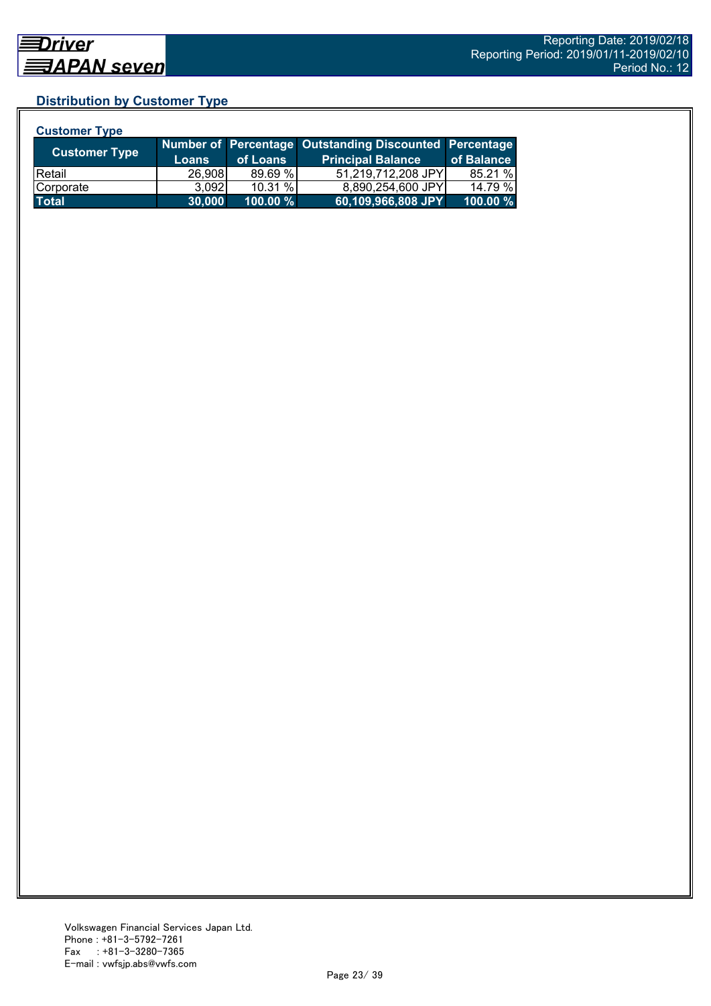# **Distribution by Customer Type**

| <b>Customer Type</b> |              |          |                                                        |            |
|----------------------|--------------|----------|--------------------------------------------------------|------------|
| <b>Customer Type</b> |              |          | Number of Percentage Outstanding Discounted Percentage |            |
|                      | <b>Loans</b> | of Loans | <b>Principal Balance</b>                               | of Balance |
| <b>Retail</b>        | 26,908       | 89.69%   | 51,219,712,208 JPY                                     | 85.21 %    |
| Corporate            | 3.092        | 10.31%   | 8,890,254,600 JPY                                      | 14.79 %    |
| <b>Total</b>         | 30,000       | 100.00 % | 60,109,966,808 JPY                                     | 100.00 %   |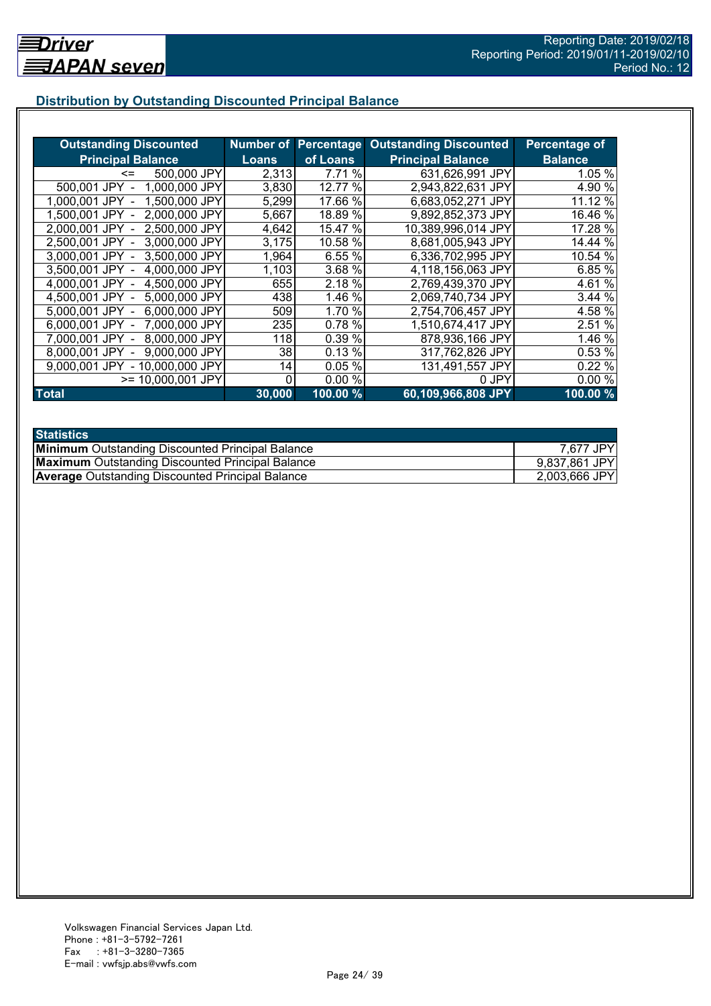# **Distribution by Outstanding Discounted Principal Balance**

| <b>Outstanding Discounted</b>     |              |          | <b>Number of Percentage Outstanding Discounted</b> | Percentage of  |
|-----------------------------------|--------------|----------|----------------------------------------------------|----------------|
| <b>Principal Balance</b>          | <b>Loans</b> | of Loans | <b>Principal Balance</b>                           | <b>Balance</b> |
| 500,000 JPY<br><=                 | 2,313        | 7.71 %   | 631,626,991 JPY                                    | 1.05 %         |
| 1,000,000 JPY<br>500,001 JPY      | 3,830        | 12.77 %  | 2,943,822,631 JPY                                  | 4.90 %         |
| 1,500,000 JPY<br>1.000.001 JPY    | 5,299        | 17.66 %  | 6,683,052,271 JPY                                  | 11.12 %        |
| 2,000,000 JPY<br>1.500.001 JPY -  | 5,667        | 18.89 %  | 9,892,852,373 JPY                                  | 16.46 %        |
| 2,500,000 JPY<br>2.000.001 JPY -  | 4,642        | 15.47 %  | 10,389,996,014 JPY                                 | 17.28 %        |
| 3,000,000 JPY<br>2,500,001 JPY -  | 3,175        | 10.58 %  | 8,681,005,943 JPY                                  | 14.44 %        |
| 3,000,001 JPY -<br>3,500,000 JPY  | 1,964        | 6.55 %   | 6,336,702,995 JPY                                  | 10.54 %        |
| 3.500,001 JPY -<br>4,000,000 JPY  | 1,103        | 3.68 %   | 4,118,156,063 JPY                                  | 6.85 %         |
| 4,000,001 JPY -<br>4,500,000 JPY  | 655          | 2.18 %   | 2,769,439,370 JPY                                  | 4.61 %         |
| 4,500,001 JPY -<br>5,000,000 JPY  | 438          | 1.46 %   | 2,069,740,734 JPY                                  | 3.44%          |
| 6,000,000 JPY<br>5,000,001 JPY -  | 509          | 1.70 %   | 2,754,706,457 JPY                                  | 4.58 %         |
| 7,000,000 JPY<br>6,000,001 JPY -  | 235          | 0.78 %   | 1,510,674,417 JPY                                  | 2.51 %         |
| 8,000,000 JPY<br>7.000.001 JPY -  | 118          | 0.39 %   | 878,936,166 JPY                                    | 1.46 %         |
| 9,000,000 JPY<br>8,000,001 JPY    | 38           | 0.13%    | 317,762,826 JPY                                    | 0.53 %         |
| - 10,000,000 JPY<br>9.000.001 JPY | 14           | 0.05%    | 131,491,557 JPY                                    | 0.22 %         |
| >= 10,000,001 JPY                 | 0            | 0.00%    | 0 JPY                                              | 0.00%          |
| <b>Total</b>                      | 30,000       | 100.00 % | 60,109,966,808 JPY                                 | 100.00%        |

| <b>Statistics</b>                                       |               |
|---------------------------------------------------------|---------------|
| <b>Minimum</b> Outstanding Discounted Principal Balance | 7,677 JPY     |
| <b>Maximum</b> Outstanding Discounted Principal Balance | 9,837,861 JPY |
| <b>Average Outstanding Discounted Principal Balance</b> | 2,003,666 JPY |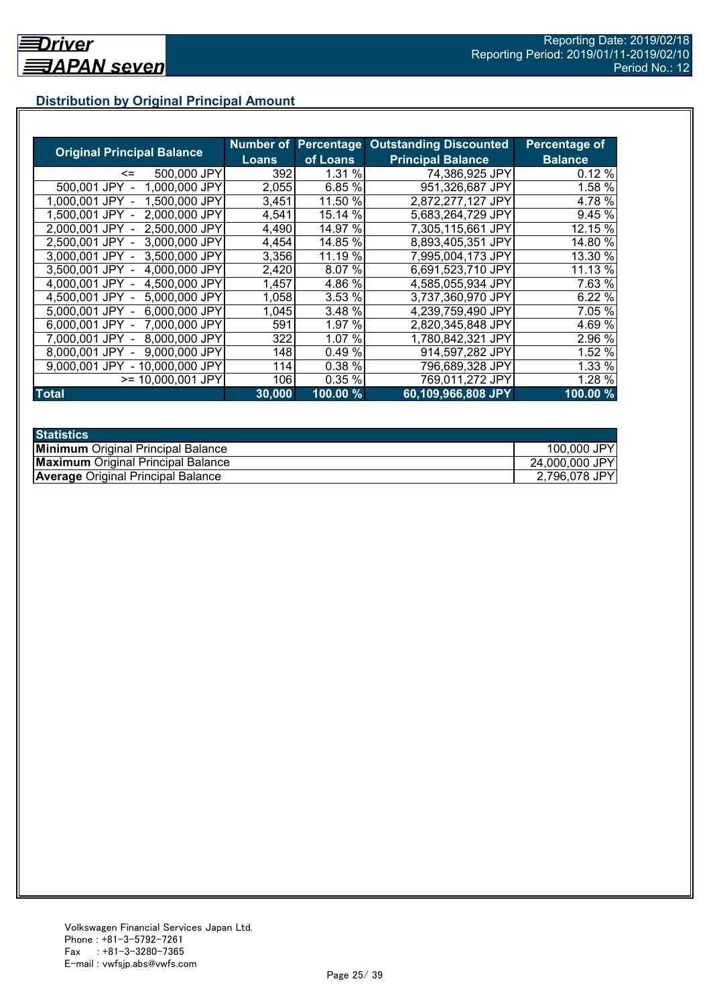# **Distribution by Original Principal Amount**

|                                   |        |          | <b>Number of Percentage Outstanding Discounted</b> | <b>Percentage of</b> |
|-----------------------------------|--------|----------|----------------------------------------------------|----------------------|
| <b>Original Principal Balance</b> | Loans  | of Loans | <b>Principal Balance</b>                           | <b>Balance</b>       |
| 500,000 JPY<br><=                 | 392    | 1.31%    | 74,386,925 JPY                                     | 0.12%                |
| 500,001 JPY<br>1.000.000 JPY      | 2,055  | 6.85 %   | 951,326,687 JPY                                    | 1.58 %               |
| 1,500,000 JPY<br>1.000.001 JPY    | 3,451  | 11.50 %  | 2,872,277,127 JPY                                  | 4.78 %               |
| 2,000,000 JPY<br>1.500.001 JPY    | 4,541  | 15.14 %  | 5,683,264,729 JPY                                  | 9.45 %               |
| 2,500,000 JPY<br>2.000.001 JPY    | 4,490  | 14.97 %  | 7,305,115,661 JPY                                  | 12.15 %              |
| 3,000,000 JPY<br>2.500.001 JPY    | 4,454  | 14.85 %  | 8,893,405,351 JPY                                  | 14.80 %              |
| 3,000,001 JPY -<br>3,500,000 JPY  | 3,356  | 11.19 %  | 7,995,004,173 JPY                                  | 13.30 %              |
| 3,500,001 JPY<br>4,000,000 JPY    | 2,420  | 8.07 %   | 6,691,523,710 JPY                                  | 11.13 %              |
| 4,500,000 JPY<br>4,000,001 JPY    | 1,457  | 4.86 %   | 4,585,055,934 JPY                                  | 7.63 %               |
| 5,000,000 JPY<br>4.500.001 JPY -  | 1,058  | 3.53 %   | 3,737,360,970 JPY                                  | 6.22%                |
| 6,000,000 JPY<br>5,000,001 JPY -  | 1,045  | 3.48 %   | 4,239,759,490 JPY                                  | 7.05 %               |
| 7,000,000 JPY<br>6,000,001 JPY -  | 591    | 1.97 %   | 2,820,345,848 JPY                                  | 4.69 %               |
| 8,000,000 JPY<br>7.000.001 JPY -  | 322    | 1.07 %   | 1,780,842,321 JPY                                  | 2.96 %               |
| 9.000.000 JPY<br>8.000.001 JPY    | 148    | 0.49%    | 914,597,282 JPY                                    | 1.52 %               |
| - 10,000,000 JPY<br>9.000.001 JPY | 114    | 0.38 %   | 796,689,328 JPY                                    | 1.33 %               |
| $>= 10,000,001$ JPY               | 106    | 0.35 %   | 769,011,272 JPY                                    | 1.28 %               |
| <b>Total</b>                      | 30,000 | 100.00 % | 60,109,966,808 JPY                                 | 100.00%              |

| <b>Statistics</b>                         |                |
|-------------------------------------------|----------------|
| <b>Minimum</b> Original Principal Balance | 100,000 JPY    |
| <b>Maximum</b> Original Principal Balance | 24,000,000 JPY |
| <b>Average Original Principal Balance</b> | 2,796,078 JPY  |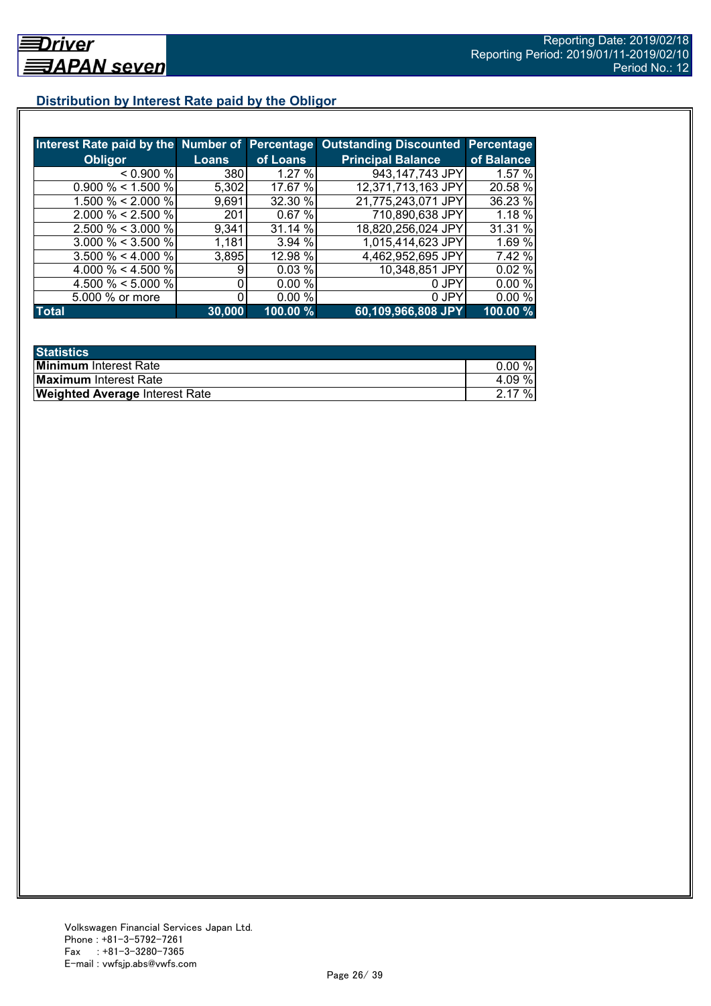# **Distribution by Interest Rate paid by the Obligor**

|                       |              |          | Interest Rate paid by the Number of Percentage Outstanding Discounted | <b>Percentage</b> |
|-----------------------|--------------|----------|-----------------------------------------------------------------------|-------------------|
| <b>Obligor</b>        | <b>Loans</b> | of Loans | <b>Principal Balance</b>                                              | of Balance        |
| < 0.900 %             | 380          | 1.27%    | 943,147,743 JPY                                                       | 1.57%             |
| $0.900\% < 1.500\%$   | 5,302        | 17.67 %  | 12,371,713,163 JPY                                                    | 20.58 %           |
| 1.500 % < 2.000 %     | 9,691        | 32.30 %  | 21,775,243,071 JPY                                                    | 36.23 %           |
| $2.000 \% < 2.500 \%$ | 201          | 0.67%    | 710,890,638 JPY                                                       | 1.18 %            |
| $2.500 \% < 3.000 \%$ | 9,341        | 31.14 %  | 18,820,256,024 JPY                                                    | 31.31 %           |
| $3.000 \% < 3.500 \%$ | 1,181        | 3.94 %   | 1,015,414,623 JPY                                                     | 1.69 %            |
| $3.500 \% < 4.000 \%$ | 3,895        | 12.98 %  | 4,462,952,695 JPY                                                     | 7.42 %            |
| 4.000 % < 4.500 %     |              | 0.03%    | 10,348,851 JPY                                                        | 0.02%             |
| 4.500 % < 5.000 %     |              | 0.00%    | 0 JPY                                                                 | $0.00\%$          |
| 5.000 % or more       |              | 0.00%    | 0 JPY                                                                 | 0.00%             |
| <b>Total</b>          | 30,000       | 100.00 % | 60,109,966,808 JPY                                                    | 100.00 %          |

| <b>Statistics</b>                     |          |
|---------------------------------------|----------|
| <b>Minimum</b> Interest Rate          | $0.00\%$ |
| <b>Maximum</b> Interest Rate          | 4.09%    |
| <b>Weighted Average Interest Rate</b> | 2.17%    |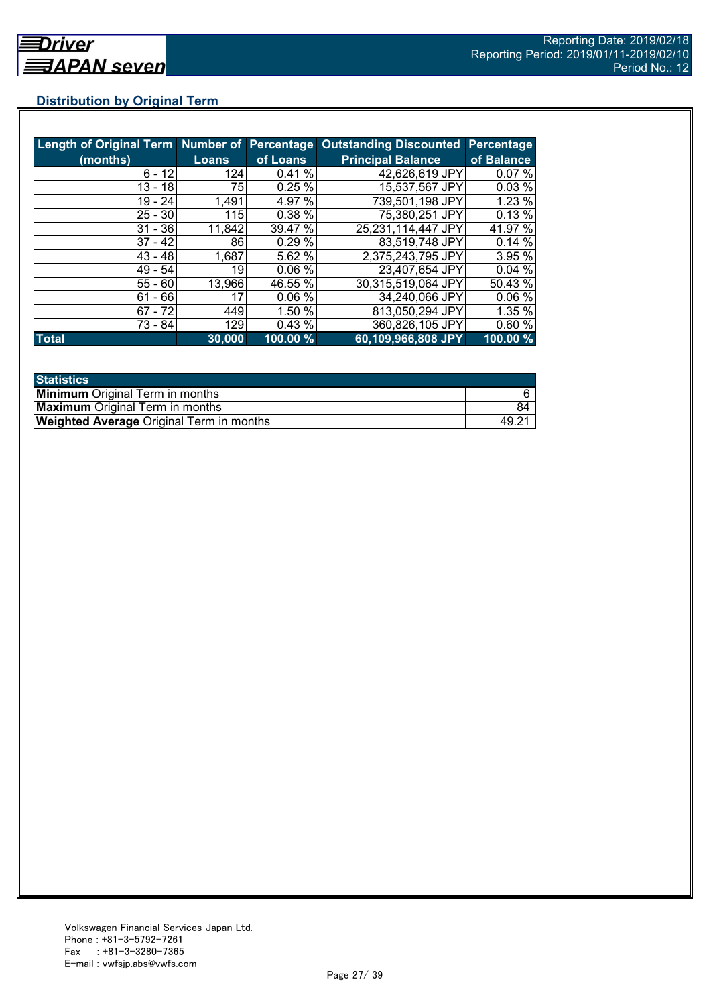# **Distribution by Original Term**

|              |              |          | Length of Original Term Number of Percentage Outstanding Discounted | Percentage |
|--------------|--------------|----------|---------------------------------------------------------------------|------------|
| (months)     | <b>Loans</b> | of Loans | <b>Principal Balance</b>                                            | of Balance |
| $6 - 12$     | 124          | 0.41%    | 42,626,619 JPY                                                      | 0.07%      |
| $13 - 18$    | 75           | 0.25%    | 15,537,567 JPY                                                      | 0.03%      |
| $19 - 24$    | 1,491        | 4.97 %   | 739,501,198 JPY                                                     | 1.23 %     |
| $25 - 30$    | 115l         | 0.38 %   | 75,380,251 JPY                                                      | 0.13%      |
| $31 - 36$    | 11,842       | 39.47 %  | 25,231,114,447 JPY                                                  | 41.97 %    |
| $37 - 42$    | 86           | 0.29%    | 83,519,748 JPY                                                      | 0.14%      |
| $43 - 48$    | 1,687        | 5.62 %   | 2,375,243,795 JPY                                                   | 3.95 %     |
| $49 - 54$    | 19           | 0.06%    | 23,407,654 JPY                                                      | 0.04%      |
| $55 - 60$    | 13,966       | 46.55 %  | 30,315,519,064 JPY                                                  | 50.43 %    |
| $61 - 66$    | 17           | 0.06%    | 34,240,066 JPY                                                      | 0.06%      |
| $67 - 72$    | 449          | 1.50 %   | 813,050,294 JPY                                                     | 1.35 %     |
| 73 - 84      | 129          | 0.43%    | 360,826,105 JPY                                                     | 0.60%      |
| <b>Total</b> | 30,000       | 100.00 % | 60,109,966,808 JPY                                                  | 100.00 %   |

| <b>Statistics</b>                               |    |
|-------------------------------------------------|----|
| <b>Minimum</b> Original Term in months          |    |
| <b>Maximum</b> Original Term in months          | 84 |
| <b>Weighted Average Original Term in months</b> |    |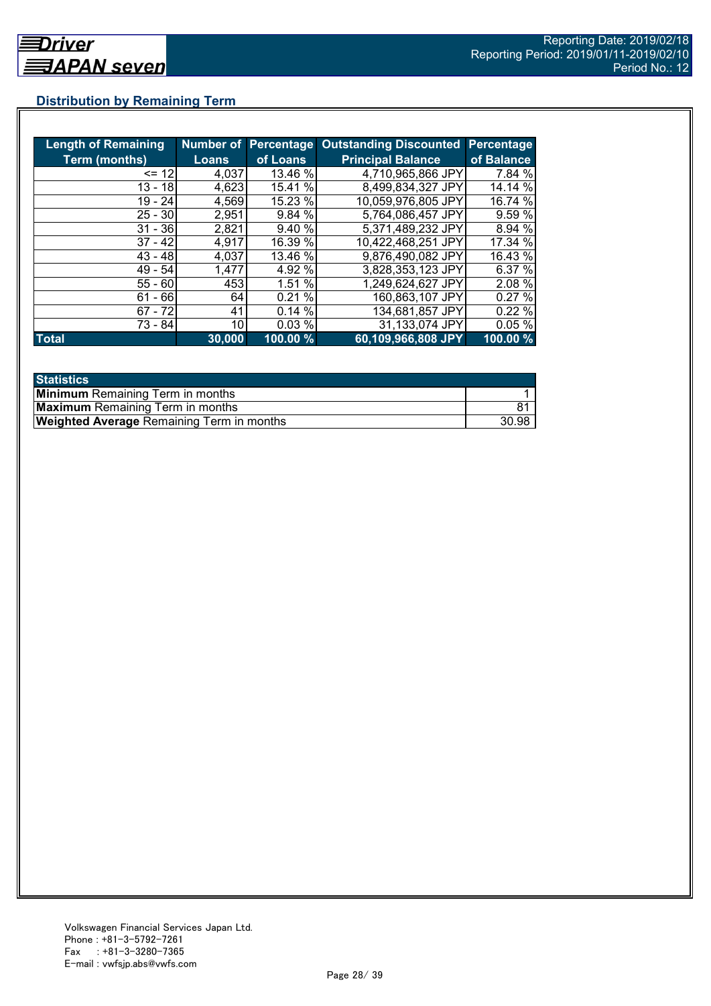# **Distribution by Remaining Term**

| <b>Length of Remaining</b> |              |          | Number of Percentage Outstanding Discounted | <b>Percentage</b> |
|----------------------------|--------------|----------|---------------------------------------------|-------------------|
| <b>Term (months)</b>       | <b>Loans</b> | of Loans | <b>Principal Balance</b>                    | of Balance        |
| $= 12$                     | 4,037        | 13.46 %  | 4,710,965,866 JPY                           | 7.84 %            |
| 13 - 18                    | 4,623        | 15.41 %  | 8,499,834,327 JPY                           | 14.14 %           |
| $19 - 24$                  | 4,569        | 15.23 %  | 10,059,976,805 JPY                          | 16.74 %           |
| $25 - 30$                  | 2,951        | 9.84 %   | 5,764,086,457 JPY                           | 9.59 %            |
| $31 - 36$                  | 2,821        | 9.40 %   | 5,371,489,232 JPY                           | 8.94 %            |
| $37 - 42$                  | 4,917        | 16.39 %  | 10.422,468,251 JPY                          | 17.34 %           |
| $43 - 48$                  | 4,037        | 13.46 %  | 9,876,490,082 JPY                           | 16.43 %           |
| $49 - 54$                  | 1,477        | 4.92 %   | 3,828,353,123 JPY                           | 6.37 %            |
| $55 - 60$                  | 453          | 1.51 %   | 1,249,624,627 JPY                           | 2.08 %            |
| $61 - 66$                  | 64           | 0.21%    | 160,863,107 JPY                             | 0.27%             |
| $67 - 72$                  | 41           | 0.14%    | 134,681,857 JPY                             | 0.22%             |
| 73 - 84                    | 10           | 0.03%    | 31,133,074 JPY                              | 0.05%             |
| <b>Total</b>               | 30,000       | 100.00 % | 60,109,966,808 JPY                          | 100.00 %          |

| <b>Statistics</b>                                |       |
|--------------------------------------------------|-------|
| <b>Minimum</b> Remaining Term in months          |       |
| <b>Maximum</b> Remaining Term in months          |       |
| <b>Weighted Average Remaining Term in months</b> | 30.98 |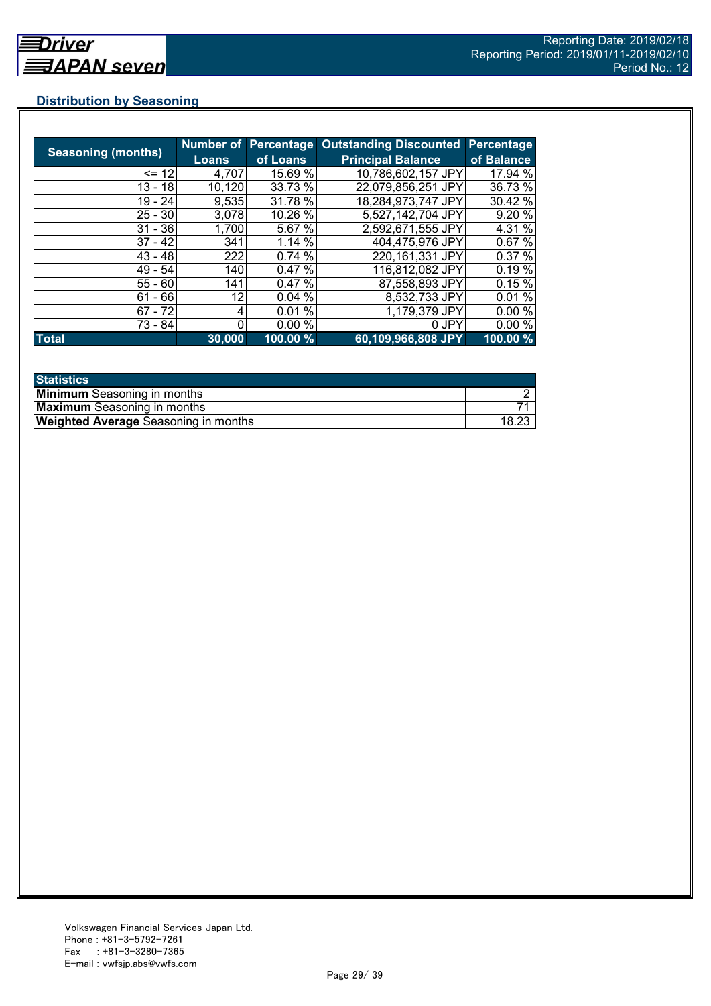# **Distribution by Seasoning**

|                           |        | <b>Number of Percentage</b> | <b>Outstanding Discounted</b> | Percentage |
|---------------------------|--------|-----------------------------|-------------------------------|------------|
| <b>Seasoning (months)</b> | Loans  | of Loans                    | <b>Principal Balance</b>      | of Balance |
| $= 12$                    | 4,707  | 15.69 %                     | 10,786,602,157 JPY            | 17.94 %    |
| $13 - 18$                 | 10,120 | 33.73 %                     | 22,079,856,251 JPY            | 36.73 %    |
| $19 - 24$                 | 9,535  | 31.78 %                     | 18,284,973,747 JPY            | 30.42 %    |
| $25 - 30$                 | 3,078  | 10.26 %                     | 5,527,142,704 JPY             | 9.20 %     |
| $31 - 36$                 | 1,700  | 5.67 %                      | 2,592,671,555 JPY             | 4.31 %     |
| $37 - 42$                 | 341    | 1.14%                       | 404,475,976 JPY               | 0.67%      |
| $43 - 48$                 | 222    | 0.74%                       | 220, 161, 331 JPY             | 0.37%      |
| 49 - 54                   | 140    | 0.47%                       | 116,812,082 JPY               | 0.19%      |
| $55 - 60$                 | 141    | 0.47%                       | 87,558,893 JPY                | 0.15%      |
| $61 - 66$                 | 12     | 0.04%                       | 8,532,733 JPY                 | 0.01%      |
| $67 - 72$                 |        | 0.01%                       | 1,179,379 JPY                 | 0.00%      |
| 73 - 84                   |        | 0.00%                       | 0 JPY                         | 0.00%      |
| <b>Total</b>              | 30,000 | 100.00 %                    | 60,109,966,808 JPY            | 100.00 %   |

| <b>Statistics</b>                           |  |
|---------------------------------------------|--|
| <b>Minimum</b> Seasoning in months          |  |
| <b>Maximum</b> Seasoning in months          |  |
| <b>Weighted Average</b> Seasoning in months |  |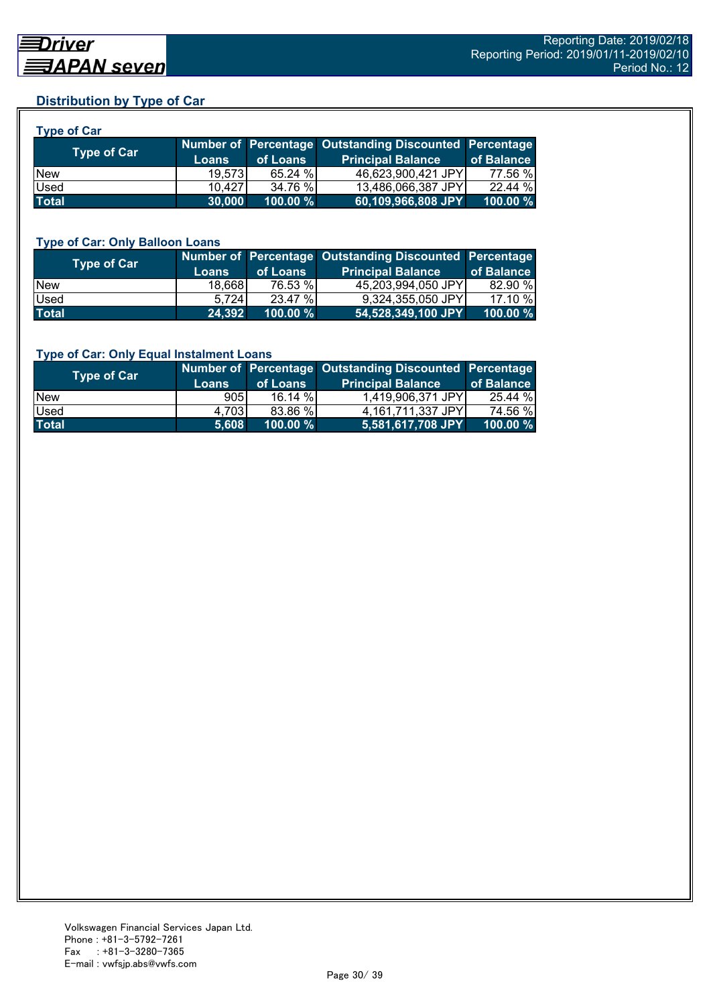## **Distribution by Type of Car**

| <b>Type of Car</b> |              |          |                                                        |            |
|--------------------|--------------|----------|--------------------------------------------------------|------------|
|                    |              |          | Number of Percentage Outstanding Discounted Percentage |            |
| <b>Type of Car</b> | <b>Loans</b> | of Loans | <b>Principal Balance</b>                               | of Balance |
| <b>New</b>         | 19,573       | 65.24 %  | 46,623,900,421 JPY                                     | 77.56 %    |
| Used               | 10.427       | 34.76 %  | 13,486,066,387 JPY                                     | 22.44%     |
| <b>Total</b>       | 30,000       | 100.00 % | 60,109,966,808 JPY                                     | 100.00 %   |

#### **Type of Car: Only Balloon Loans**

| Type of Car  | <b>Loans</b> | of Loans    | Number of Percentage Outstanding Discounted Percentage<br><b>Principal Balance</b> | of Balance  |
|--------------|--------------|-------------|------------------------------------------------------------------------------------|-------------|
| <b>New</b>   | 18,668       | 76.53 %     | 45.203.994.050 JPYI                                                                | 82.90 %     |
| <b>Used</b>  | 5.724        | 23.47 %     | 9,324,355,050 JPY                                                                  | 17.10 %     |
| <b>Total</b> | 24,392       | $100.00 \%$ | 54,528,349,100 JPY                                                                 | $100.00 \%$ |

#### **Type of Car: Only Equal Instalment Loans**

| <b>Type of Car</b> | <b>Loans</b> | of Loans    | Number of Percentage Outstanding Discounted Percentage<br><b>Principal Balance</b> | of Balance |
|--------------------|--------------|-------------|------------------------------------------------------------------------------------|------------|
| <b>New</b>         | 905I         | 16.14%      | 1,419,906,371 JPY                                                                  | 25.44 %    |
| <b>Used</b>        | 4.703        | 83.86 %     | 4,161,711,337 JPY                                                                  | 74.56 %    |
| <b>Total</b>       | 5,608        | $100.00 \%$ | 5,581,617,708 JPY                                                                  | 100.00 %   |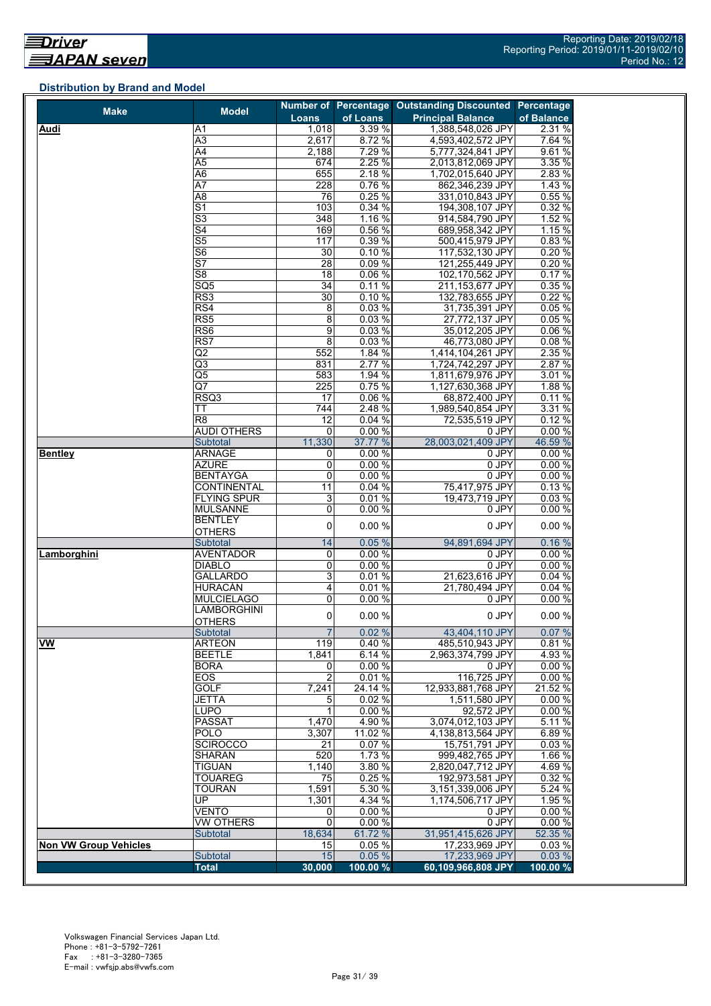## **Distribution by Brand and Model**

| <b>Make</b>                  | <b>Model</b>             |                 |          | Number of Percentage Outstanding Discounted Percentage |            |
|------------------------------|--------------------------|-----------------|----------|--------------------------------------------------------|------------|
|                              |                          | Loans           | of Loans | <b>Principal Balance</b>                               | of Balance |
| Audi                         | A <sub>1</sub>           | 1,018           | 3.39 %   | 1,388,548,026 JPY                                      | 2.31 %     |
|                              | A3                       | 2,617           | 8.72 %   | 4,593,402,572 JPY                                      | 7.64 %     |
|                              | $\overline{A4}$          | 2.188           | 7.29 %   | 5,777,324,841 JPY                                      | 9.61%      |
|                              | A <sub>5</sub>           | 674             | 2.25 %   | 2,013,812,069 JPY                                      | 3.35 %     |
|                              | A <sub>6</sub>           | 655             | 2.18%    | 1,702,015,640 JPY                                      | 2.83 %     |
|                              | A7                       | 228             | 0.76%    | 862,346,239 JPY                                        | 1.43%      |
|                              | A <sub>8</sub>           | 76              | 0.25%    | 331,010,843 JPY                                        | 0.55%      |
|                              | $\overline{S1}$          | 103             | 0.34 %   | 194,308,107 JPY                                        | 0.32 %     |
|                              | $\overline{\mathsf{S}3}$ | 348             | 1.16%    | 914,584,790 JPY                                        | 1.52%      |
|                              | S <sub>4</sub>           | 169             | 0.56%    | 689,958,342 JPY                                        | 1.15 %     |
|                              | S <sub>5</sub>           | 117             | 0.39%    | 500,415,979 JPY                                        | 0.83%      |
|                              | $\overline{\mathsf{S6}}$ | 30              | 0.10%    | 117,532,130 JPY                                        | 0.20%      |
|                              | $\overline{\mathsf{S}7}$ | $\overline{28}$ | 0.09%    | 121,255,449 JPY                                        | 0.20%      |
|                              | S8                       | 18              | 0.06%    | 102,170,562 JPY                                        | 0.17%      |
|                              | SQ <sub>5</sub>          | 34              | 0.11%    | 211,153,677 JPY                                        | 0.35%      |
|                              | RS3                      | $\overline{30}$ | 0.10%    | 132,783,655 JPY                                        | 0.22%      |
|                              | RS4                      | 8               | 0.03%    | 31,735,391 JPY                                         | 0.05%      |
|                              | RS5                      | 8               | 0.03%    | 27,772,137 JPY                                         | 0.05%      |
|                              | RS <sub>6</sub>          | 9               | 0.03%    | 35,012,205 JPY                                         | 0.06%      |
|                              | RS7                      | $\overline{8}$  | 0.03%    | 46,773,080 JPY                                         | 0.08%      |
|                              | $\overline{Q}$           | 552             | 1.84 %   |                                                        | 2.35 %     |
|                              |                          | 831             | 2.77 %   | 1,414,104,261 JPY                                      | 2.87%      |
|                              | Q3                       | 583             |          | 1,724,742,297 JPY                                      |            |
|                              | Q5                       |                 | 1.94 %   | 1,811,679,976 JPY                                      | 3.01 %     |
|                              | Q7                       | 225             | 0.75 %   | 1,127,630,368 JPY                                      | 1.88 %     |
|                              | RSQ3                     | 17              | 0.06%    | 68,872,400 JPY                                         | 0.11%      |
|                              | ТT                       | 744             | 2.48 %   | 1,989,540,854 JPY                                      | 3.31 %     |
|                              | R8                       | 12              | 0.04%    | 72,535,519 JPY                                         | 0.12%      |
|                              | <b>AUDI OTHERS</b>       | 0               | 0.00%    | 0 JPY                                                  | 0.00%      |
|                              | Subtotal                 | 11,330          | 37.77 %  | 28,003,021,409 JPY                                     | 46.59 %    |
| <b>Bentley</b>               | <b>ARNAGE</b>            | 0               | 0.00%    | 0 JPY                                                  | 0.00%      |
|                              | <b>AZURE</b>             | 0               | 0.00%    | 0 JPY                                                  | 0.00%      |
|                              | <b>BENTAYGA</b>          | 0               | 0.00%    | $0$ JPY                                                | 0.00%      |
|                              | <b>CONTINENTAL</b>       | 11              | 0.04%    | 75,417,975 JPY                                         | 0.13%      |
|                              | <b>FLYING SPUR</b>       | 3               | 0.01%    | 19,473,719 JPY                                         | 0.03%      |
|                              | <b>MULSANNE</b>          | 0               | 0.00%    | 0 JPY                                                  | 0.00%      |
|                              | <b>BENTLEY</b>           | 0               | 0.00%    | 0 JPY                                                  | 0.00%      |
|                              | <b>OTHERS</b>            |                 |          |                                                        |            |
|                              | Subtotal                 | 14              | 0.05%    | 94,891,694 JPY                                         | 0.16%      |
| Lamborghini                  | <b>AVENTADOR</b>         | 0               | 0.00%    | 0 JPY                                                  | 0.00%      |
|                              | <b>DIABLO</b>            | 0               | 0.00%    | 0 JPY                                                  | 0.00%      |
|                              | <b>GALLARDO</b>          | 3               | 0.01%    | 21,623,616 JPY                                         | 0.04%      |
|                              | <b>HURACÁN</b>           | 4               | 0.01%    | 21,780,494 JPY                                         | 0.04 %     |
|                              | <b>MULCIELAGO</b>        | 0               | 0.00%    | 0 JPY                                                  | 0.00%      |
|                              | <b>LAMBORGHINI</b>       | 0               | 0.00%    | 0 JPY                                                  | 0.00%      |
|                              | <b>OTHERS</b>            |                 |          |                                                        |            |
|                              | Subtotal                 | $\overline{7}$  | 0.02%    | 43,404,110 JPY                                         | 0.07%      |
| <b>VW</b>                    | <b>ARTEON</b>            | 119             | 0.40%    | 485.510.943 JPY                                        | 0.81%      |
|                              | <b>BEETLE</b>            | 1,841           | 6.14 %   | 2,963,374,799 JPY                                      | 4.93 %     |
|                              | <b>BORA</b>              | 0               | 0.00%    | 0 JPY                                                  | 0.00%      |
|                              | EOS                      | $\overline{c}$  | 0.01%    | 116,725 JPY                                            | 0.00%      |
|                              | GOLF                     | 7,241           | 24.14 %  | 12,933,881,768 JPY                                     | 21.52 %    |
|                              | <b>JETTA</b>             | 5               | 0.02%    | 1,511,580 JPY                                          | 0.00%      |
|                              | <b>LUPO</b>              | 1               | 0.00%    | 92,572 JPY                                             | 0.00%      |
|                              | <b>PASSAT</b>            | 1,470           | 4.90 %   | 3,074,012,103 JPY                                      | 5.11 %     |
|                              | <b>POLO</b>              | 3,307           | 11.02 %  | 4,138,813,564 JPY                                      | 6.89%      |
|                              | <b>SCIROCCO</b>          | 21              | 0.07%    | 15,751,791 JPY                                         | 0.03%      |
|                              | <b>SHARAN</b>            | 520             | 1.73 %   | 999,482,765 JPY                                        | 1.66 %     |
|                              | <b>TIGUAN</b>            | 1,140           | 3.80%    | 2,820,047,712 JPY                                      | 4.69%      |
|                              | <b>TOUAREG</b>           | 75              | 0.25%    | 192,973,581 JPY                                        | 0.32%      |
|                              | <b>TOURAN</b>            | 1,591           | 5.30 %   | 3,151,339,006 JPY                                      | 5.24%      |
|                              | UP.                      | 1,301           | 4.34 %   | 1,174,506,717 JPY                                      | 1.95 %     |
|                              | VENTO                    | 0               | 0.00%    | 0 JPY                                                  | 0.00%      |
|                              | <b>VW OTHERS</b>         | $\mathbf 0$     | 0.00%    | 0 JPY                                                  | 0.00%      |
|                              | <b>Subtotal</b>          | 18,634          | 61.72 %  | 31,951,415,626 JPY                                     | 52.35 %    |
|                              |                          | 15              | 0.05%    | 17,233,969 JPY                                         | 0.03%      |
| <b>Non VW Group Vehicles</b> | Subtotal                 | 15              | 0.05%    | 17,233,969 JPY                                         | 0.03%      |
|                              |                          |                 |          |                                                        |            |
|                              | <b>Total</b>             | 30,000          | 100.00 % | 60,109,966,808 JPY                                     | 100.00 %   |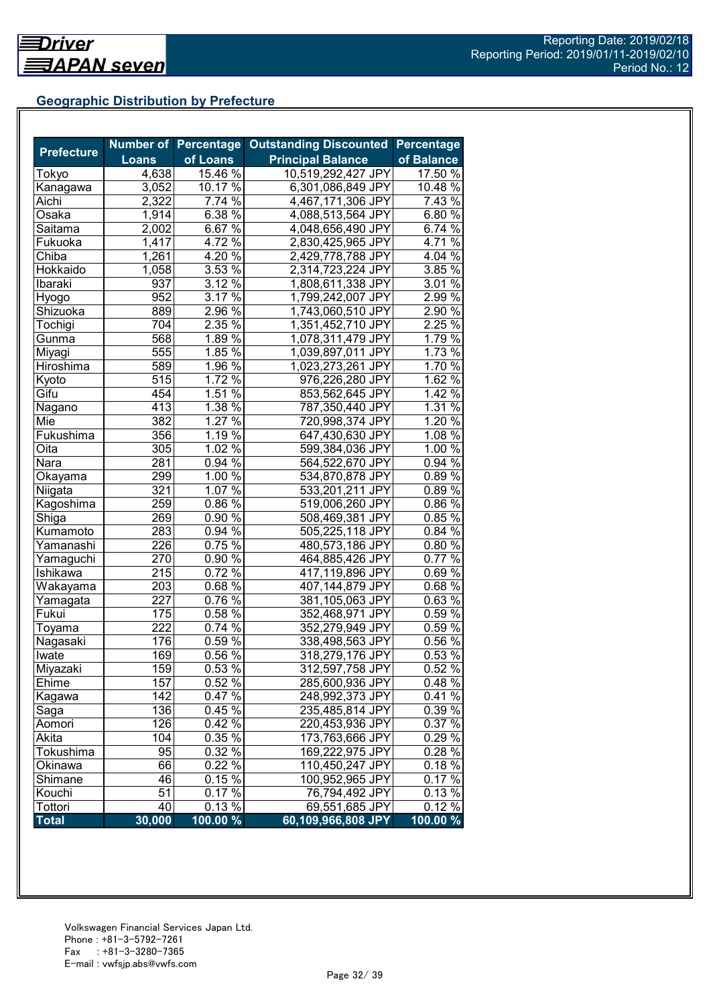## **Geographic Distribution by Prefecture**

|                   |                   | <b>Number of Percentage</b> | <b>Outstanding Discounted Percentage</b> |                 |
|-------------------|-------------------|-----------------------------|------------------------------------------|-----------------|
| <b>Prefecture</b> | <b>Loans</b>      | of Loans                    | <b>Principal Balance</b>                 | of Balance      |
| Tokyo             | 4,638             | 15.46 %                     | 10,519,292,427 JPY                       | 17.50 %         |
| Kanagawa          | 3,052             | 10.17 $\frac{8}{9}$         | 6,301,086,849 JPY                        | 10.48 %         |
| Aichi             | 2,322             | $7.74\%$                    | 4,467,171,306 JPY                        | 7.43 %          |
| Osaka             | 1,914             | 6.38 %                      | 4,088,513,564 JPY                        | 6.80%           |
| Saitama           | 2,002             | $6.67\%$                    | 4,048,656,490 JPY                        | $6.74\%$        |
| Fukuoka           | 1,417             | 4.72 $\frac{6}{6}$          | 2,830,425,965 JPY                        | 4.71 %          |
| Chiba             | 1,261             | 4.20 $\sqrt{2}$             | 2,429,778,788 JPY                        | 4.04 $\sqrt{6}$ |
| Hokkaido          | 1,058             | 3.53%                       | 2,314,723,224 JPY                        | 3.85 %          |
| Ibaraki           | 937               | $3.12\%$                    | 1,808,611,338 JPY                        | $3.01\%$        |
| Hyogo             | 952               | $3.17\%$                    | 1,799,242,007 JPY                        | $2.99\%$        |
| Shizuoka          | 889               | 2.96%                       | 1,743,060,510 JPY                        | $2.90\%$        |
| Tochigi           | 704               | $2.\overline{35\%}$         | 1,351,452,710 JPY                        | 2.25%           |
| Gunma             | 568               | $1.89\%$                    | 1,078,311,479 JPY                        | 1.79%           |
| Miyagi            | 555               | $1.85\%$                    | 1,039,897,011 JPY                        | 1.73 %          |
| Hiroshima         | 589               | $1.96\%$                    | 1,023,273,261 JPY                        | 1.70%           |
| Kyoto             | $\overline{5}$ 15 | $1.72\%$                    | 976,226,280 JPY                          | 1.62%           |
| Gifu              | 454               | 1.51 %                      | 853,562,645 JPY                          | 1.42%           |
| Nagano            | 413               | 1.38 $\sqrt{8}$             | 787,350,440 JPY                          | 1.31 %          |
| Mie               | 382               | 1.27 $\sqrt{2}$             | 720,998,374 JPY                          | 1.20 %          |
| Fukushima         |                   | 1.19 $\frac{8}{6}$          |                                          | $1.08\%$        |
|                   | 356               |                             | 647,430,630 JPY                          |                 |
| Oita              | 305               | $1.02\%$                    | 599,384,036 JPY                          | 1.00%           |
| Nara              | 281               | $0.94\%$                    | 564,522,670 JPY                          | $0.94\%$        |
| Okayama           | 299               | $1.00\%$                    | 534,870,878 JPY                          | $0.89\%$        |
| Niigata           | 321               | $1.07\%$                    | 533,201,211 JPY                          | $0.89\%$        |
| Kagoshima         | 259               | $0.86\%$                    | 519,006,260 JPY                          | $0.86\%$        |
| Shiga             | 269               | $0.90\%$                    | 508,469,381 JPY                          | 0.85%           |
| Kumamoto          | 283               | 0.94%                       | 505,225,118 JPY                          | 0.84%           |
| Yamanashi         | 226               | $0.75\%$                    | 480,573,186 JPY                          | $0.80\%$        |
| Yamaguchi         | 270               | 0.90 %                      | 464,885,426 JPY                          | $0.77\%$        |
| Ishikawa          | 215               | $0.72\sqrt[6]{6}$           | 417,119,896 JPY                          | 0.69%           |
| Wakayama          | 203               | $0.68\sqrt{6}$              | 407,144,879 JPY                          | 0.68%           |
| Yamagata          | 227               | $0.76\,\sqrt[6]{ }$         | 381,105,063 JPY                          | 0.63%           |
| Fukui             | 175               | $0.58\sqrt{26}$             | 352,468,971 JPY                          | 0.59%           |
| Toyama            | $\overline{222}$  | 0.74%                       | 352,279,949 JPY                          | $0.59\%$        |
| Nagasaki          | 176               | 0.59%                       | 338,498,563 JPY                          | $0.56\%$        |
| Iwate             | 169               | $0.56\%$                    | 318,279,176 JPY                          | 0.53 %          |
| Miyazaki          | $\overline{159}$  | 0.53%                       | 312,597,758 JPY                          | 0.52%           |
| Ehime             | 157               | 0.52%                       | 285,600,936 JPY                          | 0.48%           |
| Kagawa            | 142               | 0.47%                       | 248,992,373 JPY                          | $0.41\%$        |
| Saga              | 136               | 0.45 %                      | 235,485,814 JPY                          | 0.39 %          |
| Aomori            | 126               | 0.42 %                      | 220,453,936 JPY                          | 0.37 %          |
| Akita             | 104               | 0.35 %                      | 173,763,666 JPY                          | 0.29 %          |
| Tokushima         | 95                | 0.32 %                      | 169,222,975 JPY                          | 0.28 %          |
| Okinawa           | 66                | 0.22 %                      | 110,450,247 JPY                          | 0.18%           |
| Shimane           | 46                | $0.15\%$                    | 100,952,965 JPY                          | 0.17%           |
| Kouchi            | 51                | 0.17%                       | 76,794,492 JPY                           | 0.13 %          |
| Tottori           | 40                | $0.13\%$                    | 69,551,685 JPY                           | 0.12 %          |
| <b>Total</b>      | 30,000            | $100.00\%$                  | 60,109,966,808 JPY                       | $100.00 \%$     |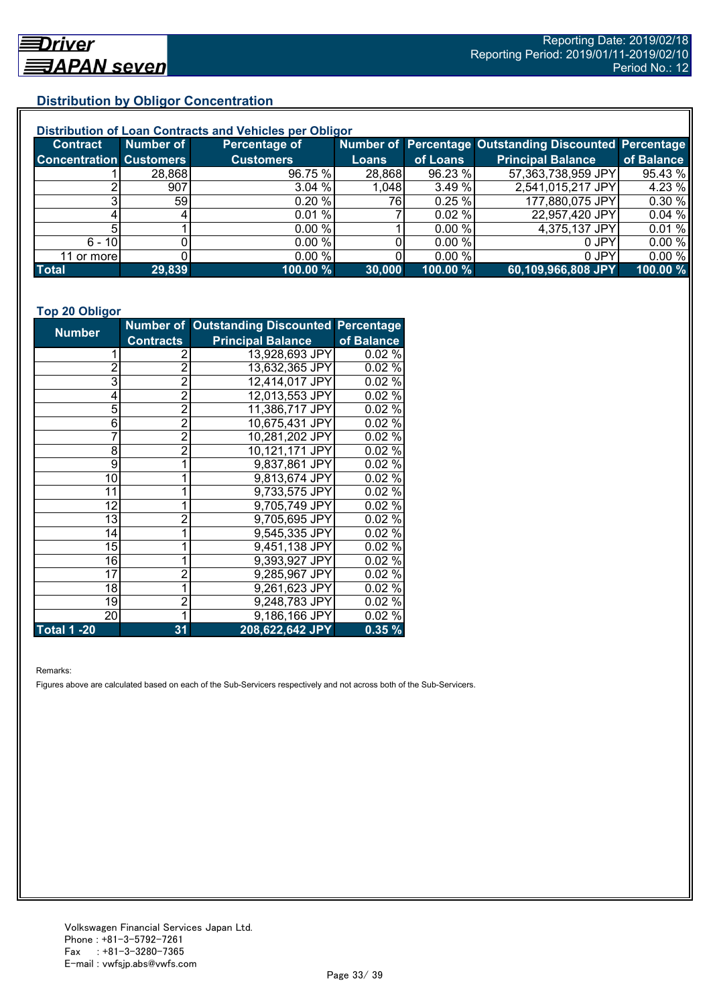## **Distribution by Obligor Concentration**

| Distribution of Loan Contracts and Vehicles per Obligor |           |                  |              |          |                                                        |            |  |
|---------------------------------------------------------|-----------|------------------|--------------|----------|--------------------------------------------------------|------------|--|
| <b>Contract</b>                                         | Number of | Percentage of    |              |          | Number of Percentage Outstanding Discounted Percentage |            |  |
| <b>Concentration Customers</b>                          |           | <b>Customers</b> | <b>Loans</b> | of Loans | <b>Principal Balance</b>                               | of Balance |  |
|                                                         | 28,868    | 96.75 %          | 28,868       | 96.23 %  | 57,363,738,959 JPY                                     | 95.43%     |  |
|                                                         | 907       | 3.04 %           | 1,048        | 3.49 %   | 2,541,015,217 JPY                                      | 4.23 %     |  |
|                                                         | 591       | 0.20%            | 76I          | 0.25%    | 177,880,075 JPY                                        | 0.30%      |  |
|                                                         |           | 0.01%            |              | 0.02%    | 22,957,420 JPY                                         | 0.04%      |  |
|                                                         |           | 0.00%            |              | 0.00 %   | 4,375,137 JPY                                          | 0.01%      |  |
| $6 - 10$                                                |           | 0.00 %           |              | 0.00 %   | 0 JPY                                                  | 0.00%      |  |
| 11 or more                                              |           | 0.00 %           |              | 0.00 %   | 0 JPY                                                  | 0.00%      |  |
| <b>Total</b>                                            | 29,839    | 100.00 %         | 30,000       | 100.00 % | 60,109,966,808 JPY                                     | 100.00 %   |  |

#### **Top 20 Obligor**

| <b>Number</b>      |                  | Number of Outstanding Discounted Percentage |            |
|--------------------|------------------|---------------------------------------------|------------|
|                    | <b>Contracts</b> | <b>Principal Balance</b>                    | of Balance |
|                    | 2                | 13,928,693 JPY                              | 0.02%      |
| $\overline{2}$     | $\overline{2}$   | 13,632,365 JPY                              | 0.02%      |
| 3                  | $\overline{2}$   | 12,414,017 JPY                              | $0.02\%$   |
| 4                  | $\overline{2}$   | 12,013,553 JPY                              | 0.02%      |
| 5                  | $\overline{2}$   | 11,386,717 JPY                              | 0.02%      |
| 6                  | $\overline{2}$   | 10,675,431 JPY                              | 0.02%      |
| 7                  | $\overline{2}$   | 10,281,202 JPY                              | 0.02%      |
| 8                  | 2                | 10,121,171 JPY                              | 0.02%      |
| 9                  | 1                | 9,837,861 JPY                               | 0.02%      |
| 10                 |                  | 9,813,674 JPY                               | 0.02%      |
| 11                 | 1                | 9,733,575 JPY                               | 0.02%      |
| 12                 |                  | 9,705,749 JPY                               | 0.02%      |
| 13                 | $\overline{2}$   | 9,705,695 JPY                               | 0.02%      |
| 14                 |                  | 9,545,335 JPY                               | 0.02%      |
| 15                 |                  | 9,451,138 JPY                               | 0.02%      |
| 16                 | 1                | 9,393,927 JPY                               | 0.02%      |
| 17                 | $\overline{2}$   | 9,285,967 JPY                               | 0.02%      |
| 18                 |                  | 9,261,623 JPY                               | 0.02%      |
| 19                 | $\overline{2}$   | 9,248,783 JPY                               | 0.02%      |
| 20                 | 1                | 9,186,166 JPY                               | 0.02%      |
| <b>Total 1 -20</b> | 31               | 208,622,642 JPY                             | 0.35%      |

Remarks:

Figures above are calculated based on each of the Sub-Servicers respectively and not across both of the Sub-Servicers.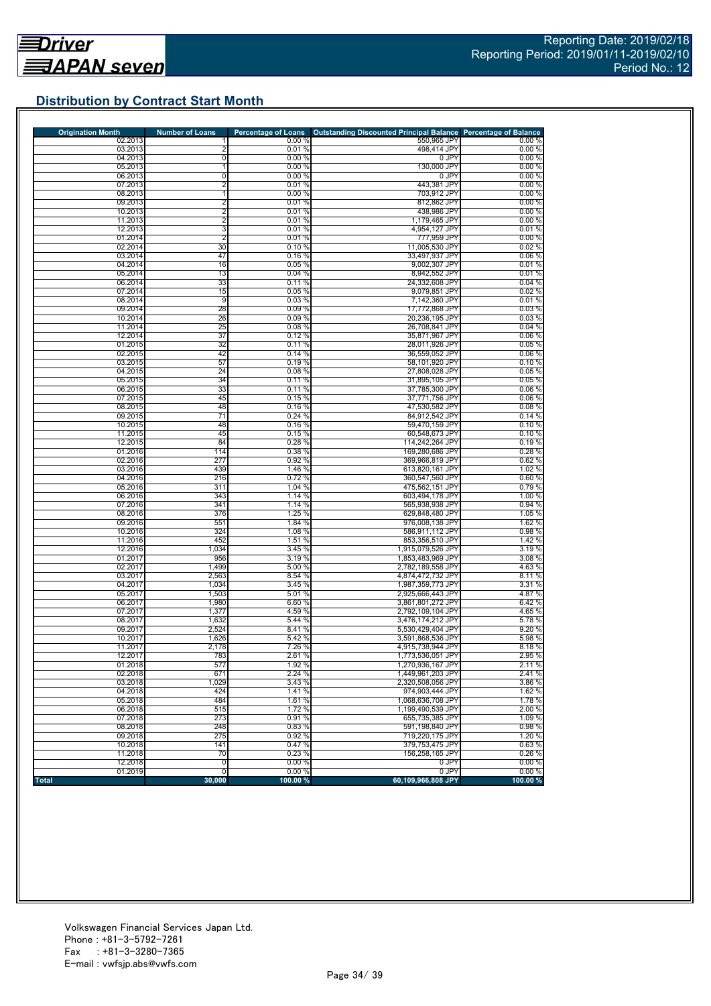# **Distribution by Contract Start Month**

| <b>Origination Month</b> | <b>Number of Loans</b> | <b>Percentage of Loans</b> | <b>Outstanding Discounted Principal Balance Percentage of Balance</b> |                 |
|--------------------------|------------------------|----------------------------|-----------------------------------------------------------------------|-----------------|
| 02.2013<br>03.2013       | $\overline{2}$         | 0.00%<br>0.01%             | 550,965 JPY<br>498,414 JPY                                            | 0.00%<br>0.00%  |
| 04.2013                  | $\mathbf 0$            | 0.00%                      | 0 JPY                                                                 | 0.00%           |
| 05.2013                  |                        | 0.00%                      | 130,000 JPY                                                           | 0.00%           |
| 06.2013                  | 0                      | 0.00%                      | 0 JPY                                                                 | 0.00%           |
| 07.2013                  | $\overline{2}$         | 0.01%                      | 443,381 JPY                                                           | 0.00%           |
| 08.2013                  | 1                      | 0.00%                      | 703,912 JPY                                                           | 0.00%           |
| 09.2013                  | $\overline{2}$         | 0.01%                      | 812,862 JPY                                                           | 0.00%           |
| 10.2013                  | $\overline{2}$         | 0.01%                      | 438,986 JPY                                                           | 0.00%           |
| 11.2013                  | $\overline{2}$         | 0.01%                      | 1,179,465 JPY                                                         | 0.00%           |
| 12.2013                  | 3                      | 0.01%                      | 4,954,127 JPY                                                         | 0.01%           |
| 01.2014<br>02.2014       | $\overline{2}$<br>30   | 0.01%<br>0.10%             | 777,959 JPY                                                           | 0.00%<br>0.02%  |
| 03.2014                  | 47                     | 0.16%                      | 11,005,530 JPY<br>33,497,937 JPY                                      | 0.06%           |
| 04.2014                  | 16                     | 0.05%                      | 9,002,307 JPY                                                         | 0.01%           |
| 05.2014                  | 13                     | 0.04%                      | 8,942,552 JPY                                                         | 0.01%           |
| 06.2014                  | 33                     | 0.11%                      | 24,332,608 JPY                                                        | 0.04%           |
| 07.2014                  | 15                     | 0.05%                      | 9,079,851 JPY                                                         | 0.02%           |
| 08.2014                  | 9                      | 0.03%                      | 7,142,360 JPY                                                         | 0.01%           |
| 09.2014                  | 28                     | 0.09%                      | 17,772,868 JPY                                                        | 0.03%           |
| 10.2014                  | 26                     | 0.09%                      | 20,236,195 JPY                                                        | 0.03%           |
| 11.2014                  | 25                     | 0.08%                      | 26,708,841 JPY                                                        | 0.04%           |
| 12.2014                  | 37                     | 0.12%                      | 35,871,967 JPY                                                        | 0.06%           |
| 01.2015                  | 32                     | 0.11%                      | 28,011,926 JPY                                                        | 0.05%           |
| 02.2015                  | 42                     | 0.14%                      | 36,559,052 JPY                                                        | 0.06%           |
| 03.2015                  | 57                     | 0.19%                      | 58,101,920 JPY                                                        | 0.10%           |
| 04.2015                  | 24                     | 0.08%                      | 27,808,028 JPY<br>31.895.105 JPY                                      | 0.05%           |
| 05.2015<br>06.2015       | 34<br>33               | 0.11%                      |                                                                       | 0.05%<br>0.06%  |
| 07.2015                  | 45                     | 0.11%<br>0.15%             | 37,785,300 JPY<br>37,771,756 JPY                                      | 0.06%           |
| 08.2015                  | 48                     | 0.16%                      | 47,530,582 JPY                                                        | 0.08%           |
| 09.2015                  | $\overline{71}$        | 0.24%                      | 84,912,542 JPY                                                        | 0.14%           |
| 10.2015                  | 48                     | 0.16%                      | 59,470,159 JPY                                                        | 0.10%           |
| 11.2015                  | 45                     | 0.15%                      | 60.548.673 JPY                                                        | 0.10%           |
| 12.2015                  | 84                     | 0.28 %                     | 114,242,264 JPY                                                       | 0.19%           |
| 01.2016                  | 114                    | 0.38 %                     | 169,280,686 JPY                                                       | 0.28%           |
| 02.2016                  | 277                    | 0.92%                      | 369,966,819 JPY                                                       | 0.62%           |
| 03.2016                  | 439                    | 1.46 %                     | 613,820,161 JPY                                                       | 1.02 %          |
| 04.2016                  | 216                    | 0.72%                      | 360,547,560 JPY                                                       | 0.60%           |
| 05.2016                  | 311                    | 1.04 %                     | 475,562,151 JPY                                                       | 0.79%           |
| 06.2016                  | 343                    | 1.14 %                     | 603,494,178 JPY                                                       | 1.00 %          |
| 07.2016                  | 341                    | 1.14 %                     | 565,938,938 JPY                                                       | 0.94 %          |
| 08.2016                  | 376                    | 1.25 %                     | 629,848,480 JPY                                                       | 1.05 %          |
| 09.2016<br>10.2016       | 551<br>324             | 1.84 %<br>1.08 %           | 976,008,138 JPY<br>586,911,112 JPY                                    | 1.62%<br>0.98%  |
| 11.2016                  | 452                    | 1.51 %                     | 853,356,510 JPY                                                       | 1.42 %          |
| 12.2016                  | 1,034                  | 3.45%                      | 1,915,079,526 JPY                                                     | 3.19%           |
| 01.2017                  | 956                    | 3.19 %                     | 1,853,483,969 JPY                                                     | 3.08 %          |
| 02.2017                  | 1,499                  | 5.00 %                     | 2,782,189,558 JPY                                                     | 4.63%           |
| 03.2017                  | 2,563                  | 8.54 %                     | 4,874,472,732 JPY                                                     | 8.11%           |
| 04.2017                  | 1,034                  | 3.45 %                     | 1,987,359,773 JPY                                                     | 3.31 %          |
| 05.2017                  | 1,503                  | 5.01 %                     | 2,925,666,443 JPY                                                     | 4.87%           |
| 06.2017                  | 1,980                  | 6.60 %                     | 3.861.801.272 JPY                                                     | 6.42 %          |
| 07.2017                  | 1,377                  | 4.59 %                     | 2,792,109,104 JPY                                                     | 4.65 %          |
| 08.2017                  | 1,632                  | 5.44 %                     | 3.476.174.212 JPY                                                     | 5.78%           |
| 09.2017                  | 2,524                  | 8.41 %                     | 5.530.429.404 JPY                                                     | 9.20 %          |
| 10.2017                  | 1,626                  | 5.42 %                     | 3.591.868.536 JPY                                                     | 5.98 %          |
| 11.2017                  | 2,178                  | 7.26 %                     | 4,915,738,944 JPY                                                     | 8.18%           |
| 12.2017                  | 783                    | 2.61 %                     | 1,773,536,051 JPY                                                     | 2.95 %          |
| 01.2018                  | 577                    | 1.92 %                     | 1,270,936,167 JPY                                                     | 2.11 %          |
| 02.2018                  | 671                    | 2.24 %                     | 1,449,961,203 JPY                                                     | 2.41%           |
| 03.2018<br>04.2018       | 1,029<br>424           | 3.43 %<br>1.41%            | 2,320,508,056 JPY<br>974,903,444 JPY                                  | 3.86 %<br>1.62% |
| 05.2018                  | 484                    | 1.61%                      | 1,068,636,708 JPY                                                     | 1.78%           |
| 06.2018                  | 515                    | 1.72 %                     | 1,199,490,539 JPY                                                     | 2.00 %          |
| 07.2018                  | 273                    | 0.91%                      | 655,735,385 JPY                                                       | 1.09 %          |
| 08.2018                  | 248                    | 0.83%                      | 591,198,840 JPY                                                       | 0.98%           |
| 09.2018                  | 275                    | 0.92%                      | 719.220.175 JPY                                                       | 1.20 %          |
| 10.2018                  | 141                    | 0.47 %                     | 379,753,475 JPY                                                       | 0.63%           |
| 11.2018                  | 70                     | 0.23 %                     | 156,258,165 JPY                                                       | 0.26%           |
| 12.2018                  | $\overline{0}$         | 0.00%                      | 0 JPY                                                                 | 0.00%           |
| 01.2019                  | 0                      | 0.00%                      | 0 JPY                                                                 | 0.00%           |
| <b>Total</b>             | 30,000                 | 100.00%                    | 60,109,966,808 JPY                                                    | 100.00 %        |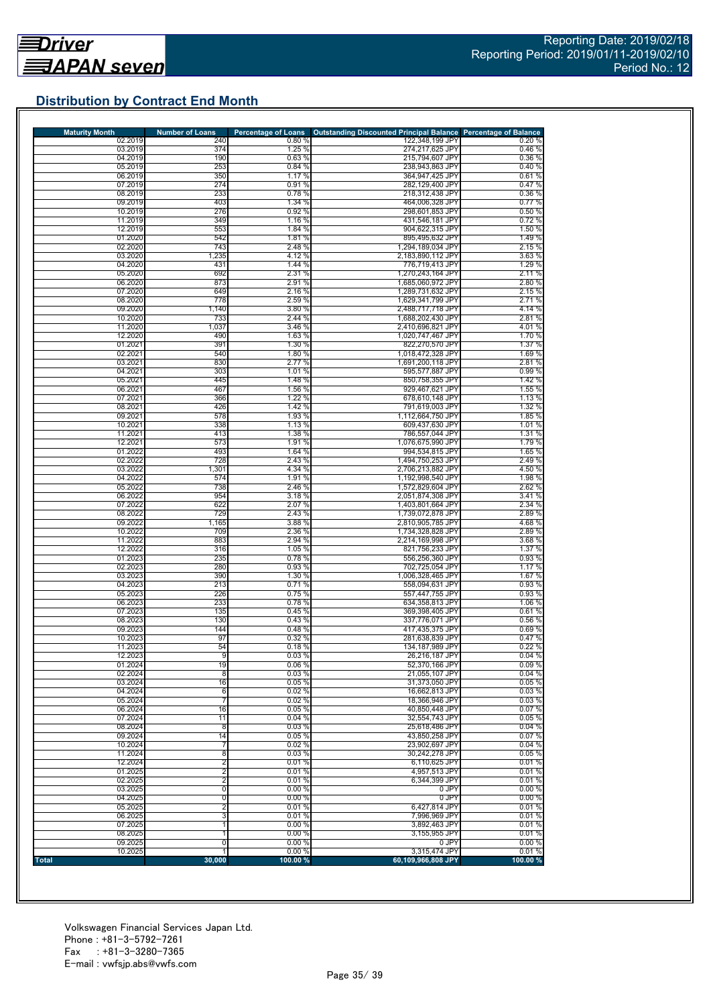# **Distribution by Contract End Month**

| <b>Maturity Month</b> | <b>Number of Loans</b> | <b>Percentage of Loans</b> | <b>Outstanding Discounted Principal Balance Percentage of Balance</b> |                                           |
|-----------------------|------------------------|----------------------------|-----------------------------------------------------------------------|-------------------------------------------|
| 02.2019<br>03.2019    | 240<br>374             | 0.80%<br>1.25 %            | 122,348,199 JPY<br>274,217,625 JPY                                    | 0.20%<br>0.46%                            |
| 04.2019               | 190                    | 0.63 %                     | 215,794,607 JPY                                                       | 0.36 %                                    |
| 05.2019               | 253                    | 0.84 %                     | 238,943,863 JPY                                                       | 0.40%                                     |
| 06.2019               | 350                    | 1.17 %                     | 364,947,425 JPY                                                       | 0.61%                                     |
| 07.2019<br>08.2019    | 274<br>233             | 0.91%<br>0.78%             | 282,129,400 JPY<br>218,312,438 JPY                                    | 0.47%<br>0.36%                            |
| 09.2019               | 403                    | 1.34 %                     | 464.006.328 JPY                                                       | 0.77%                                     |
| 10.2019               | 276                    | 0.92 %                     | 298.601.853 JPY                                                       | 0.50%                                     |
| 11.2019               | 349                    | 1.16 %                     | 431,546,181 JPY                                                       | 0.72%                                     |
| 12.2019<br>01.2020    | 553                    | 1.84 %                     | 904,622,315 JPY                                                       | 1.50 %                                    |
| 02.2020               | 542<br>743             | 1.81 %<br>2.48 %           | 895,495,632 JPY<br>1,294,189,034 JPY                                  | 1.49%<br>2.15 %                           |
| 03.2020               | 1,235                  | 4.12%                      | 2,183,890,112 JPY                                                     | 3.63%                                     |
| 04.2020               | 431                    | 1.44 %                     | 776,719,413 JPY                                                       | 1.29 %                                    |
| 05.2020               | 692                    | 2.31 %                     | 1,270,243,164 JPY                                                     | 2.11 %                                    |
| 06.2020<br>07.2020    | 873<br>649             | 2.91 %<br>2.16 %           | 1,685,060,972 JPY<br>1,289,731,632 JPY                                | 2.80%<br>2.15 %                           |
| 08.2020               | 778                    | 2.59 %                     | 1,629,341,799 JPY                                                     | 2.71 %                                    |
| 09.2020               | 1,140                  | 3.80 %                     | 2,488,717,718 JPY                                                     | 4.14 %                                    |
| 10.2020               | 733                    | 2.44 %                     | 1,688,202,430 JPY                                                     | 2.81%                                     |
| 11.2020<br>12.2020    | 1,037<br>490           | 3.46 %<br>1.63 %           | 2,410,696,821 JPY<br>1,020,747,467 JPY                                | 4.01%<br>1.70%                            |
| 01.2021               | 391                    | 1.30 %                     | 822,270,570 JPY                                                       | 1.37 %                                    |
| 02.2021               | 540                    | 1.80 %                     | 1,018,472,328 JPY                                                     | 1.69 %                                    |
| 03.2021               | 830                    | 2.77 %                     | 1,691,200,118 JPY                                                     | 2.81%                                     |
| 04.2021<br>05.2021    | 303<br>445             | 1.01 %<br>1.48 %           | 595,577,887 JPY<br>850,758,355 JPY                                    | 0.99%<br>1.42 %                           |
| 06.2021               | 467                    | 1.56 %                     | 929,467,621 JPY                                                       | 1.55 %                                    |
| 07.2021               | 366                    | 1.22 %                     | 678,610,148 JPY                                                       | 1.13 %                                    |
| 08.2021               | 426                    | 1.42 %                     | 791,619,003 JPY                                                       | 1.32 %                                    |
| 09.2021               | 578                    | 1.93 %                     | 1,112,664,750 JPY                                                     | 1.85 %                                    |
| 10.2021<br>11.2021    | 338<br>413             | 1.13 %<br>1.38 %           | 609,437,630 JPY<br>786,557,044 JPY                                    | 1.01 %<br>1.31 %                          |
| 12.2021               | 573                    | 1.91 %                     | 1,076,675,990 JPY                                                     | 1.79 %                                    |
| 01.2022               | 493                    | 1.64 %                     | 994.534.815 JPY                                                       | 1.65 %                                    |
| 02.2022               | 728                    | 2.43 %                     | 1,494,750,253 JPY                                                     | 2.49%                                     |
| 03.2022<br>04.2022    | 1,301<br>574           | 4.34 %<br>1.91 %           | 2,706,213,882 JPY<br>1,192,998,540 JPY                                | 4.50 %<br>1.98%                           |
| 05.2022               | 738                    | 2.46 %                     | 1,572,829,604 JPY                                                     | 2.62%                                     |
| 06.2022               | 954                    | 3.18%                      | 2,051,874,308 JPY                                                     | 3.41%                                     |
| 07.2022               | 622                    | 2.07 %                     | 1,403,801,664 JPY                                                     | 2.34 %                                    |
| 08.2022               | 729                    | 2.43 %<br>3.88 %           | 1,739,072,878 JPY                                                     | 2.89%<br>4.68%                            |
| 09.2022<br>10.2022    | 1,165<br>709           | 2.36 %                     | 2,810,905,785 JPY<br>1,734,328,828 JPY                                | 2.89%                                     |
| 11.2022               | 883                    | 2.94 %                     | 2,214,169,998 JPY                                                     | 3.68 %                                    |
| 12.2022               | 316                    | 1.05 %                     | 821,756,233 JPY                                                       | 1.37 %                                    |
| 01.2023<br>02.2023    | 235<br>280             | 0.78%<br>0.93 %            | 556,256,360 JPY                                                       | 0.93%<br>1.17 %                           |
| 03.2023               | 390                    | 1.30 %                     | 702,725,054 JPY<br>1,006,328,465 JPY                                  | 1.67%                                     |
| 04.2023               | 213                    | 0.71%                      | 558,094,631 JPY                                                       | 0.93 %                                    |
| 05.2023               | 226                    | 0.75%                      | 557,447,755 JPY                                                       | 0.93%                                     |
| 06.2023               | 233                    | 0.78%                      | 634,358,813 JPY                                                       | 1.06 %                                    |
| 07.2023<br>08.2023    | 135<br>130             | 0.45%<br>0.43 %            | 369,398,405 JPY<br>337,776,071 JPY                                    | 0.61%<br>0.56 %                           |
| 09.2023               | 144                    | 0.48%                      | 417,435,375 JPY                                                       | 0.69%                                     |
| 10.2023               | 97                     | 0.32 %                     | 281,638,839 JPY                                                       | 0.47%                                     |
| 11.2023               | 54                     | 0.18%                      | 134,187,989 JPY                                                       | 0.22%                                     |
| 12.2023<br>01.2024    | 9<br>19                | 0.03%<br>0.06%             | 26,216,187 JPY<br>52,370,166 JPY                                      | 0.04%<br>0.09%                            |
| 02.2024               | 8                      | 0.03%                      | 21,055,107 JPY                                                        | 0.04%                                     |
| 03.2024               | 16                     | 0.05%                      | 31,373,050 JPY                                                        | 0.05%                                     |
| 04.2024               | 6                      | 0.02%                      | 16.662.813 JPY                                                        | 0.03%                                     |
| 05.2024<br>06.2024    | 7<br>16                | 0.02%<br>0.05%             | 18.366.946 JPY<br>40,850,448 JPY                                      | 0.03%<br>0.07%                            |
| 07.2024               | 11                     | 0.04%                      | 32,554,743 JPY                                                        | 0.05%                                     |
| 08.2024               | $\overline{8}$         | 0.03%                      | 25,618,486 JPY                                                        | 0.04%                                     |
| 09.2024               | 14                     | 0.05%                      | 43,850,258 JPY                                                        | 0.07%                                     |
| 10.2024               | 7                      | 0.02%                      | 23,902,697 JPY                                                        | 0.04%                                     |
| 11.2024<br>12.2024    | 8<br>$\overline{2}$    | 0.03%<br>0.01%             | 30,242,278 JPY<br>6,110,625 JPY                                       | 0.05%<br>0.01%                            |
| 01.2025               | $\overline{2}$         | 0.01%                      | 4,957,513 JPY                                                         | 0.01%                                     |
| 02.2025               | $\overline{2}$         | 0.01%                      | 6,344,399 JPY                                                         | 0.01%                                     |
| 03.2025               | 0                      | 0.00%                      | 0 JPY                                                                 | 0.00%                                     |
| 04.2025               | 0                      | 0.00%<br>0.01%             | 0 JPY<br>6,427,814 JPY                                                | 0.00%<br>0.01%                            |
|                       |                        |                            |                                                                       |                                           |
| 05.2025               | $\overline{2}$         |                            |                                                                       |                                           |
| 06.2025<br>07.2025    | 3                      | 0.01%<br>0.00%             | 7,996,969 JPY<br>3,892,463 JPY                                        |                                           |
| 08.2025               |                        | 0.00%                      | 3,155,955 JPY                                                         |                                           |
| 09.2025<br>10.2025    | 0<br>1                 | 0.00%<br>0.00%             | 0 JPY<br>3,315,474 JPY                                                | 0.01%<br>0.01%<br>0.01%<br>0.00%<br>0.01% |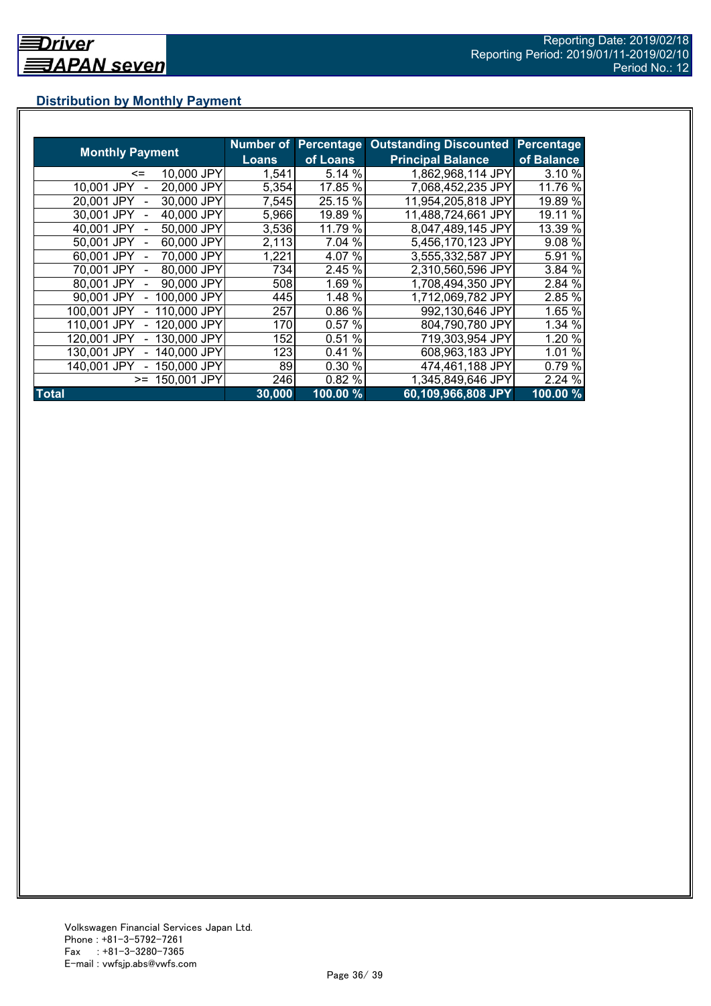# **Distribution by Monthly Payment**

|                            | Number of | <b>Percentage</b> | <b>Outstanding Discounted</b> | Percentage          |
|----------------------------|-----------|-------------------|-------------------------------|---------------------|
| <b>Monthly Payment</b>     | Loans     | of Loans          | <b>Principal Balance</b>      | of Balance          |
| 10,000 JPY<br>$\leq$       | 1,541     | 5.14 %            | 1,862,968,114 JPY             | 3.10 %              |
| 20,000 JPY<br>10,001 JPY   | 5,354     | 17.85 %           | 7,068,452,235 JPY             | 11.76 %             |
| 30,000 JPY<br>20.001 JPY   | 7,545     | 25.15 %           | 11,954,205,818 JPY            | 19.89 %             |
| 40,000 JPY<br>30.001 JPY   | 5,966     | 19.89 %           | 11,488,724,661 JPY            | 19.11 %             |
| 50,000 JPY<br>40.001 JPY   | 3,536     | 11.79 %           | 8,047,489,145 JPY             | 13.39 %             |
| 60,000 JPY<br>50.001 JPY   | 2,113     | 7.04 %            | 5,456,170,123 JPY             | 9.08 %              |
| 70.000 JPY<br>60.001 JPY   | 1,221     | 4.07%             | 3,555,332,587 JPY             | 5.91 %              |
| 80,000 JPY<br>70.001 JPY   | 734       | 2.45 %            | 2,310,560,596 JPY             | 3.84 %              |
| 90,000 JPY<br>80,001 JPY   | 508       | 1.69 %            | 1.708,494,350 JPY             | 2.84 %              |
| 100,000 JPY<br>90,001 JPY  | 445       | 1.48 %            | 1,712,069,782 JPY             | 2.85 %              |
| 110,000 JPY<br>100,001 JPY | 257       | 0.86 %            | 992,130,646 JPY               | 1.65 %              |
| 120,000 JPY<br>110,001 JPY | 170I      | 0.57%             | 804,790,780 JPY               | 1.34 %              |
| 130,000 JPY<br>120.001 JPY | 152       | 0.51%             | 719,303,954 JPY               | 1.20 %              |
| 140.000 JPY<br>130.001 JPY | 123       | %<br>0.41         | 608,963,183 JPY               | 1.01 %              |
| 150,000 JPY<br>140.001 JPY | 89        | 0.30 %            | 474,461,188 JPY               | $0.79\%$            |
| 150,001 JPY<br>$>=$        | 246       | 0.82%             | 1,345,849,646 JPY             | 2.24 %              |
| <b>Total</b>               | 30,000    | 100.00 %          | 60,109,966,808 JPY            | $100.00\frac{9}{6}$ |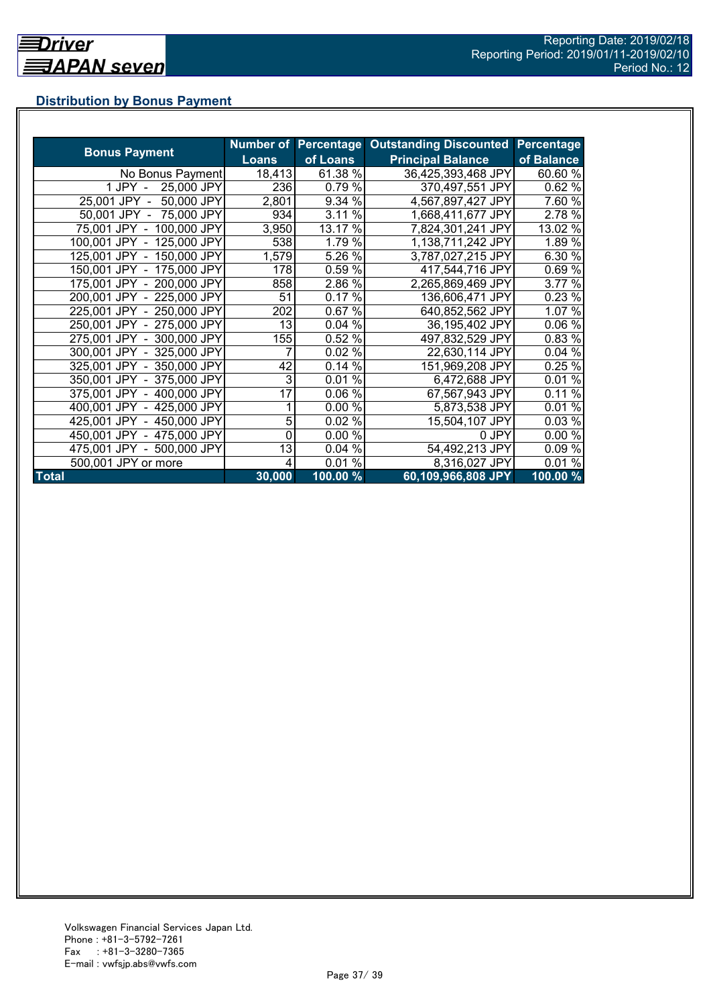# **Distribution by Bonus Payment**

|                            |              |          | Number of Percentage Outstanding Discounted | Percentage |
|----------------------------|--------------|----------|---------------------------------------------|------------|
| <b>Bonus Payment</b>       | <b>Loans</b> | of Loans | <b>Principal Balance</b>                    | of Balance |
| No Bonus Payment           | 18,413       | 61.38 %  | 36,425,393,468 JPY                          | 60.60 %    |
| 25,000 JPY<br>1 JPY -      | 236          | 0.79 %   | 370,497,551 JPY                             | 0.62%      |
| 25,001 JPY -<br>50,000 JPY | 2,801        | 9.34 %   | 4,567,897,427 JPY                           | 7.60 %     |
| 50,001 JPY - 75,000 JPY    | 934          | 3.11 %   | 1,668,411,677 JPY                           | 2.78 %     |
| 75,001 JPY - 100,000 JPY   | 3,950        | 13.17 %  | 7,824,301,241 JPY                           | 13.02 %    |
| 100,001 JPY - 125,000 JPY  | 538          | 1.79 %   | 1,138,711,242 JPY                           | 1.89 %     |
| 125,001 JPY - 150,000 JPY  | 1,579        | 5.26 %   | 3,787,027,215 JPY                           | 6.30 %     |
| 150,001 JPY - 175,000 JPY  | 178          | 0.59 %   | 417,544,716 JPY                             | 0.69%      |
| 175,001 JPY - 200,000 JPY  | 858          | 2.86 %   | 2,265,869,469 JPY                           | 3.77 %     |
| 200,001 JPY - 225,000 JPY  | 51           | 0.17%    | 136,606,471 JPY                             | 0.23%      |
| 225,001 JPY - 250,000 JPY  | 202          | 0.67%    | 640,852,562 JPY                             | 1.07 %     |
| 250,001 JPY - 275,000 JPY  | 13           | 0.04%    | 36,195,402 JPY                              | 0.06%      |
| 275,001 JPY - 300,000 JPY  | 155          | 0.52%    | 497,832,529 JPY                             | 0.83 %     |
| 300,001 JPY - 325,000 JPY  |              | 0.02 %   | 22,630,114 JPY                              | 0.04%      |
| 325,001 JPY - 350,000 JPY  | 42           | 0.14%    | 151,969,208 JPY                             | 0.25%      |
| 350,001 JPY - 375,000 JPY  | 3            | 0.01%    | 6,472,688 JPY                               | 0.01%      |
| 375,001 JPY - 400,000 JPY  | 17           | 0.06%    | 67,567,943 JPY                              | 0.11%      |
| 400,001 JPY - 425,000 JPY  |              | 0.00%    | 5,873,538 JPY                               | 0.01%      |
| 425,001 JPY - 450,000 JPY  | 5            | 0.02%    | 15,504,107 JPY                              | 0.03%      |
| 450,001 JPY - 475,000 JPY  | 0            | 0.00 %   | 0 JPY                                       | 0.00%      |
| 475,001 JPY - 500,000 JPY  | 13           | 0.04%    | 54,492,213 JPY                              | 0.09 %     |
| 500,001 JPY or more        | 4            | $0.01\%$ | 8,316,027 JPY                               | 0.01%      |
| <b>Total</b>               | 30,000       | 100.00 % | 60,109,966,808 JPY                          | 100.00 %   |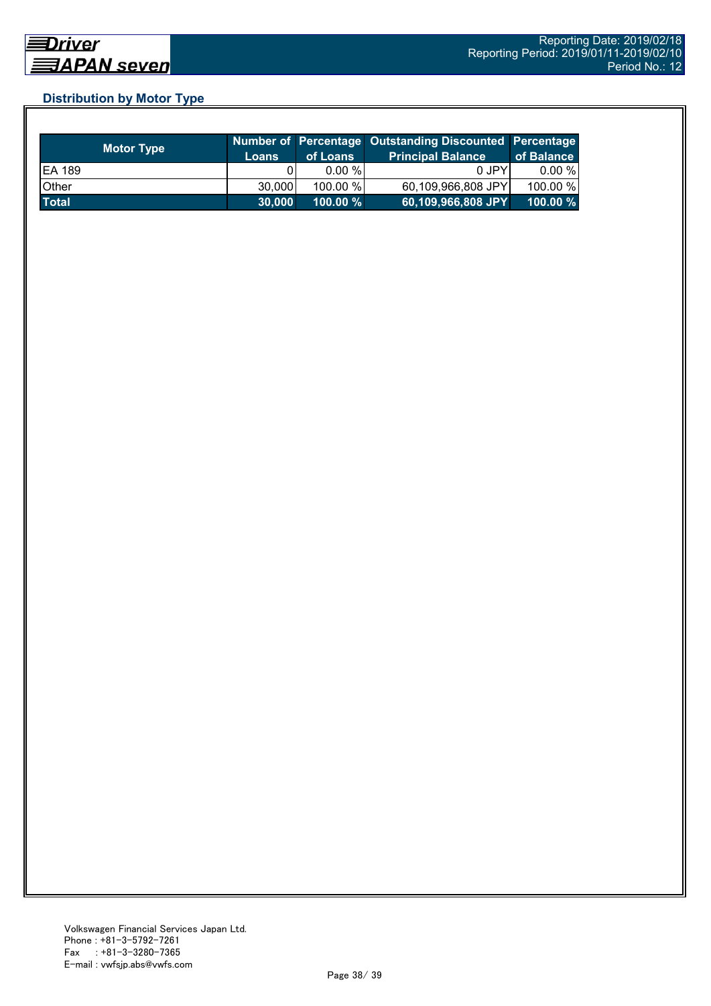# **Distribution by Motor Type**

| <b>Motor Type</b> | /Loans | of Loans    | Number of Percentage Outstanding Discounted Percentage<br><b>Principal Balance</b> | of Balance  |
|-------------------|--------|-------------|------------------------------------------------------------------------------------|-------------|
| <b>EA 189</b>     |        | $0.00 \%$   | 0 JPY                                                                              | 0.00 %      |
| Other             | 30,000 | 100.00 %    | 60,109,966,808 JPY                                                                 | 100.00 %    |
| <b>Total</b>      | 30.000 | $100.00 \%$ | 60,109,966,808 JPY                                                                 | $100.00 \%$ |